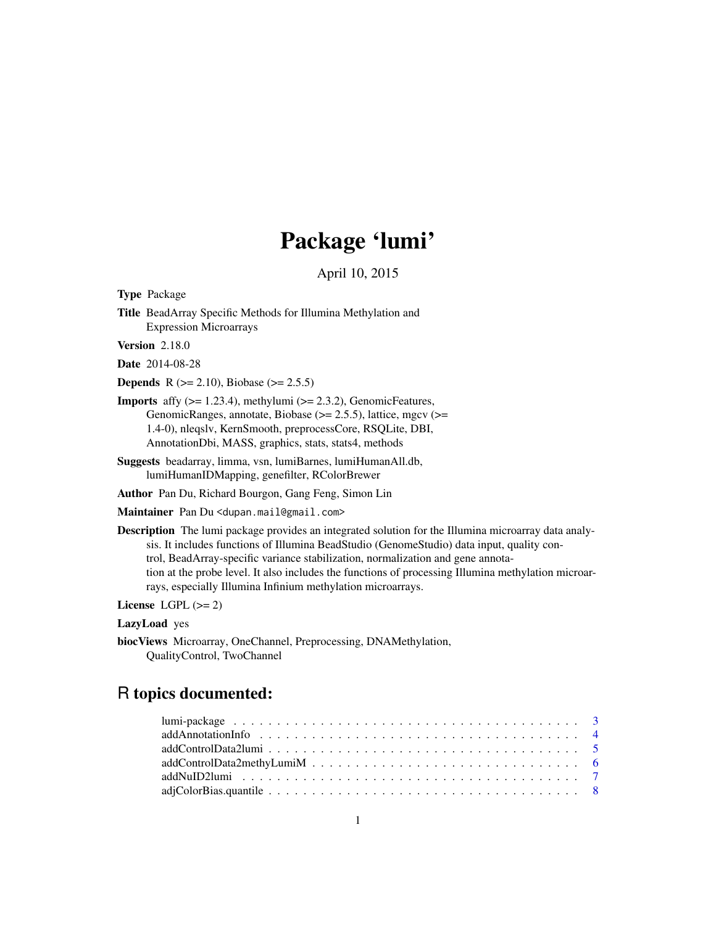# Package 'lumi'

April 10, 2015

<span id="page-0-0"></span>Type Package

Title BeadArray Specific Methods for Illumina Methylation and Expression Microarrays

Version 2.18.0

Date 2014-08-28

**Depends** R ( $>= 2.10$ ), Biobase ( $>= 2.5.5$ )

- **Imports** affy  $(>= 1.23.4)$ , methylumi  $(>= 2.3.2)$ , GenomicFeatures, GenomicRanges, annotate, Biobase (>= 2.5.5), lattice, mgcv (>= 1.4-0), nleqslv, KernSmooth, preprocessCore, RSQLite, DBI, AnnotationDbi, MASS, graphics, stats, stats4, methods
- Suggests beadarray, limma, vsn, lumiBarnes, lumiHumanAll.db, lumiHumanIDMapping, genefilter, RColorBrewer

Author Pan Du, Richard Bourgon, Gang Feng, Simon Lin

Maintainer Pan Du <dupan.mail@gmail.com>

Description The lumi package provides an integrated solution for the Illumina microarray data analysis. It includes functions of Illumina BeadStudio (GenomeStudio) data input, quality control, BeadArray-specific variance stabilization, normalization and gene annotation at the probe level. It also includes the functions of processing Illumina methylation microarrays, especially Illumina Infinium methylation microarrays.

License LGPL  $(>= 2)$ 

# LazyLoad yes

biocViews Microarray, OneChannel, Preprocessing, DNAMethylation, QualityControl, TwoChannel

# R topics documented: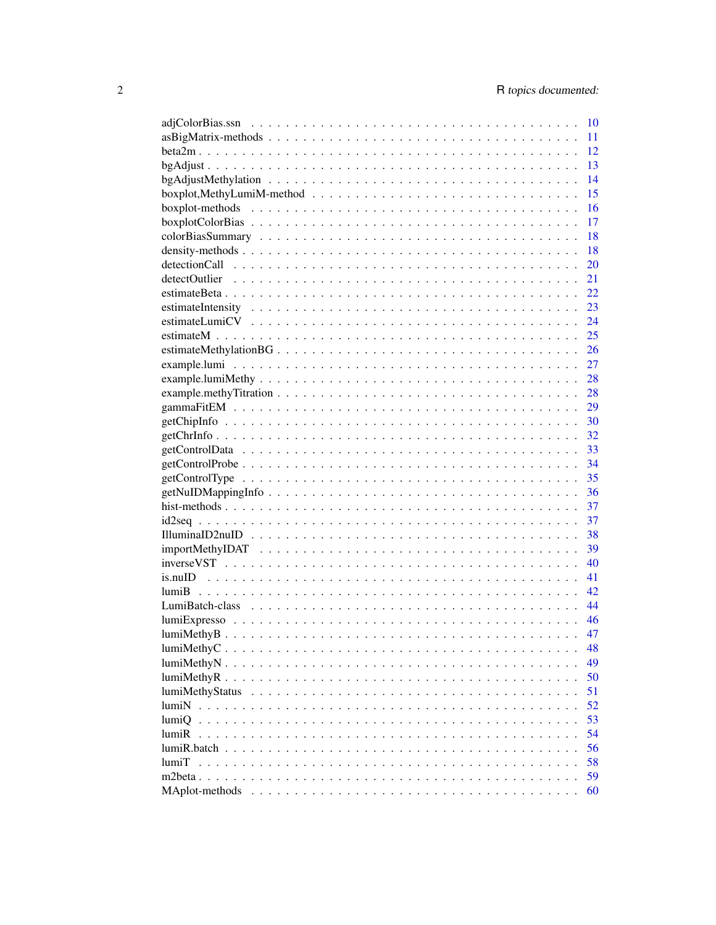|                | 10 |
|----------------|----|
|                | 11 |
|                | 12 |
|                | 13 |
|                | 14 |
|                | 15 |
|                | 16 |
|                | 17 |
|                | 18 |
|                | 18 |
|                | 20 |
|                | 21 |
|                |    |
|                | 23 |
|                |    |
|                | 25 |
|                |    |
|                |    |
|                |    |
|                |    |
|                |    |
|                |    |
|                |    |
|                |    |
|                |    |
|                |    |
|                |    |
|                |    |
|                |    |
|                |    |
|                |    |
|                |    |
|                |    |
|                | 42 |
|                | 44 |
| $lumiExpresso$ | 46 |
| lumiMethodB    | 47 |
|                | 48 |
|                | 49 |
| lumiMethyR.    | 50 |
|                | 51 |
|                | 52 |
| lumiO          | 53 |
| lumiR          | 54 |
|                | 56 |
| <b>lumiT</b>   | 58 |
|                | 59 |
| MAplot-methods | 60 |
|                |    |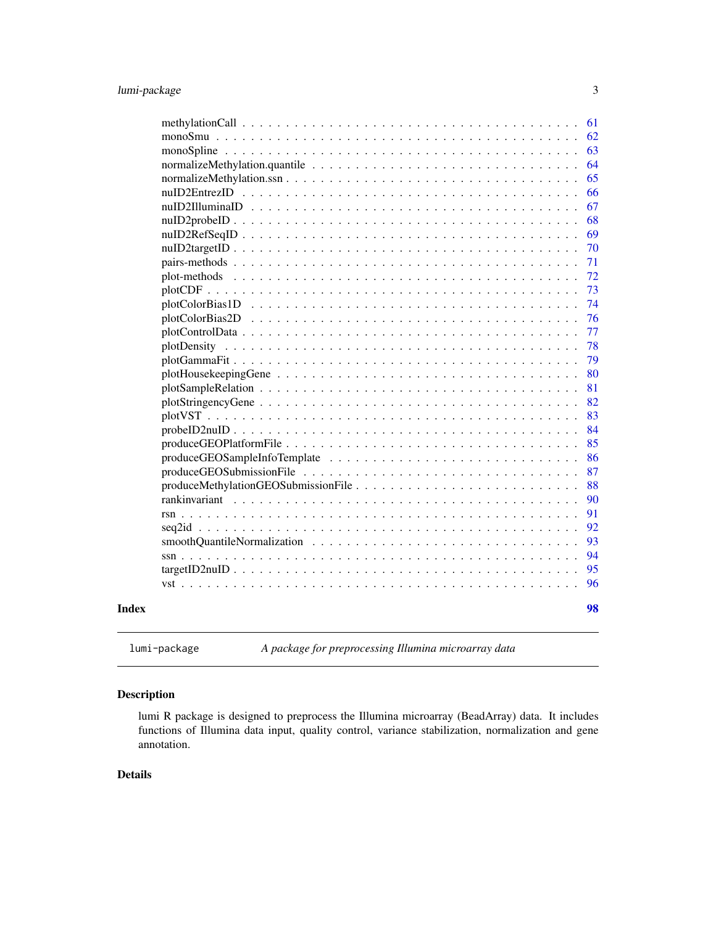<span id="page-2-0"></span>

|       |                                                                                                                                                                                                                                | 61 |
|-------|--------------------------------------------------------------------------------------------------------------------------------------------------------------------------------------------------------------------------------|----|
|       |                                                                                                                                                                                                                                | 62 |
|       |                                                                                                                                                                                                                                | 63 |
|       |                                                                                                                                                                                                                                | 64 |
|       |                                                                                                                                                                                                                                | 65 |
|       |                                                                                                                                                                                                                                | 66 |
|       |                                                                                                                                                                                                                                | 67 |
|       |                                                                                                                                                                                                                                | 68 |
|       |                                                                                                                                                                                                                                | 69 |
|       |                                                                                                                                                                                                                                | 70 |
|       |                                                                                                                                                                                                                                | 71 |
|       |                                                                                                                                                                                                                                | 72 |
|       |                                                                                                                                                                                                                                | 73 |
|       |                                                                                                                                                                                                                                | 74 |
|       | plotColorBias2D                                                                                                                                                                                                                | 76 |
|       |                                                                                                                                                                                                                                | 77 |
|       |                                                                                                                                                                                                                                | 78 |
|       |                                                                                                                                                                                                                                | 79 |
|       |                                                                                                                                                                                                                                | 80 |
|       |                                                                                                                                                                                                                                | 81 |
|       |                                                                                                                                                                                                                                | 82 |
|       |                                                                                                                                                                                                                                | 83 |
|       |                                                                                                                                                                                                                                | 84 |
|       |                                                                                                                                                                                                                                | 85 |
|       |                                                                                                                                                                                                                                | 86 |
|       |                                                                                                                                                                                                                                | 87 |
|       |                                                                                                                                                                                                                                | 88 |
|       | rankinvariant experience and contract the contract of the contract of the contract of the contract of the contract of the contract of the contract of the contract of the contract of the contract of the contract of the cont | 90 |
|       |                                                                                                                                                                                                                                | 91 |
|       |                                                                                                                                                                                                                                | 92 |
|       |                                                                                                                                                                                                                                | 93 |
|       |                                                                                                                                                                                                                                | 94 |
|       |                                                                                                                                                                                                                                | 95 |
|       |                                                                                                                                                                                                                                | 96 |
| Index |                                                                                                                                                                                                                                | 98 |
|       |                                                                                                                                                                                                                                |    |

lumi-package *A package for preprocessing Illumina microarray data*

# Description

lumi R package is designed to preprocess the Illumina microarray (BeadArray) data. It includes functions of Illumina data input, quality control, variance stabilization, normalization and gene annotation.

# Details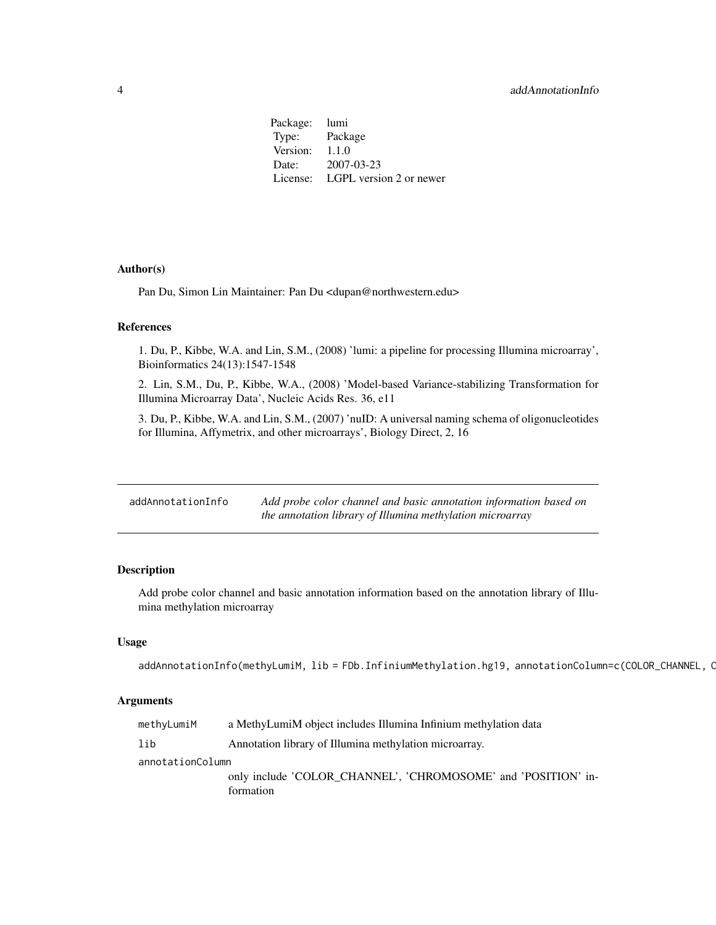<span id="page-3-0"></span>Package: lumi Type: Package Version: 1.1.0 Date: 2007-03-23 License: LGPL version 2 or newer

# Author(s)

Pan Du, Simon Lin Maintainer: Pan Du <dupan@northwestern.edu>

#### References

1. Du, P., Kibbe, W.A. and Lin, S.M., (2008) 'lumi: a pipeline for processing Illumina microarray', Bioinformatics 24(13):1547-1548

2. Lin, S.M., Du, P., Kibbe, W.A., (2008) 'Model-based Variance-stabilizing Transformation for Illumina Microarray Data', Nucleic Acids Res. 36, e11

3. Du, P., Kibbe, W.A. and Lin, S.M., (2007) 'nuID: A universal naming schema of oligonucleotides for Illumina, Affymetrix, and other microarrays', Biology Direct, 2, 16

<span id="page-3-1"></span>

| addAnnotationInfo | Add probe color channel and basic annotation information based on |
|-------------------|-------------------------------------------------------------------|
|                   | the annotation library of Illumina methylation microarray         |

#### Description

Add probe color channel and basic annotation information based on the annotation library of Illumina methylation microarray

# Usage

```
addAnnotationInfo(methyLumiM, lib = FDb.InfiniumMethylation.hg19, annotationColumn=c(COLOR_CHANNEL, C
```

| methyLumiM       | a MethyLumiM object includes Illumina Infinium methylation data |
|------------------|-----------------------------------------------------------------|
| lib              | Annotation library of Illumina methylation microarray.          |
| annotationColumn |                                                                 |
|                  | only include 'COLOR CHANNEL', 'CHROMOSOME' and 'POSITION' in-   |
|                  | formation                                                       |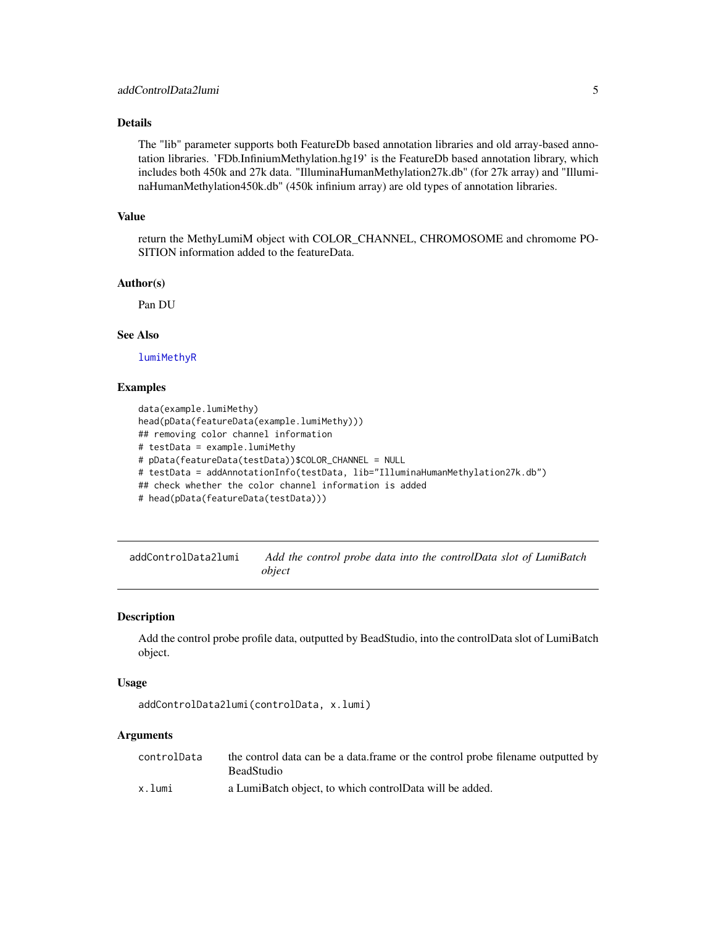# <span id="page-4-0"></span>Details

The "lib" parameter supports both FeatureDb based annotation libraries and old array-based annotation libraries. 'FDb.InfiniumMethylation.hg19' is the FeatureDb based annotation library, which includes both 450k and 27k data. "IlluminaHumanMethylation27k.db" (for 27k array) and "IlluminaHumanMethylation450k.db" (450k infinium array) are old types of annotation libraries.

#### Value

return the MethyLumiM object with COLOR\_CHANNEL, CHROMOSOME and chromome PO-SITION information added to the featureData.

#### Author(s)

Pan DU

#### See Also

[lumiMethyR](#page-49-1)

#### Examples

data(example.lumiMethy) head(pData(featureData(example.lumiMethy))) ## removing color channel information # testData = example.lumiMethy # pData(featureData(testData))\$COLOR\_CHANNEL = NULL # testData = addAnnotationInfo(testData, lib="IlluminaHumanMethylation27k.db") ## check whether the color channel information is added # head(pData(featureData(testData)))

<span id="page-4-1"></span>addControlData2lumi *Add the control probe data into the controlData slot of LumiBatch object*

#### Description

Add the control probe profile data, outputted by BeadStudio, into the controlData slot of LumiBatch object.

#### Usage

```
addControlData2lumi(controlData, x.lumi)
```

| controlData | the control data can be a data. frame or the control probe filename outputted by |
|-------------|----------------------------------------------------------------------------------|
|             | BeadStudio                                                                       |
| x.lumi      | a LumiBatch object, to which controlData will be added.                          |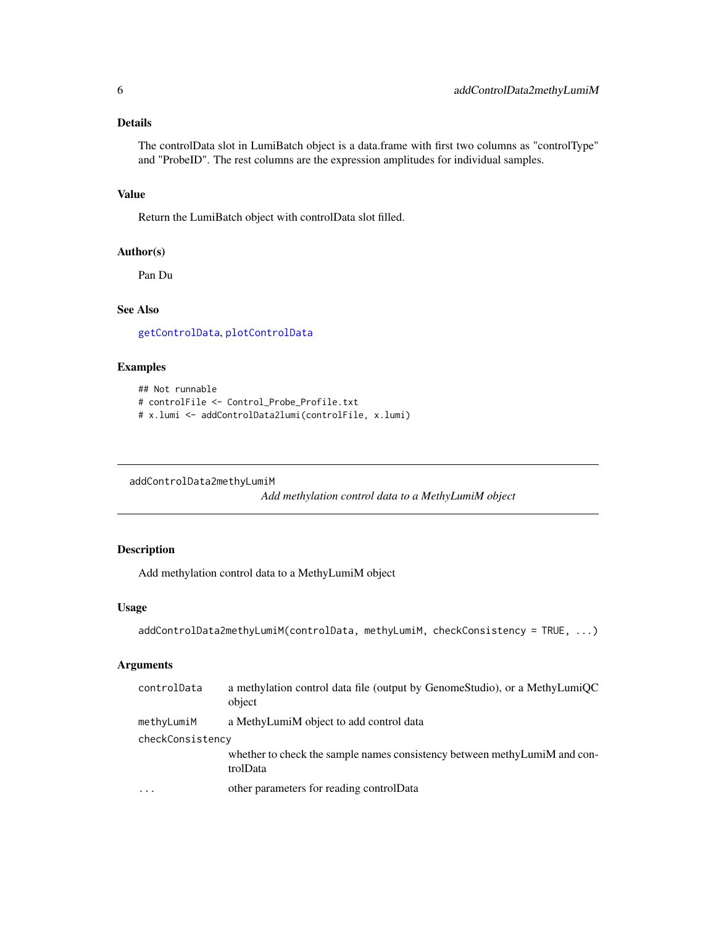# <span id="page-5-0"></span>Details

The controlData slot in LumiBatch object is a data.frame with first two columns as "controlType" and "ProbeID". The rest columns are the expression amplitudes for individual samples.

# Value

Return the LumiBatch object with controlData slot filled.

#### Author(s)

Pan Du

#### See Also

[getControlData](#page-32-1), [plotControlData](#page-76-1)

# Examples

```
## Not runnable
# controlFile <- Control_Probe_Profile.txt
# x.lumi <- addControlData2lumi(controlFile, x.lumi)
```
addControlData2methyLumiM

*Add methylation control data to a MethyLumiM object*

# Description

Add methylation control data to a MethyLumiM object

#### Usage

```
addControlData2methyLumiM(controlData, methyLumiM, checkConsistency = TRUE, ...)
```

| controlData             | a methylation control data file (output by GenomeStudio), or a MethyLumiQC<br>object   |
|-------------------------|----------------------------------------------------------------------------------------|
| methyLumiM              | a MethyLumiM object to add control data                                                |
| checkConsistency        |                                                                                        |
|                         | whether to check the sample names consistency between methy LumiM and con-<br>trolData |
| $\cdot$ $\cdot$ $\cdot$ | other parameters for reading control Data                                              |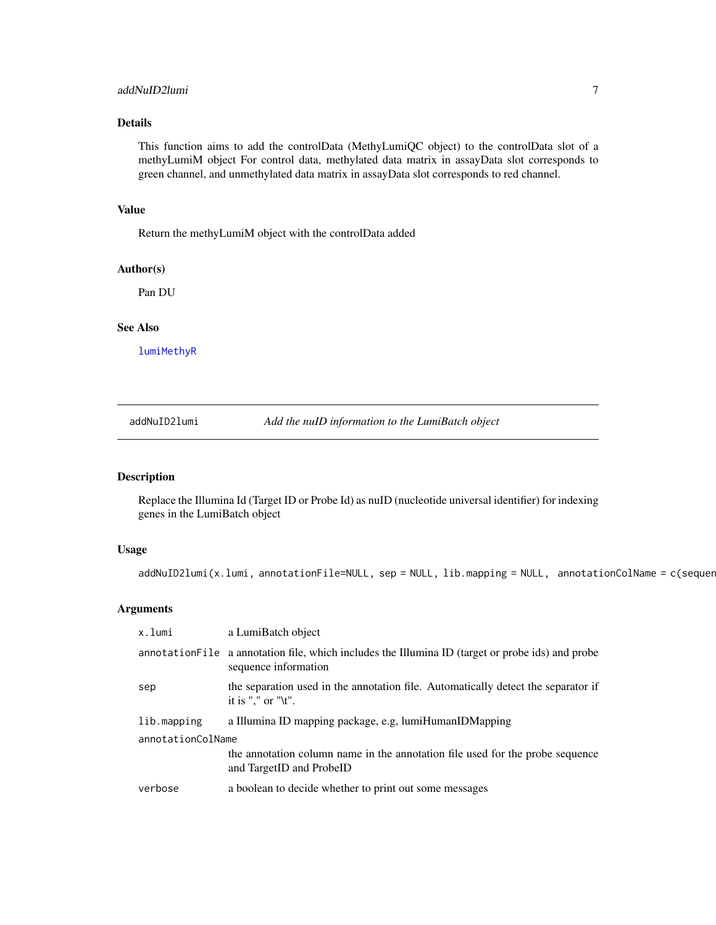#### <span id="page-6-0"></span>addNuID2lumi 7

# Details

This function aims to add the controlData (MethyLumiQC object) to the controlData slot of a methyLumiM object For control data, methylated data matrix in assayData slot corresponds to green channel, and unmethylated data matrix in assayData slot corresponds to red channel.

#### Value

Return the methyLumiM object with the controlData added

# Author(s)

Pan DU

# See Also

[lumiMethyR](#page-49-1)

addNuID2lumi *Add the nuID information to the LumiBatch object*

# Description

Replace the Illumina Id (Target ID or Probe Id) as nuID (nucleotide universal identifier) for indexing genes in the LumiBatch object

#### Usage

```
addNuID2lumi(x.lumi, annotationFile=NULL, sep = NULL, lib.mapping = NULL, annotationColName = c(sequer
```

| x.lumi            | a LumiBatch object                                                                                                        |  |
|-------------------|---------------------------------------------------------------------------------------------------------------------------|--|
|                   | annotation File a annotation file, which includes the Illumina ID (target or probe ids) and probe<br>sequence information |  |
| sep               | the separation used in the annotation file. Automatically detect the separator if<br>it is "," or " $\mathbf{t}$ ".       |  |
| lib.mapping       | a Illumina ID mapping package, e.g. lumiHumanIDMapping                                                                    |  |
| annotationColName |                                                                                                                           |  |
|                   | the annotation column name in the annotation file used for the probe sequence<br>and TargetID and ProbeID                 |  |
| verbose           | a boolean to decide whether to print out some messages                                                                    |  |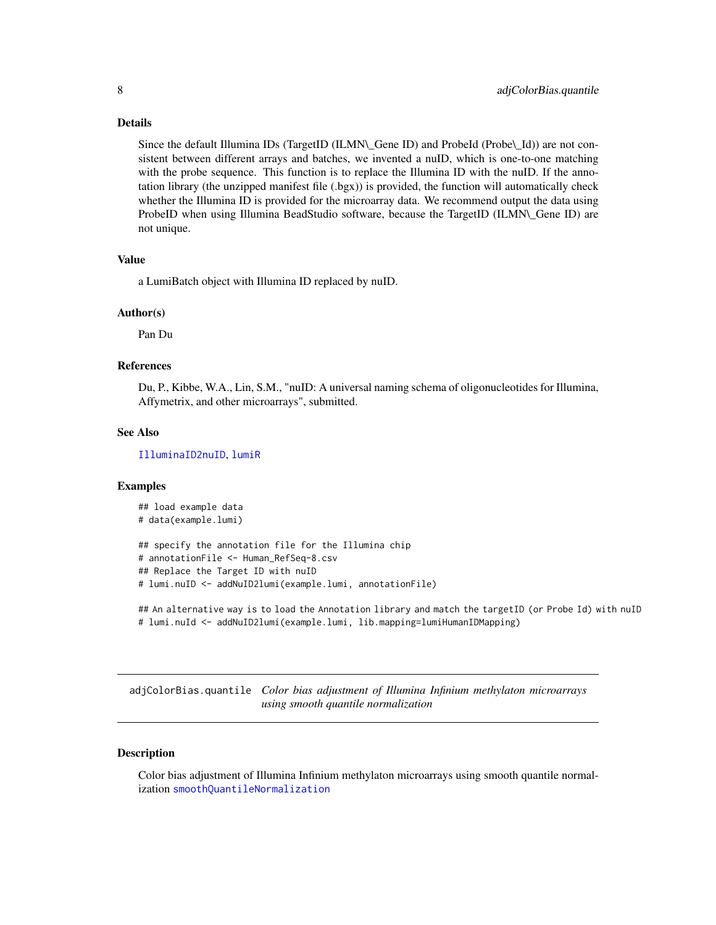#### <span id="page-7-0"></span>Details

Since the default Illumina IDs (TargetID (ILMN\\_Gene ID) and ProbeId (Probe\\_Id)) are not consistent between different arrays and batches, we invented a nuID, which is one-to-one matching with the probe sequence. This function is to replace the Illumina ID with the nuID. If the annotation library (the unzipped manifest file (.bgx)) is provided, the function will automatically check whether the Illumina ID is provided for the microarray data. We recommend output the data using ProbeID when using Illumina BeadStudio software, because the TargetID (ILMN\\_Gene ID) are not unique.

#### Value

a LumiBatch object with Illumina ID replaced by nuID.

#### Author(s)

Pan Du

#### References

Du, P., Kibbe, W.A., Lin, S.M., "nuID: A universal naming schema of oligonucleotides for Illumina, Affymetrix, and other microarrays", submitted.

#### See Also

[IlluminaID2nuID](#page-37-1), [lumiR](#page-53-1)

#### Examples

```
## load example data
# data(example.lumi)
## specify the annotation file for the Illumina chip
# annotationFile <- Human_RefSeq-8.csv
## Replace the Target ID with nuID
# lumi.nuID <- addNuID2lumi(example.lumi, annotationFile)
```

```
## An alternative way is to load the Annotation library and match the targetID (or Probe Id) with nuID
# lumi.nuId <- addNuID2lumi(example.lumi, lib.mapping=lumiHumanIDMapping)
```
<span id="page-7-1"></span>adjColorBias.quantile *Color bias adjustment of Illumina Infinium methylaton microarrays using smooth quantile normalization*

# **Description**

Color bias adjustment of Illumina Infinium methylaton microarrays using smooth quantile normalization [smoothQuantileNormalization](#page-92-1)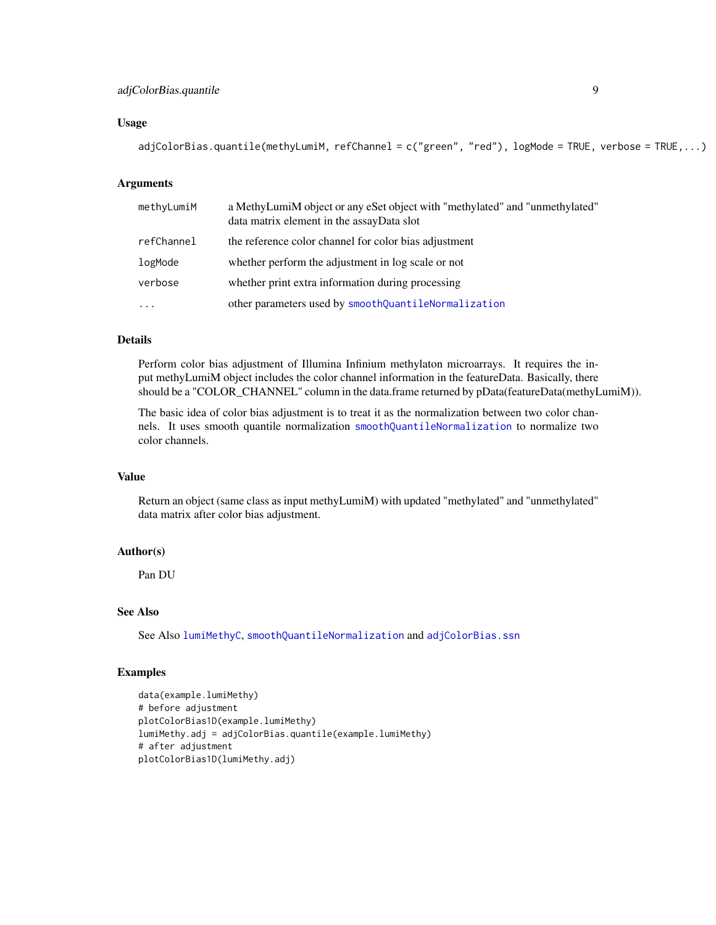# adjColorBias.quantile 9

#### Usage

adjColorBias.quantile(methyLumiM, refChannel = c("green", "red"), logMode = TRUE, verbose = TRUE,...)

#### **Arguments**

| methyLumiM | a MethyLumiM object or any eSet object with "methylated" and "unmethylated"<br>data matrix element in the assayData slot |
|------------|--------------------------------------------------------------------------------------------------------------------------|
| refChannel | the reference color channel for color bias adjustment                                                                    |
| logMode    | whether perform the adjustment in log scale or not                                                                       |
| verbose    | whether print extra information during processing                                                                        |
| $\cdots$   | other parameters used by smoothQuantileNormalization                                                                     |

# Details

Perform color bias adjustment of Illumina Infinium methylaton microarrays. It requires the input methyLumiM object includes the color channel information in the featureData. Basically, there should be a "COLOR\_CHANNEL" column in the data.frame returned by pData(featureData(methyLumiM)).

The basic idea of color bias adjustment is to treat it as the normalization between two color channels. It uses smooth quantile normalization [smoothQuantileNormalization](#page-92-1) to normalize two color channels.

#### Value

Return an object (same class as input methyLumiM) with updated "methylated" and "unmethylated" data matrix after color bias adjustment.

# Author(s)

Pan DU

# See Also

See Also [lumiMethyC](#page-47-1), [smoothQuantileNormalization](#page-92-1) and [adjColorBias.ssn](#page-9-1)

```
data(example.lumiMethy)
# before adjustment
plotColorBias1D(example.lumiMethy)
lumiMethy.adj = adjColorBias.quantile(example.lumiMethy)
# after adjustment
plotColorBias1D(lumiMethy.adj)
```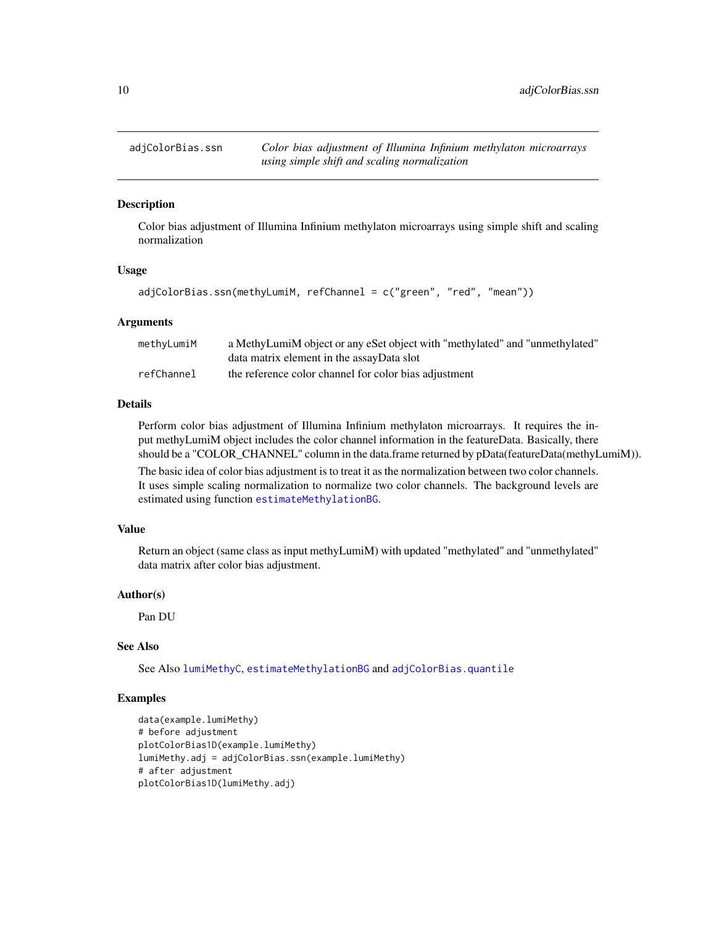<span id="page-9-1"></span><span id="page-9-0"></span>

Color bias adjustment of Illumina Infinium methylaton microarrays using simple shift and scaling normalization

#### Usage

```
adjColorBias.ssn(methyLumiM, refChannel = c("green", "red", "mean"))
```
#### Arguments

| methyLumiM | a MethyLumiM object or any eSet object with "methylated" and "unmethylated" |
|------------|-----------------------------------------------------------------------------|
|            | data matrix element in the assayData slot                                   |
| refChannel | the reference color channel for color bias adjustment                       |

# Details

Perform color bias adjustment of Illumina Infinium methylaton microarrays. It requires the input methyLumiM object includes the color channel information in the featureData. Basically, there should be a "COLOR\_CHANNEL" column in the data.frame returned by pData(featureData(methyLumiM)).

The basic idea of color bias adjustment is to treat it as the normalization between two color channels. It uses simple scaling normalization to normalize two color channels. The background levels are estimated using function [estimateMethylationBG](#page-25-1).

#### Value

Return an object (same class as input methyLumiM) with updated "methylated" and "unmethylated" data matrix after color bias adjustment.

#### Author(s)

Pan DU

#### See Also

See Also [lumiMethyC](#page-47-1), [estimateMethylationBG](#page-25-1) and [adjColorBias.quantile](#page-7-1)

```
data(example.lumiMethy)
# before adjustment
plotColorBias1D(example.lumiMethy)
lumiMethy.adj = adjColorBias.ssn(example.lumiMethy)
# after adjustment
plotColorBias1D(lumiMethy.adj)
```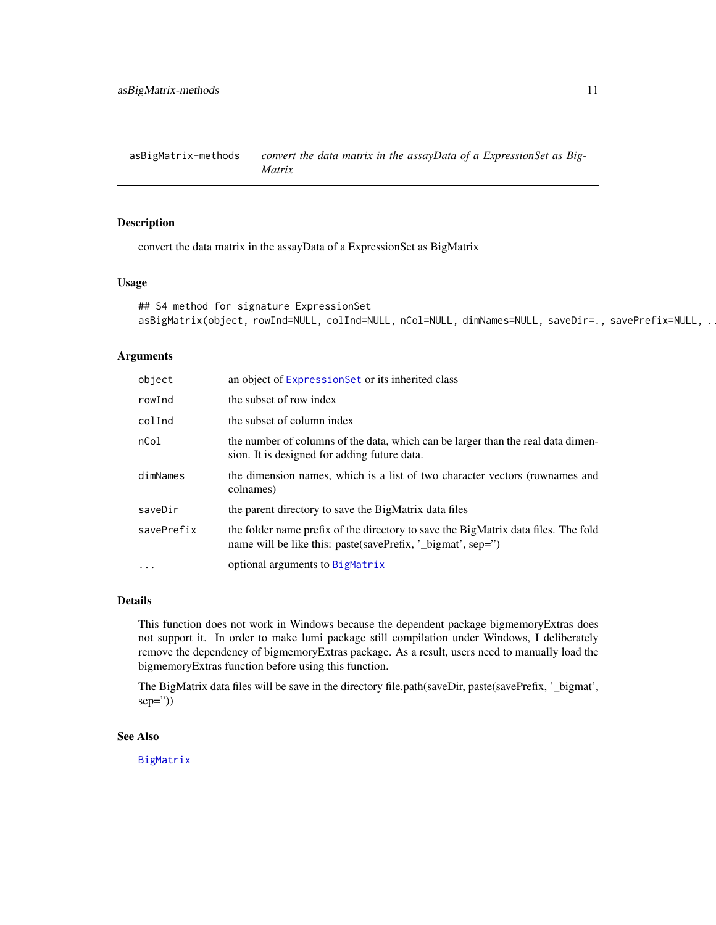<span id="page-10-0"></span>asBigMatrix-methods *convert the data matrix in the assayData of a ExpressionSet as Big-Matrix*

#### Description

convert the data matrix in the assayData of a ExpressionSet as BigMatrix

# Usage

```
## S4 method for signature ExpressionSet
asBigMatrix(object, rowInd=NULL, colInd=NULL, nCol=NULL, dimNames=NULL, saveDir=., savePrefix=NULL, .
```
#### Arguments

| object     | an object of Expression Set or its inherited class                                                                                                |
|------------|---------------------------------------------------------------------------------------------------------------------------------------------------|
| rowInd     | the subset of row index                                                                                                                           |
| colInd     | the subset of column index                                                                                                                        |
| nCo1       | the number of columns of the data, which can be larger than the real data dimen-<br>sion. It is designed for adding future data.                  |
| dimNames   | the dimension names, which is a list of two character vectors (rownames and<br>colnames)                                                          |
| saveDir    | the parent directory to save the BigMatrix data files                                                                                             |
| savePrefix | the folder name prefix of the directory to save the BigMatrix data files. The fold<br>name will be like this: paste(savePrefix, '_bigmat', sep=") |
| $\ddots$ . | optional arguments to BigMatrix                                                                                                                   |

#### Details

This function does not work in Windows because the dependent package bigmemoryExtras does not support it. In order to make lumi package still compilation under Windows, I deliberately remove the dependency of bigmemoryExtras package. As a result, users need to manually load the bigmemoryExtras function before using this function.

The BigMatrix data files will be save in the directory file.path(saveDir, paste(savePrefix, '\_bigmat',  $sep="$ )

#### See Also

[BigMatrix](#page-0-0)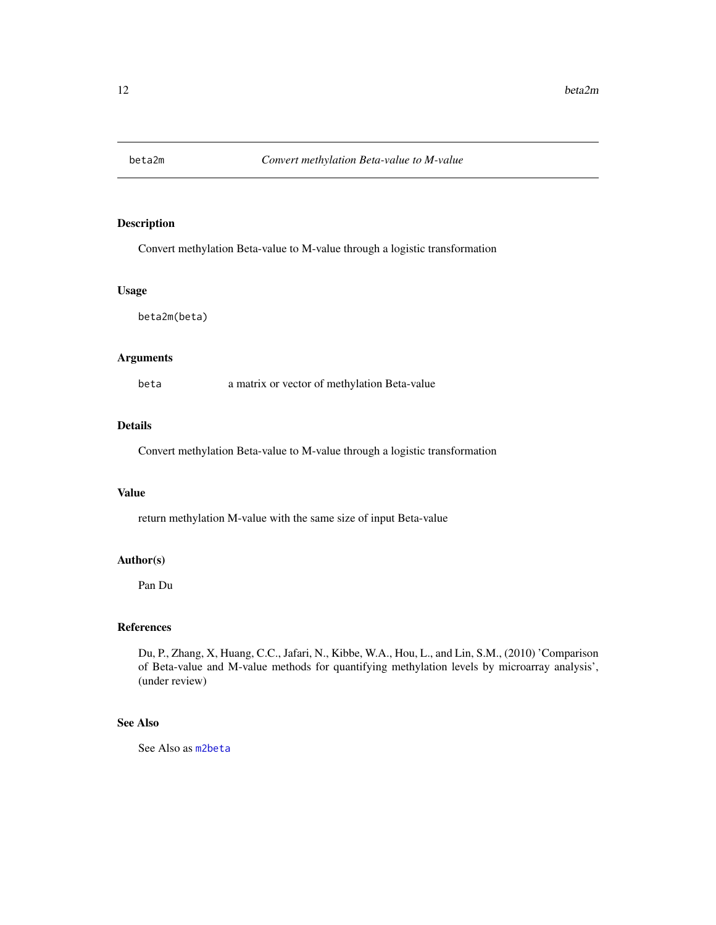<span id="page-11-0"></span>

Convert methylation Beta-value to M-value through a logistic transformation

#### Usage

beta2m(beta)

#### Arguments

beta a matrix or vector of methylation Beta-value

#### Details

Convert methylation Beta-value to M-value through a logistic transformation

#### Value

return methylation M-value with the same size of input Beta-value

#### Author(s)

Pan Du

# References

Du, P., Zhang, X, Huang, C.C., Jafari, N., Kibbe, W.A., Hou, L., and Lin, S.M., (2010) 'Comparison of Beta-value and M-value methods for quantifying methylation levels by microarray analysis', (under review)

# See Also

See Also as [m2beta](#page-58-1)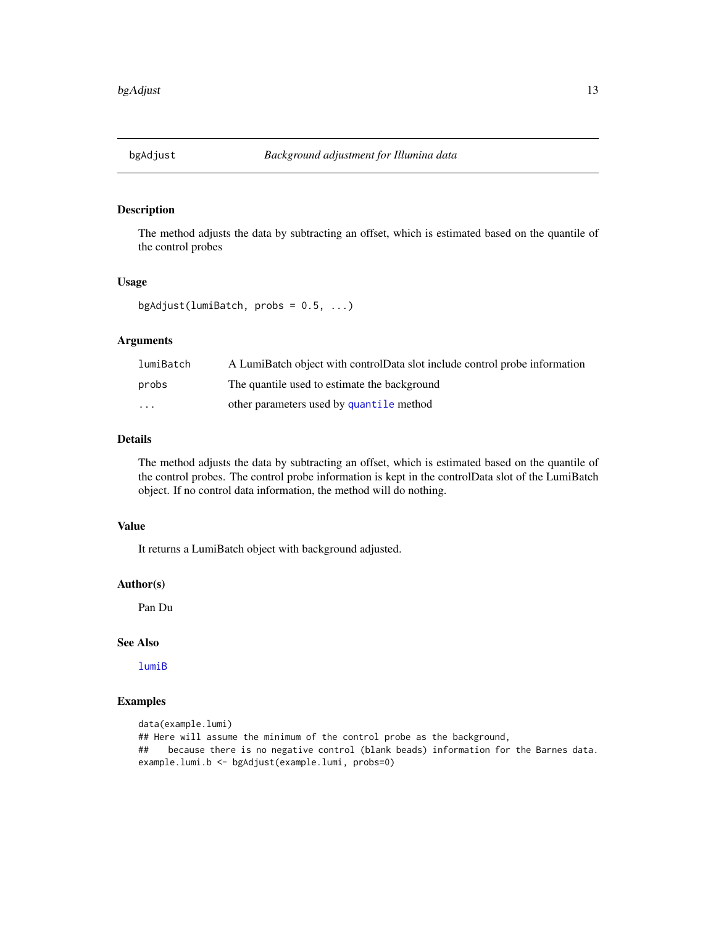<span id="page-12-0"></span>

The method adjusts the data by subtracting an offset, which is estimated based on the quantile of the control probes

# Usage

```
bgAdjust(lumiBatch, probs = 0.5, ...)
```
# Arguments

| lumiBatch               | A LumiBatch object with controlData slot include control probe information |
|-------------------------|----------------------------------------------------------------------------|
| probs                   | The quantile used to estimate the background                               |
| $\cdot$ $\cdot$ $\cdot$ | other parameters used by quantile method                                   |

# Details

The method adjusts the data by subtracting an offset, which is estimated based on the quantile of the control probes. The control probe information is kept in the controlData slot of the LumiBatch object. If no control data information, the method will do nothing.

# Value

It returns a LumiBatch object with background adjusted.

# Author(s)

Pan Du

# See Also

[lumiB](#page-41-1)

```
data(example.lumi)
## Here will assume the minimum of the control probe as the background,
## because there is no negative control (blank beads) information for the Barnes data.
example.lumi.b <- bgAdjust(example.lumi, probs=0)
```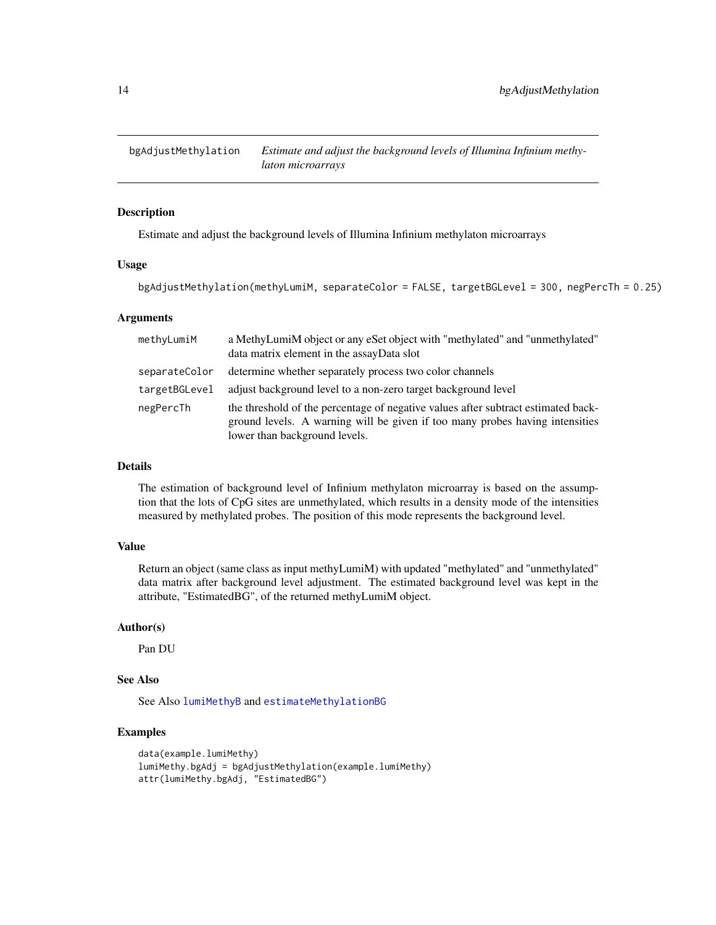<span id="page-13-1"></span><span id="page-13-0"></span>

Estimate and adjust the background levels of Illumina Infinium methylaton microarrays

#### Usage

```
bgAdjustMethylation(methyLumiM, separateColor = FALSE, targetBGLevel = 300, negPercTh = 0.25)
```
#### Arguments

| methyLumiM    | a MethyLumiM object or any eSet object with "methylated" and "unmethylated"<br>data matrix element in the assayData slot                                                                           |
|---------------|----------------------------------------------------------------------------------------------------------------------------------------------------------------------------------------------------|
| separateColor | determine whether separately process two color channels                                                                                                                                            |
| targetBGLevel | adjust background level to a non-zero target background level                                                                                                                                      |
| negPercTh     | the threshold of the percentage of negative values after subtract estimated back-<br>ground levels. A warning will be given if too many probes having intensities<br>lower than background levels. |

#### Details

The estimation of background level of Infinium methylaton microarray is based on the assumption that the lots of CpG sites are unmethylated, which results in a density mode of the intensities measured by methylated probes. The position of this mode represents the background level.

# Value

Return an object (same class as input methyLumiM) with updated "methylated" and "unmethylated" data matrix after background level adjustment. The estimated background level was kept in the attribute, "EstimatedBG", of the returned methyLumiM object.

#### Author(s)

Pan DU

# See Also

See Also [lumiMethyB](#page-46-1) and [estimateMethylationBG](#page-25-1)

```
data(example.lumiMethy)
lumiMethy.bgAdj = bgAdjustMethylation(example.lumiMethy)
attr(lumiMethy.bgAdj, "EstimatedBG")
```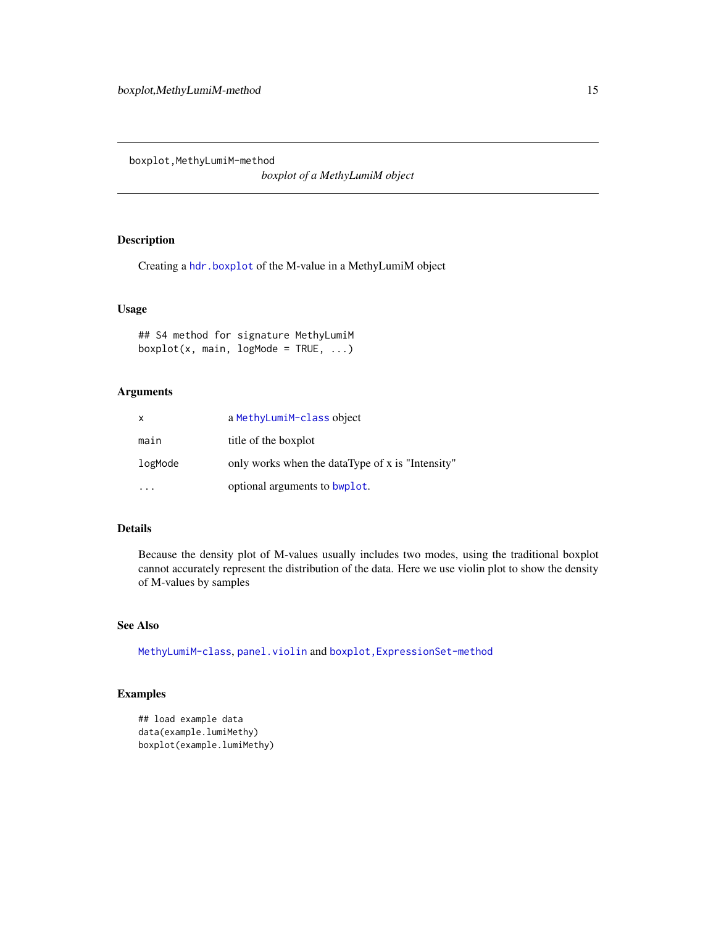<span id="page-14-0"></span>boxplot, MethyLumiM-method

*boxplot of a MethyLumiM object*

#### Description

Creating a [hdr.boxplot](#page-0-0) of the M-value in a MethyLumiM object

# Usage

## S4 method for signature MethyLumiM  $boxplot(x, main, logMode = TRUE, ...)$ 

# Arguments

| X       | a MethyLumiM-class object                        |
|---------|--------------------------------------------------|
| main    | title of the boxplot                             |
| logMode | only works when the dataType of x is "Intensity" |
|         | optional arguments to bwplot.                    |

# Details

Because the density plot of M-values usually includes two modes, using the traditional boxplot cannot accurately represent the distribution of the data. Here we use violin plot to show the density of M-values by samples

# See Also

[MethyLumiM-class](#page-0-0), [panel.violin](#page-0-0) and boxplot, ExpressionSet-method

```
## load example data
data(example.lumiMethy)
boxplot(example.lumiMethy)
```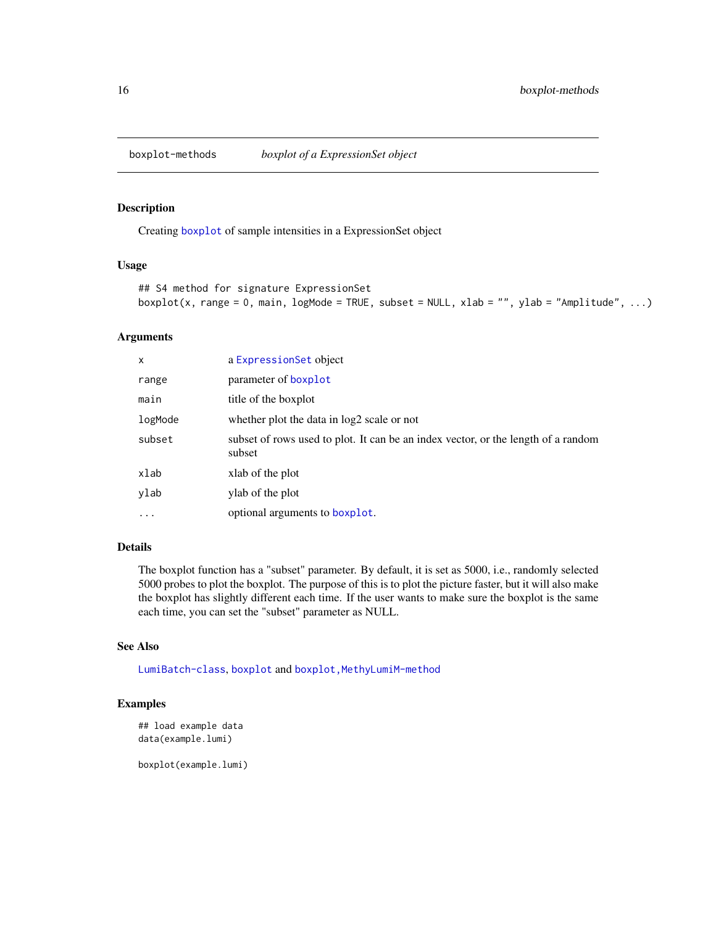<span id="page-15-0"></span>

Creating [boxplot](#page-0-0) of sample intensities in a ExpressionSet object

#### Usage

```
## S4 method for signature ExpressionSet
boxplot(x, range = 0, main, logMode = TRUE, subset = NULL, xlab = "", ylab = "Amplitude", ...)
```
# Arguments

| X        | a ExpressionSet object                                                                      |
|----------|---------------------------------------------------------------------------------------------|
| range    | parameter of boxplot                                                                        |
| main     | title of the boxplot                                                                        |
| logMode  | whether plot the data in log2 scale or not                                                  |
| subset   | subset of rows used to plot. It can be an index vector, or the length of a random<br>subset |
| xlab     | xlab of the plot                                                                            |
| ylab     | ylab of the plot                                                                            |
| $\cdots$ | optional arguments to boxplot.                                                              |

# Details

The boxplot function has a "subset" parameter. By default, it is set as 5000, i.e., randomly selected 5000 probes to plot the boxplot. The purpose of this is to plot the picture faster, but it will also make the boxplot has slightly different each time. If the user wants to make sure the boxplot is the same each time, you can set the "subset" parameter as NULL.

# See Also

[LumiBatch-class](#page-43-1), [boxplot](#page-0-0) and [boxplot,MethyLumiM-method](#page-0-0)

#### Examples

```
## load example data
data(example.lumi)
```
boxplot(example.lumi)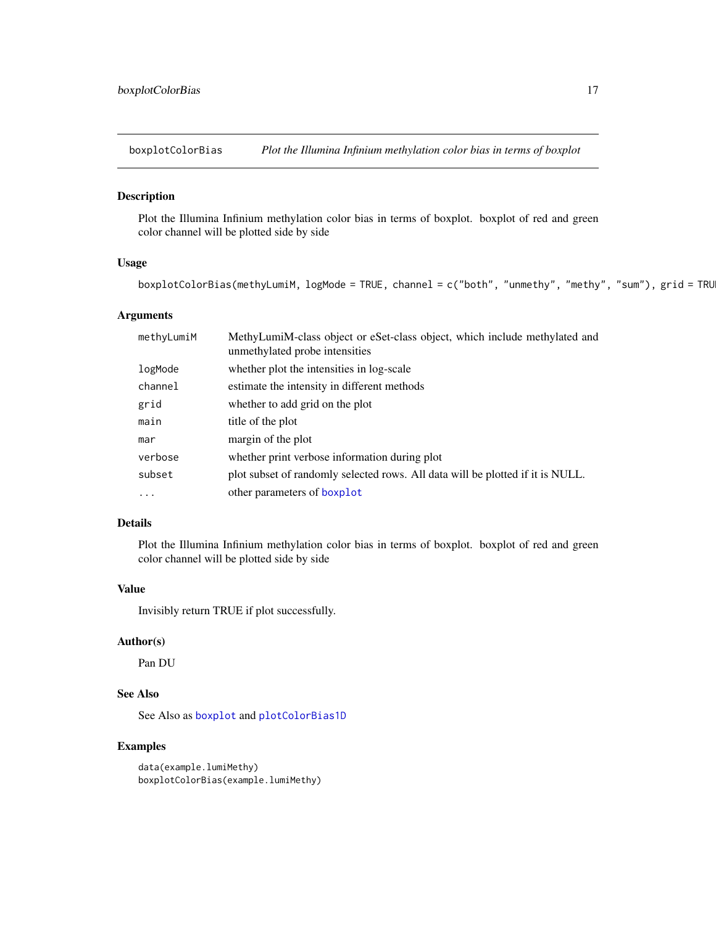<span id="page-16-0"></span>

Plot the Illumina Infinium methylation color bias in terms of boxplot. boxplot of red and green color channel will be plotted side by side

# Usage

```
boxplotColorBias(methyLumiM, logMode = TRUE, channel = c("both", "unmethy", "methy", "sum"), grid = TRU
```
# Arguments

| methyLumiM | MethyLumiM-class object or eSet-class object, which include methylated and<br>unmethylated probe intensities |
|------------|--------------------------------------------------------------------------------------------------------------|
| logMode    | whether plot the intensities in log-scale                                                                    |
| channel    | estimate the intensity in different methods                                                                  |
| grid       | whether to add grid on the plot                                                                              |
| main       | title of the plot                                                                                            |
| mar        | margin of the plot                                                                                           |
| verbose    | whether print verbose information during plot                                                                |
| subset     | plot subset of randomly selected rows. All data will be plotted if it is NULL.                               |
| $\cdots$   | other parameters of boxplot                                                                                  |

# Details

Plot the Illumina Infinium methylation color bias in terms of boxplot. boxplot of red and green color channel will be plotted side by side

#### Value

Invisibly return TRUE if plot successfully.

# Author(s)

Pan DU

# See Also

See Also as [boxplot](#page-0-0) and [plotColorBias1D](#page-73-1)

# Examples

data(example.lumiMethy) boxplotColorBias(example.lumiMethy)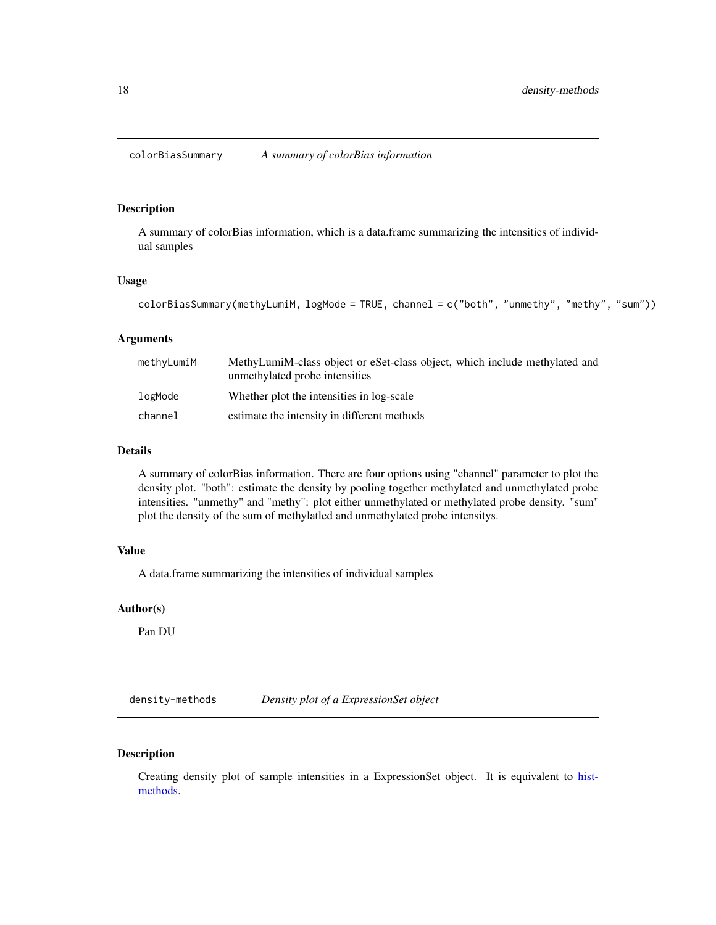<span id="page-17-0"></span>colorBiasSummary *A summary of colorBias information*

#### Description

A summary of colorBias information, which is a data.frame summarizing the intensities of individual samples

#### Usage

```
colorBiasSummary(methyLumiM, logMode = TRUE, channel = c("both", "unmethy", "methy", "sum"))
```
#### Arguments

| methyLumiM | MethyLumiM-class object or eSet-class object, which include methylated and<br>unmethylated probe intensities |
|------------|--------------------------------------------------------------------------------------------------------------|
| logMode    | Whether plot the intensities in log-scale                                                                    |
| channel    | estimate the intensity in different methods                                                                  |

# Details

A summary of colorBias information. There are four options using "channel" parameter to plot the density plot. "both": estimate the density by pooling together methylated and unmethylated probe intensities. "unmethy" and "methy": plot either unmethylated or methylated probe density. "sum" plot the density of the sum of methylatled and unmethylated probe intensitys.

# Value

A data.frame summarizing the intensities of individual samples

#### Author(s)

Pan DU

density-methods *Density plot of a ExpressionSet object*

# Description

Creating density plot of sample intensities in a ExpressionSet object. It is equivalent to [hist](#page-36-1)[methods.](#page-36-1)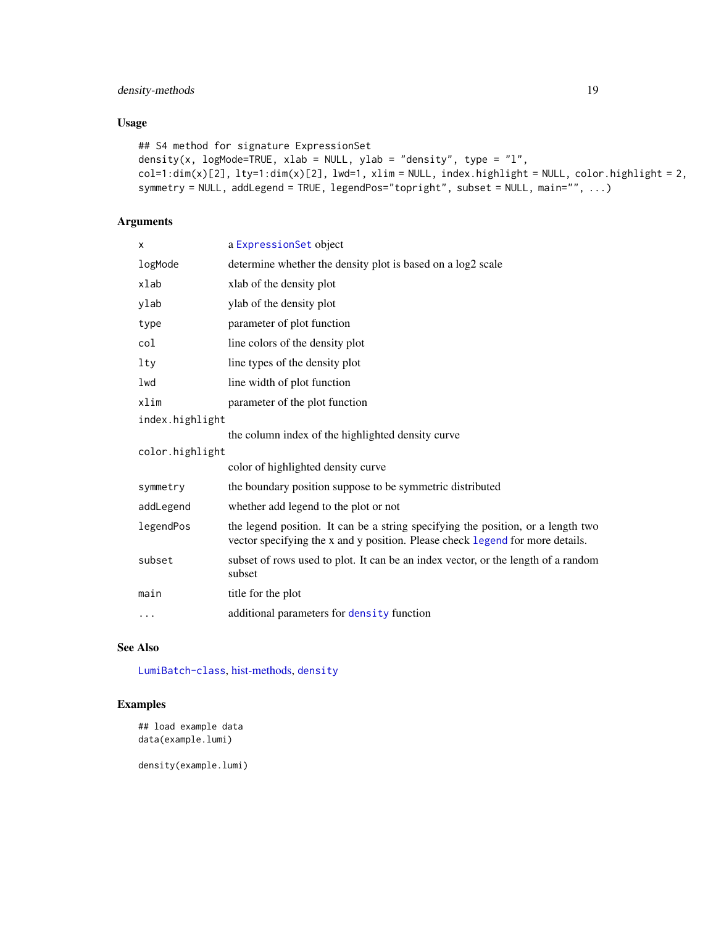# density-methods 19

# Usage

```
## S4 method for signature ExpressionSet
density(x, logMode=TRUE, xlab = NULL, ylab = "density", type = "l",
col=1:dim(x)[2], lty=1:dim(x)[2], lwd=1, xlim = NULL, index.highlight = NULL, color.highlight = 2,
symmetry = NULL, addLegend = TRUE, legendPos="topright", subset = NULL, main="", ...)
```
# Arguments

| x               | a ExpressionSet object                                                                                                                                            |  |
|-----------------|-------------------------------------------------------------------------------------------------------------------------------------------------------------------|--|
| logMode         | determine whether the density plot is based on a log2 scale                                                                                                       |  |
| xlab            | xlab of the density plot                                                                                                                                          |  |
| ylab            | ylab of the density plot                                                                                                                                          |  |
| type            | parameter of plot function                                                                                                                                        |  |
| col             | line colors of the density plot                                                                                                                                   |  |
| lty             | line types of the density plot                                                                                                                                    |  |
| lwd             | line width of plot function                                                                                                                                       |  |
| xlim            | parameter of the plot function                                                                                                                                    |  |
| index.highlight |                                                                                                                                                                   |  |
|                 | the column index of the highlighted density curve                                                                                                                 |  |
| color.highlight |                                                                                                                                                                   |  |
|                 | color of highlighted density curve                                                                                                                                |  |
| symmetry        | the boundary position suppose to be symmetric distributed                                                                                                         |  |
| addLegend       | whether add legend to the plot or not                                                                                                                             |  |
| legendPos       | the legend position. It can be a string specifying the position, or a length two<br>vector specifying the x and y position. Please check legend for more details. |  |
| subset          | subset of rows used to plot. It can be an index vector, or the length of a random<br>subset                                                                       |  |
| main            | title for the plot                                                                                                                                                |  |
| $\cdots$        | additional parameters for density function                                                                                                                        |  |

# See Also

[LumiBatch-class](#page-43-1), [hist-methods,](#page-36-1) [density](#page-0-0)

# Examples

```
## load example data
data(example.lumi)
```
density(example.lumi)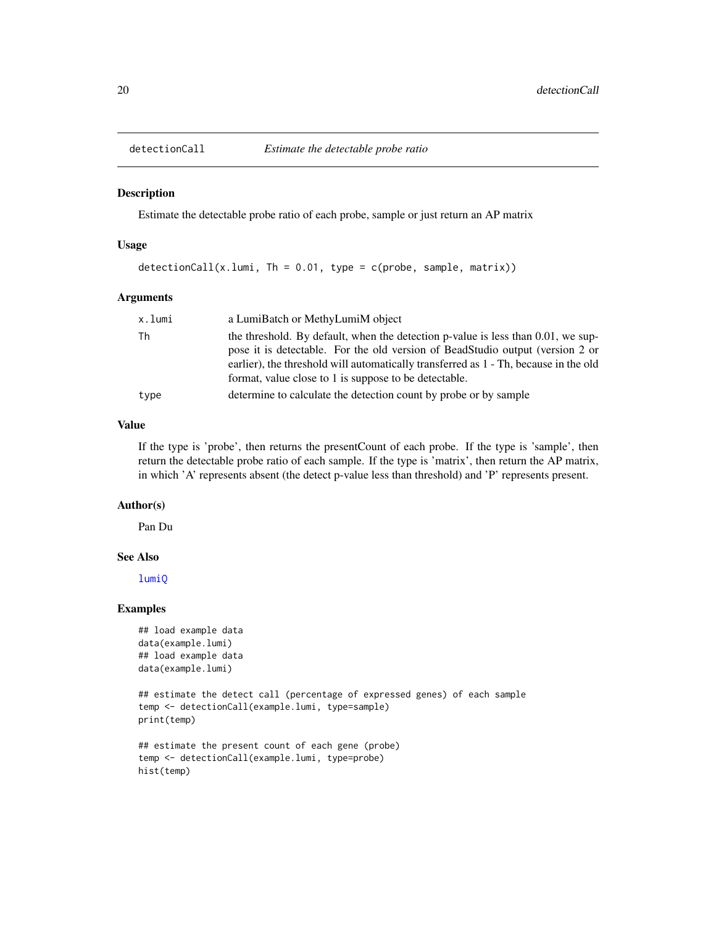<span id="page-19-0"></span>

Estimate the detectable probe ratio of each probe, sample or just return an AP matrix

# Usage

```
detectionCall(x.lumi, Th = 0.01, type = c(probe, sample, matrix))
```
#### Arguments

| the threshold. By default, when the detection p-value is less than 0.01, we sup-<br>pose it is detectable. For the old version of BeadStudio output (version 2 or<br>earlier), the threshold will automatically transferred as 1 - Th, because in the old<br>format, value close to 1 is suppose to be detectable. |
|--------------------------------------------------------------------------------------------------------------------------------------------------------------------------------------------------------------------------------------------------------------------------------------------------------------------|
| determine to calculate the detection count by probe or by sample                                                                                                                                                                                                                                                   |
|                                                                                                                                                                                                                                                                                                                    |

# Value

If the type is 'probe', then returns the presentCount of each probe. If the type is 'sample', then return the detectable probe ratio of each sample. If the type is 'matrix', then return the AP matrix, in which 'A' represents absent (the detect p-value less than threshold) and 'P' represents present.

#### Author(s)

Pan Du

#### See Also

[lumiQ](#page-52-1)

```
## load example data
data(example.lumi)
## load example data
data(example.lumi)
```

```
## estimate the detect call (percentage of expressed genes) of each sample
temp <- detectionCall(example.lumi, type=sample)
print(temp)
```

```
## estimate the present count of each gene (probe)
temp <- detectionCall(example.lumi, type=probe)
hist(temp)
```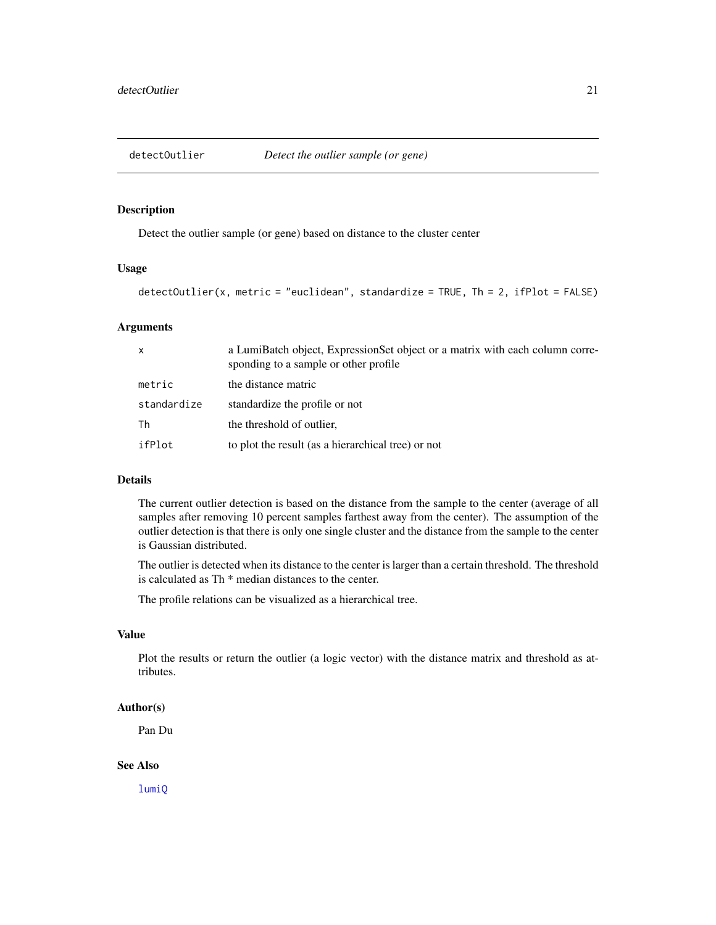<span id="page-20-0"></span>

Detect the outlier sample (or gene) based on distance to the cluster center

# Usage

```
detectOutlier(x, metric = "euclidean", standardize = TRUE, Th = 2, ifPlot = FALSE)
```
# Arguments

| $\mathsf{x}$ | a LumiBatch object, ExpressionSet object or a matrix with each column corre-<br>sponding to a sample or other profile |
|--------------|-----------------------------------------------------------------------------------------------------------------------|
| metric       | the distance matric                                                                                                   |
| standardize  | standardize the profile or not                                                                                        |
| Th           | the threshold of outlier,                                                                                             |
| ifPlot       | to plot the result (as a hierarchical tree) or not                                                                    |

#### Details

The current outlier detection is based on the distance from the sample to the center (average of all samples after removing 10 percent samples farthest away from the center). The assumption of the outlier detection is that there is only one single cluster and the distance from the sample to the center is Gaussian distributed.

The outlier is detected when its distance to the center is larger than a certain threshold. The threshold is calculated as Th \* median distances to the center.

The profile relations can be visualized as a hierarchical tree.

#### Value

Plot the results or return the outlier (a logic vector) with the distance matrix and threshold as attributes.

# Author(s)

Pan Du

#### See Also

[lumiQ](#page-52-1)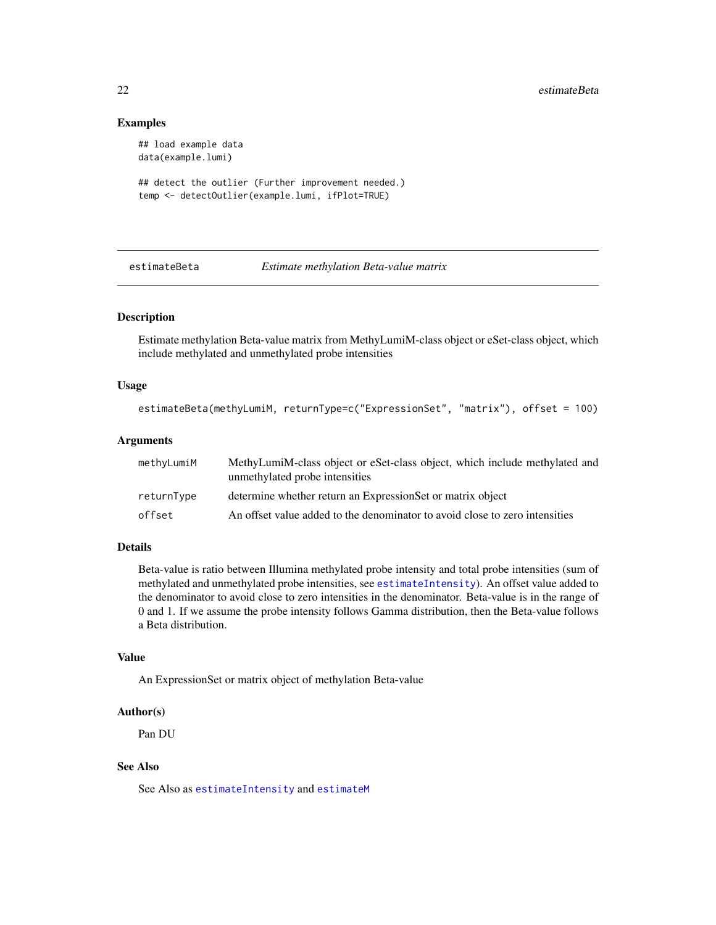#### Examples

```
## load example data
data(example.lumi)
## detect the outlier (Further improvement needed.)
temp <- detectOutlier(example.lumi, ifPlot=TRUE)
```
<span id="page-21-1"></span>

estimateBeta *Estimate methylation Beta-value matrix*

# Description

Estimate methylation Beta-value matrix from MethyLumiM-class object or eSet-class object, which include methylated and unmethylated probe intensities

# Usage

```
estimateBeta(methyLumiM, returnType=c("ExpressionSet", "matrix"), offset = 100)
```
#### Arguments

| methyLumiM | MethyLumiM-class object or eSet-class object, which include methylated and<br>unmethylated probe intensities |
|------------|--------------------------------------------------------------------------------------------------------------|
| returnType | determine whether return an ExpressionSet or matrix object                                                   |
| offset     | An offset value added to the denominator to avoid close to zero intensities                                  |

# Details

Beta-value is ratio between Illumina methylated probe intensity and total probe intensities (sum of methylated and unmethylated probe intensities, see [estimateIntensity](#page-22-1)). An offset value added to the denominator to avoid close to zero intensities in the denominator. Beta-value is in the range of 0 and 1. If we assume the probe intensity follows Gamma distribution, then the Beta-value follows a Beta distribution.

#### Value

An ExpressionSet or matrix object of methylation Beta-value

#### Author(s)

Pan DU

# See Also

See Also as [estimateIntensity](#page-22-1) and [estimateM](#page-24-1)

<span id="page-21-0"></span>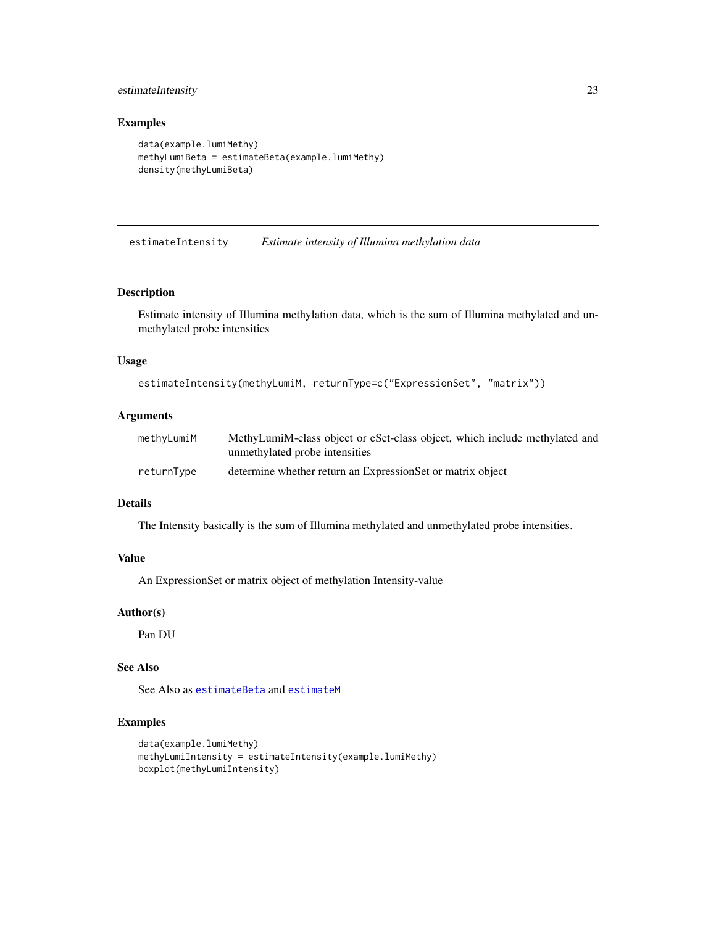# <span id="page-22-0"></span>estimateIntensity 23

#### Examples

```
data(example.lumiMethy)
methyLumiBeta = estimateBeta(example.lumiMethy)
density(methyLumiBeta)
```
<span id="page-22-1"></span>estimateIntensity *Estimate intensity of Illumina methylation data*

#### Description

Estimate intensity of Illumina methylation data, which is the sum of Illumina methylated and unmethylated probe intensities

#### Usage

```
estimateIntensity(methyLumiM, returnType=c("ExpressionSet", "matrix"))
```
#### Arguments

| methyLumiM | MethyLumiM-class object or eSet-class object, which include methylated and |
|------------|----------------------------------------------------------------------------|
|            | unmethylated probe intensities                                             |
| returnType | determine whether return an ExpressionSet or matrix object                 |

#### Details

The Intensity basically is the sum of Illumina methylated and unmethylated probe intensities.

#### Value

An ExpressionSet or matrix object of methylation Intensity-value

#### Author(s)

Pan DU

# See Also

See Also as [estimateBeta](#page-21-1) and [estimateM](#page-24-1)

```
data(example.lumiMethy)
methyLumiIntensity = estimateIntensity(example.lumiMethy)
boxplot(methyLumiIntensity)
```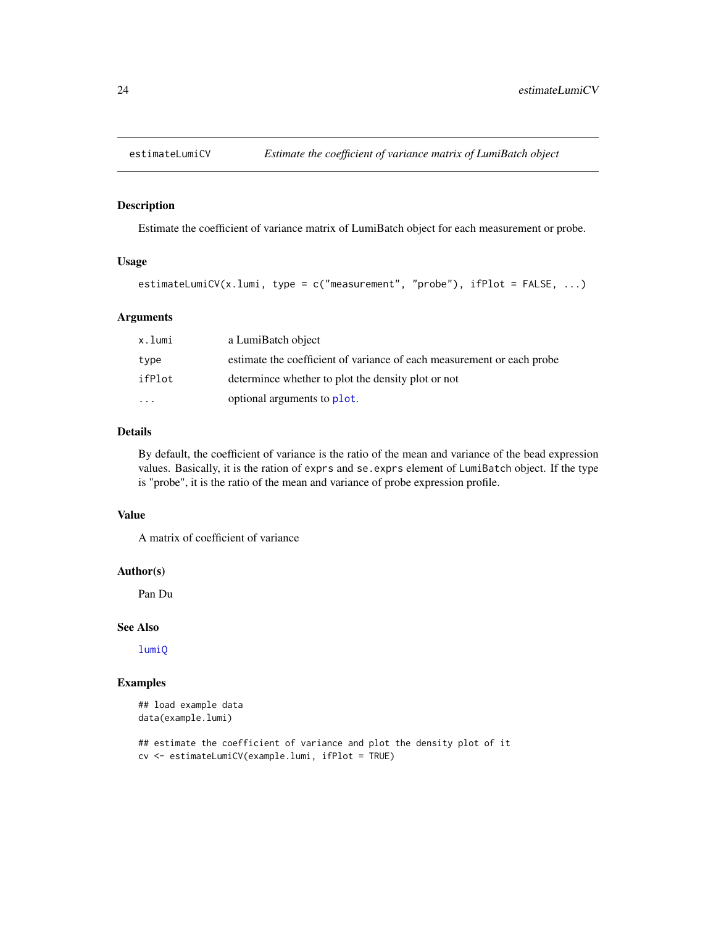<span id="page-23-0"></span>

Estimate the coefficient of variance matrix of LumiBatch object for each measurement or probe.

#### Usage

```
estimateLumiCV(x.lumi, type = c("measurement", "probe"), ifPlot = FALSE, ...)
```
#### Arguments

| x.lumi                  | a LumiBatch object                                                     |
|-------------------------|------------------------------------------------------------------------|
| type                    | estimate the coefficient of variance of each measurement or each probe |
| ifPlot                  | determined whether to plot the density plot or not                     |
| $\cdot$ $\cdot$ $\cdot$ | optional arguments to plot.                                            |

# Details

By default, the coefficient of variance is the ratio of the mean and variance of the bead expression values. Basically, it is the ration of exprs and se.exprs element of LumiBatch object. If the type is "probe", it is the ratio of the mean and variance of probe expression profile.

# Value

A matrix of coefficient of variance

#### Author(s)

Pan Du

# See Also

[lumiQ](#page-52-1)

```
## load example data
data(example.lumi)
```

```
## estimate the coefficient of variance and plot the density plot of it
cv <- estimateLumiCV(example.lumi, ifPlot = TRUE)
```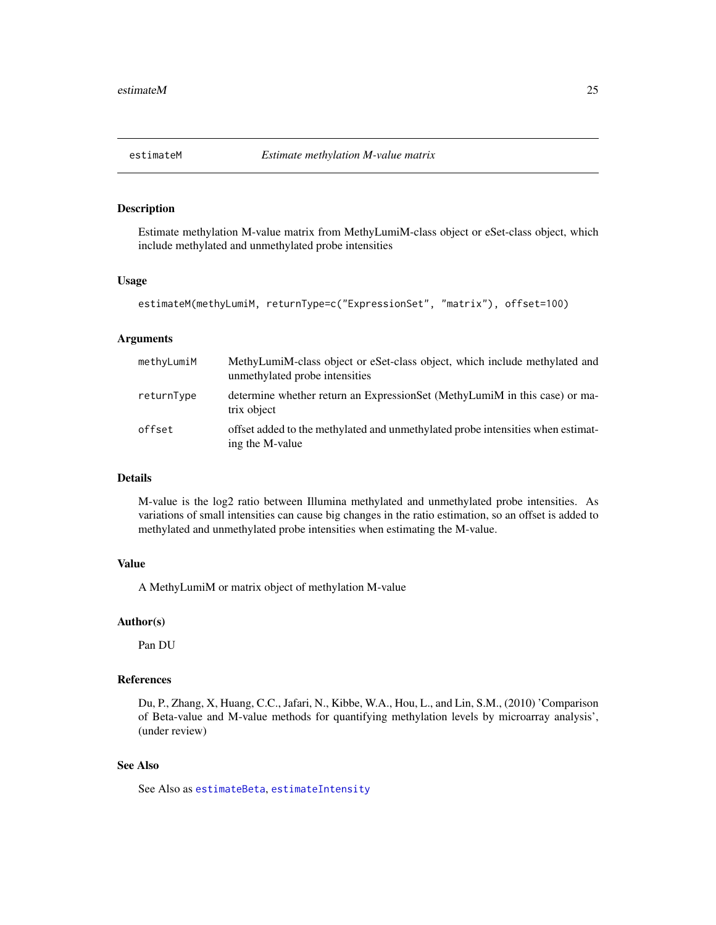<span id="page-24-1"></span><span id="page-24-0"></span>

Estimate methylation M-value matrix from MethyLumiM-class object or eSet-class object, which include methylated and unmethylated probe intensities

#### Usage

```
estimateM(methyLumiM, returnType=c("ExpressionSet", "matrix"), offset=100)
```
#### Arguments

| methyLumiM | MethyLumiM-class object or eSet-class object, which include methylated and<br>unmethylated probe intensities |
|------------|--------------------------------------------------------------------------------------------------------------|
| returnType | determine whether return an ExpressionSet (MethyLumiM in this case) or ma-<br>trix object                    |
| offset     | offset added to the methylated and unmethylated probe intensities when estimat-<br>ing the M-value           |

#### Details

M-value is the log2 ratio between Illumina methylated and unmethylated probe intensities. As variations of small intensities can cause big changes in the ratio estimation, so an offset is added to methylated and unmethylated probe intensities when estimating the M-value.

#### Value

A MethyLumiM or matrix object of methylation M-value

#### Author(s)

Pan DU

#### References

Du, P., Zhang, X, Huang, C.C., Jafari, N., Kibbe, W.A., Hou, L., and Lin, S.M., (2010) 'Comparison of Beta-value and M-value methods for quantifying methylation levels by microarray analysis', (under review)

# See Also

See Also as [estimateBeta](#page-21-1), [estimateIntensity](#page-22-1)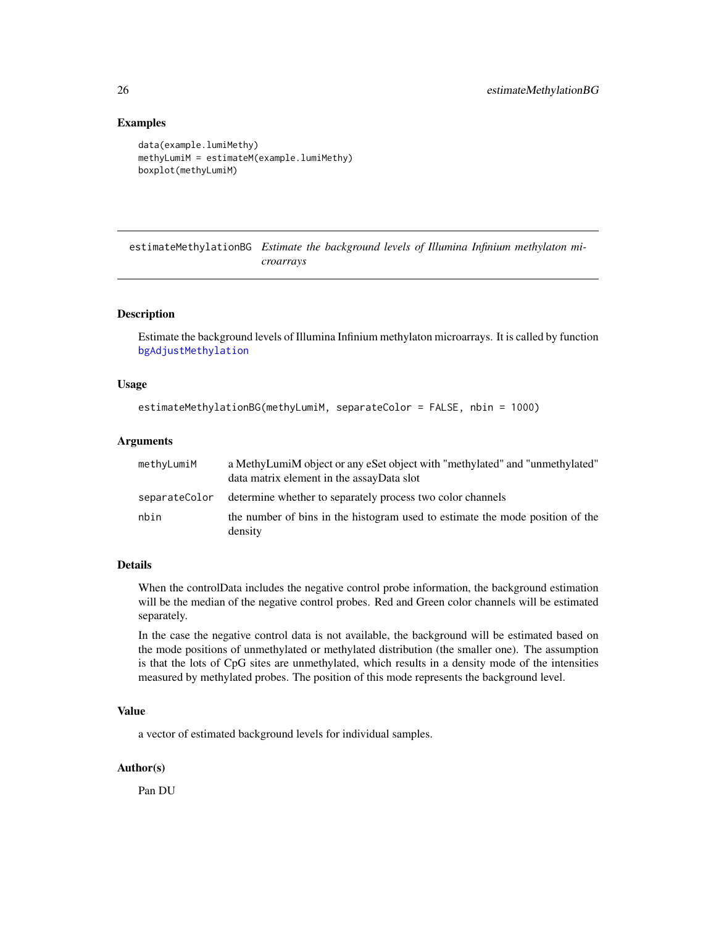#### Examples

```
data(example.lumiMethy)
methyLumiM = estimateM(example.lumiMethy)
boxplot(methyLumiM)
```
<span id="page-25-1"></span>estimateMethylationBG *Estimate the background levels of Illumina Infinium methylaton microarrays*

# Description

Estimate the background levels of Illumina Infinium methylaton microarrays. It is called by function [bgAdjustMethylation](#page-13-1)

#### Usage

```
estimateMethylationBG(methyLumiM, separateColor = FALSE, nbin = 1000)
```
# Arguments

| methyLumiM | a MethyLumiM object or any eSet object with "methylated" and "unmethylated"<br>data matrix element in the assayData slot |
|------------|--------------------------------------------------------------------------------------------------------------------------|
|            | separateColor determine whether to separately process two color channels                                                 |
| nbin       | the number of bins in the histogram used to estimate the mode position of the<br>density                                 |

# Details

When the controlData includes the negative control probe information, the background estimation will be the median of the negative control probes. Red and Green color channels will be estimated separately.

In the case the negative control data is not available, the background will be estimated based on the mode positions of unmethylated or methylated distribution (the smaller one). The assumption is that the lots of CpG sites are unmethylated, which results in a density mode of the intensities measured by methylated probes. The position of this mode represents the background level.

#### Value

a vector of estimated background levels for individual samples.

#### Author(s)

Pan DU

<span id="page-25-0"></span>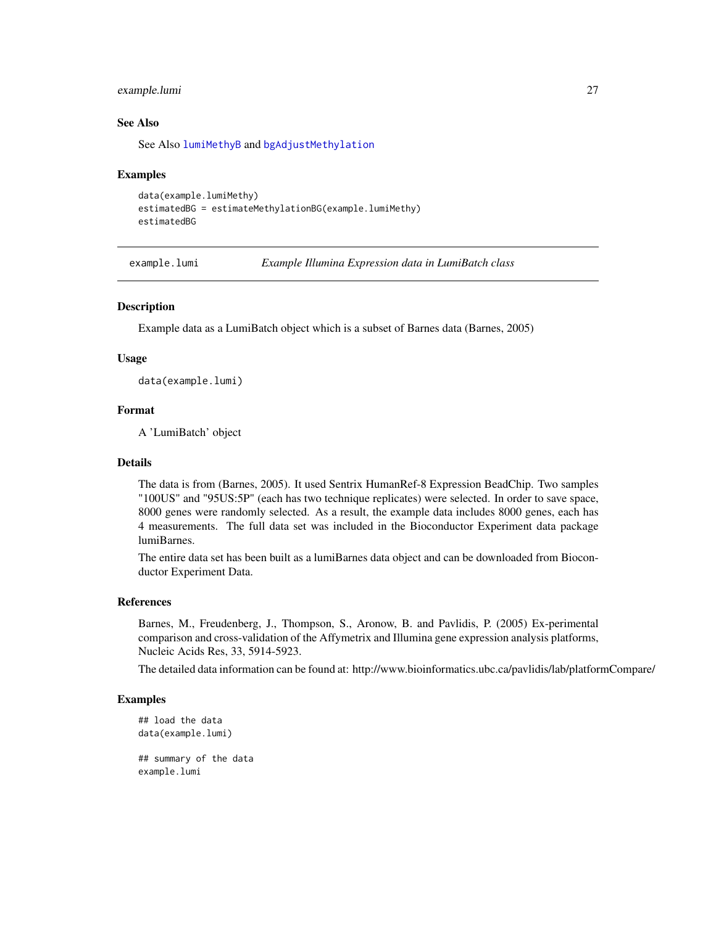# <span id="page-26-0"></span>example.lumi 27

# See Also

See Also [lumiMethyB](#page-46-1) and [bgAdjustMethylation](#page-13-1)

#### Examples

```
data(example.lumiMethy)
estimatedBG = estimateMethylationBG(example.lumiMethy)
estimatedBG
```
example.lumi *Example Illumina Expression data in LumiBatch class*

#### Description

Example data as a LumiBatch object which is a subset of Barnes data (Barnes, 2005)

# Usage

data(example.lumi)

# Format

A 'LumiBatch' object

#### Details

The data is from (Barnes, 2005). It used Sentrix HumanRef-8 Expression BeadChip. Two samples "100US" and "95US:5P" (each has two technique replicates) were selected. In order to save space, 8000 genes were randomly selected. As a result, the example data includes 8000 genes, each has 4 measurements. The full data set was included in the Bioconductor Experiment data package lumiBarnes.

The entire data set has been built as a lumiBarnes data object and can be downloaded from Bioconductor Experiment Data.

#### References

Barnes, M., Freudenberg, J., Thompson, S., Aronow, B. and Pavlidis, P. (2005) Ex-perimental comparison and cross-validation of the Affymetrix and Illumina gene expression analysis platforms, Nucleic Acids Res, 33, 5914-5923.

The detailed data information can be found at: http://www.bioinformatics.ubc.ca/pavlidis/lab/platformCompare/

```
## load the data
data(example.lumi)
## summary of the data
example.lumi
```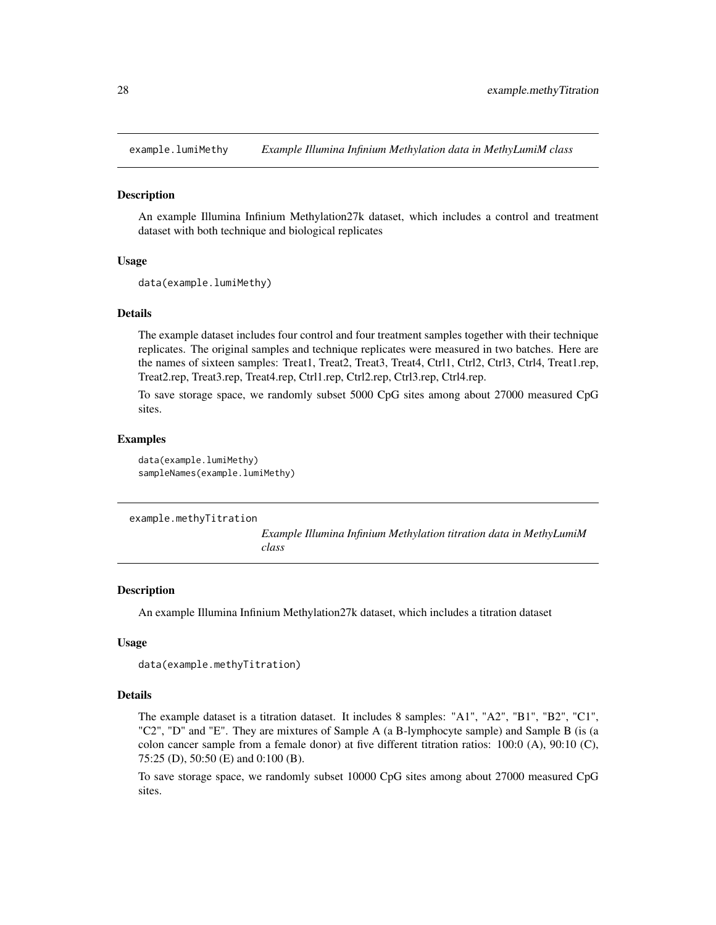<span id="page-27-0"></span>

An example Illumina Infinium Methylation27k dataset, which includes a control and treatment dataset with both technique and biological replicates

#### Usage

```
data(example.lumiMethy)
```
#### Details

The example dataset includes four control and four treatment samples together with their technique replicates. The original samples and technique replicates were measured in two batches. Here are the names of sixteen samples: Treat1, Treat2, Treat3, Treat4, Ctrl1, Ctrl2, Ctrl3, Ctrl4, Treat1.rep, Treat2.rep, Treat3.rep, Treat4.rep, Ctrl1.rep, Ctrl2.rep, Ctrl3.rep, Ctrl4.rep.

To save storage space, we randomly subset 5000 CpG sites among about 27000 measured CpG sites.

#### Examples

data(example.lumiMethy) sampleNames(example.lumiMethy)

example.methyTitration

*Example Illumina Infinium Methylation titration data in MethyLumiM class*

#### Description

An example Illumina Infinium Methylation27k dataset, which includes a titration dataset

#### Usage

```
data(example.methyTitration)
```
#### Details

The example dataset is a titration dataset. It includes 8 samples: "A1", "A2", "B1", "B2", "C1", "C2", "D" and "E". They are mixtures of Sample A (a B-lymphocyte sample) and Sample B (is (a colon cancer sample from a female donor) at five different titration ratios: 100:0 (A), 90:10 (C), 75:25 (D), 50:50 (E) and 0:100 (B).

To save storage space, we randomly subset 10000 CpG sites among about 27000 measured CpG sites.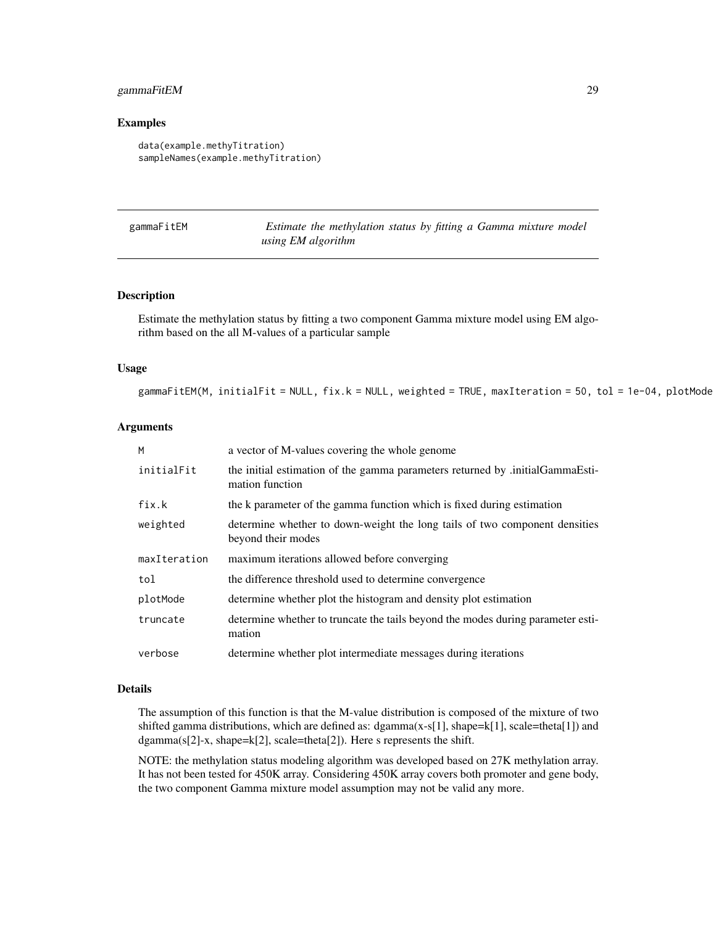# <span id="page-28-0"></span>gammaFitEM 29

#### Examples

```
data(example.methyTitration)
sampleNames(example.methyTitration)
```

| gammaFitEM |  |  |  |
|------------|--|--|--|
|            |  |  |  |

Estimate the methylation status by fitting a Gamma mixture model *using EM algorithm*

#### Description

Estimate the methylation status by fitting a two component Gamma mixture model using EM algorithm based on the all M-values of a particular sample

#### Usage

gammaFitEM(M, initialFit = NULL,  $fix.k = NULL$ , weighted = TRUE, maxIteration = 50, tol = 1e-04, plotMode

#### Arguments

| M            | a vector of M-values covering the whole genome                                                   |
|--------------|--------------------------------------------------------------------------------------------------|
| initialFit   | the initial estimation of the gamma parameters returned by .initialGammaEsti-<br>mation function |
| fix.k        | the k parameter of the gamma function which is fixed during estimation                           |
| weighted     | determine whether to down-weight the long tails of two component densities<br>beyond their modes |
| maxIteration | maximum iterations allowed before converging                                                     |
| tol          | the difference threshold used to determine convergence                                           |
| plotMode     | determine whether plot the histogram and density plot estimation                                 |
| truncate     | determine whether to truncate the tails beyond the modes during parameter esti-<br>mation        |
| verbose      | determine whether plot intermediate messages during iterations                                   |

# Details

The assumption of this function is that the M-value distribution is composed of the mixture of two shifted gamma distributions, which are defined as: dgamma(x-s[1], shape=k[1], scale=theta[1]) and dgamma(s[2]-x, shape=k[2], scale=theta[2]). Here s represents the shift.

NOTE: the methylation status modeling algorithm was developed based on 27K methylation array. It has not been tested for 450K array. Considering 450K array covers both promoter and gene body, the two component Gamma mixture model assumption may not be valid any more.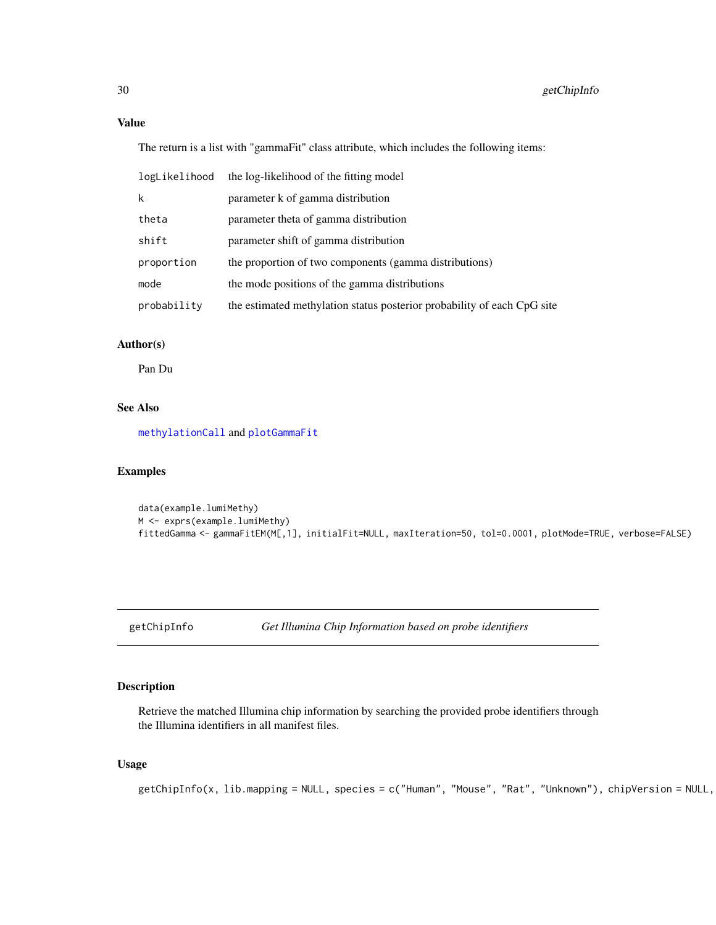# <span id="page-29-0"></span>Value

The return is a list with "gammaFit" class attribute, which includes the following items:

| logLikelihood | the log-likelihood of the fitting model                                 |
|---------------|-------------------------------------------------------------------------|
| k             | parameter k of gamma distribution                                       |
| theta         | parameter theta of gamma distribution                                   |
| shift         | parameter shift of gamma distribution                                   |
| proportion    | the proportion of two components (gamma distributions)                  |
| mode          | the mode positions of the gamma distributions                           |
| probability   | the estimated methylation status posterior probability of each CpG site |

# Author(s)

Pan Du

# See Also

[methylationCall](#page-60-1) and [plotGammaFit](#page-78-1)

# Examples

```
data(example.lumiMethy)
M <- exprs(example.lumiMethy)
fittedGamma <- gammaFitEM(M[,1], initialFit=NULL, maxIteration=50, tol=0.0001, plotMode=TRUE, verbose=FALSE)
```
<span id="page-29-1"></span>getChipInfo *Get Illumina Chip Information based on probe identifiers*

# Description

Retrieve the matched Illumina chip information by searching the provided probe identifiers through the Illumina identifiers in all manifest files.

# Usage

```
getChipInfo(x, lib.mapping = NULL, species = c("Human", "Mouse", "Rat", "Unknown"), chipVersion = NULL,
```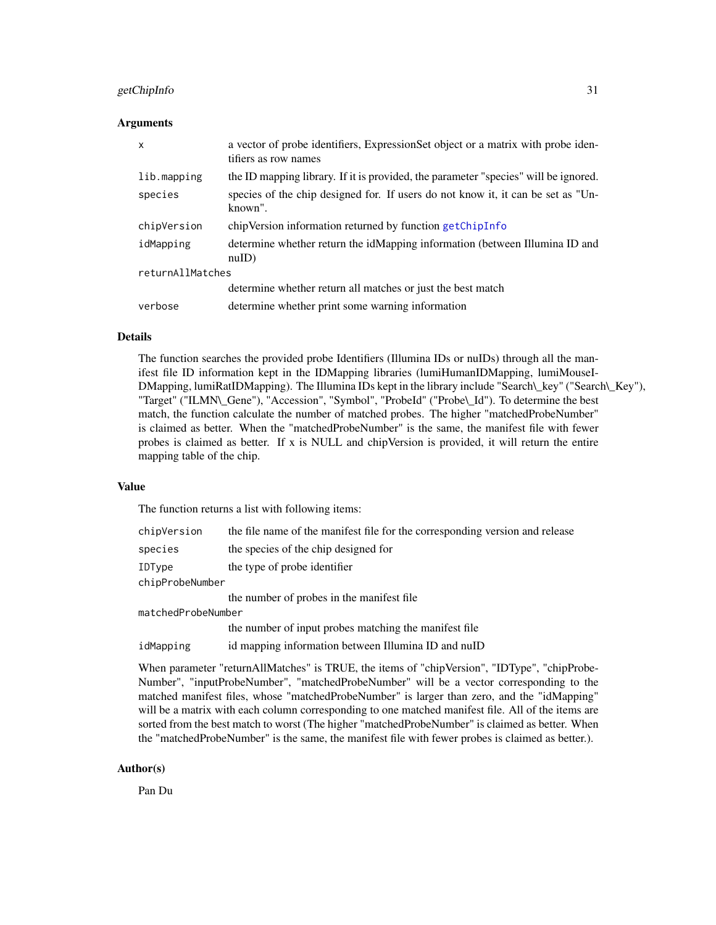#### getChipInfo 31

#### Arguments

| $\mathsf{x}$     | a vector of probe identifiers, ExpressionSet object or a matrix with probe iden-<br>tifiers as row names |  |
|------------------|----------------------------------------------------------------------------------------------------------|--|
| lib.mapping      | the ID mapping library. If it is provided, the parameter "species" will be ignored.                      |  |
| species          | species of the chip designed for. If users do not know it, it can be set as "Un-<br>known".              |  |
| chipVersion      | chipVersion information returned by function getChipInfo                                                 |  |
| idMapping        | determine whether return the idMapping information (between Illumina ID and<br>nuID)                     |  |
| returnAllMatches |                                                                                                          |  |
|                  | determine whether return all matches or just the best match                                              |  |
| verbose          | determine whether print some warning information                                                         |  |

# Details

The function searches the provided probe Identifiers (Illumina IDs or nuIDs) through all the manifest file ID information kept in the IDMapping libraries (lumiHumanIDMapping, lumiMouseI-DMapping, lumiRatIDMapping). The Illumina IDs kept in the library include "Search\\_key" ("Search\\_Key"), "Target" ("ILMN\\_Gene"), "Accession", "Symbol", "ProbeId" ("Probe\\_Id"). To determine the best match, the function calculate the number of matched probes. The higher "matchedProbeNumber" is claimed as better. When the "matchedProbeNumber" is the same, the manifest file with fewer probes is claimed as better. If x is NULL and chipVersion is provided, it will return the entire mapping table of the chip.

#### Value

The function returns a list with following items:

| chipVersion        | the file name of the manifest file for the corresponding version and release |  |
|--------------------|------------------------------------------------------------------------------|--|
| species            | the species of the chip designed for                                         |  |
| IDType             | the type of probe identifier                                                 |  |
| chipProbeNumber    |                                                                              |  |
|                    | the number of probes in the manifest file.                                   |  |
| matchedProbeNumber |                                                                              |  |
|                    | the number of input probes matching the manifest file                        |  |
| idMapping          | id mapping information between Illumina ID and nuID                          |  |

When parameter "returnAllMatches" is TRUE, the items of "chipVersion", "IDType", "chipProbe-Number", "inputProbeNumber", "matchedProbeNumber" will be a vector corresponding to the matched manifest files, whose "matchedProbeNumber" is larger than zero, and the "idMapping" will be a matrix with each column corresponding to one matched manifest file. All of the items are sorted from the best match to worst (The higher "matchedProbeNumber" is claimed as better. When the "matchedProbeNumber" is the same, the manifest file with fewer probes is claimed as better.).

#### Author(s)

Pan Du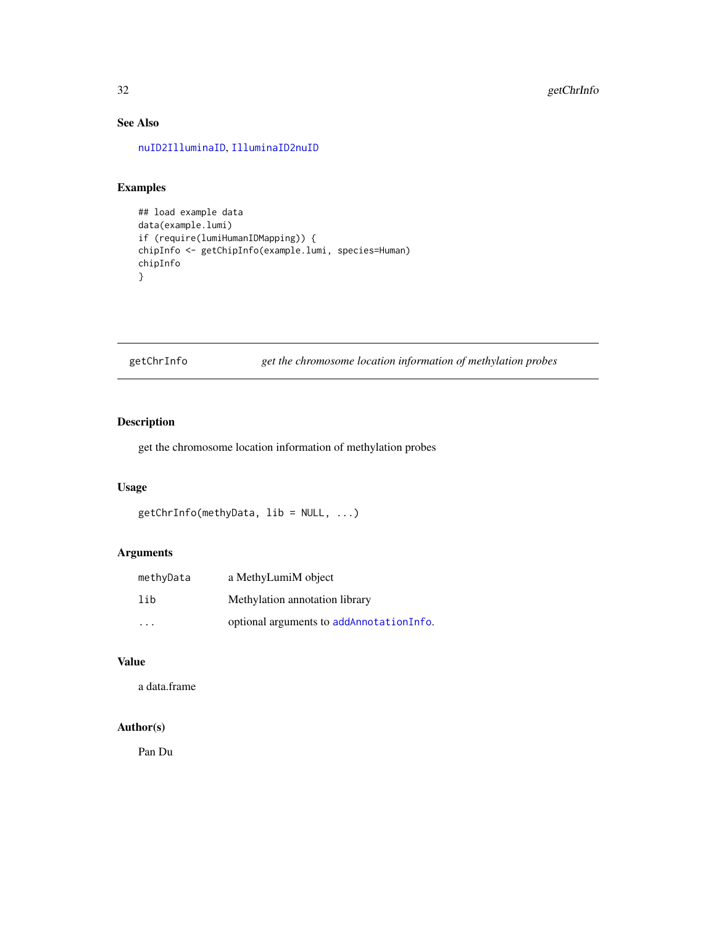# See Also

[nuID2IlluminaID](#page-66-1), [IlluminaID2nuID](#page-37-1)

# Examples

```
## load example data
data(example.lumi)
if (require(lumiHumanIDMapping)) {
chipInfo <- getChipInfo(example.lumi, species=Human)
chipInfo
}
```
getChrInfo *get the chromosome location information of methylation probes*

# Description

get the chromosome location information of methylation probes

# Usage

```
getChrInfo(methyData, lib = NULL, ...)
```
# Arguments

| methyData | a MethyLumiM object                      |
|-----------|------------------------------------------|
| lih       | Methylation annotation library           |
| .         | optional arguments to addAnnotationInfo. |

# Value

a data.frame

# Author(s)

Pan Du

<span id="page-31-0"></span>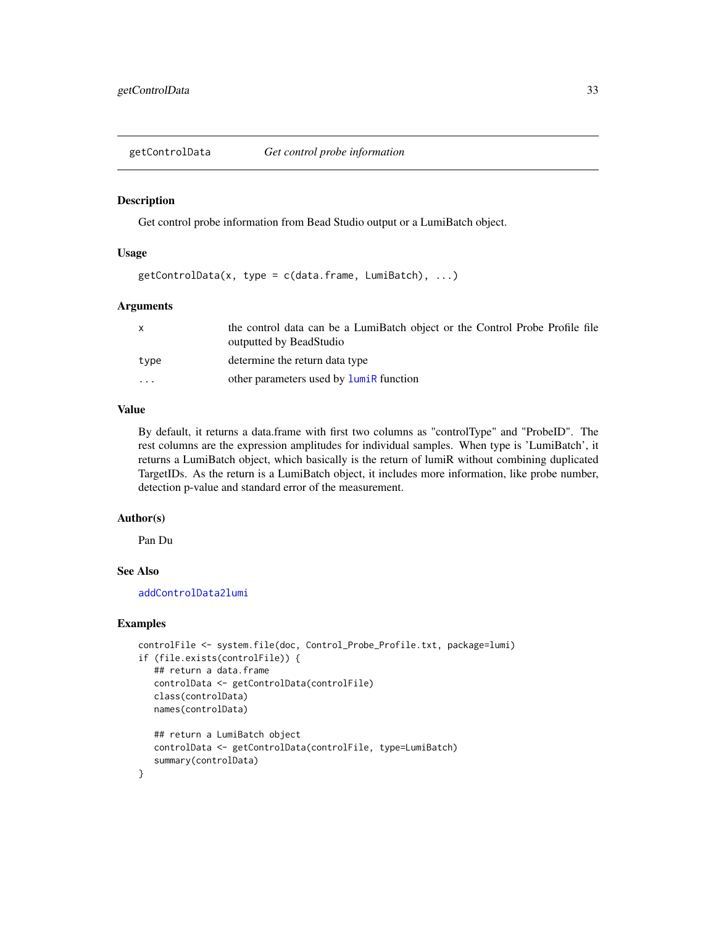<span id="page-32-1"></span><span id="page-32-0"></span>getControlData *Get control probe information*

#### Description

Get control probe information from Bead Studio output or a LumiBatch object.

#### Usage

 $getControlData(x, type = c(data-frame, Lumibatch), ...)$ 

#### Arguments

| X        | the control data can be a LumiBatch object or the Control Probe Profile file<br>outputted by BeadStudio |
|----------|---------------------------------------------------------------------------------------------------------|
| type     | determine the return data type                                                                          |
| $\cdots$ | other parameters used by <b>luminal</b> function                                                        |

#### Value

By default, it returns a data.frame with first two columns as "controlType" and "ProbeID". The rest columns are the expression amplitudes for individual samples. When type is 'LumiBatch', it returns a LumiBatch object, which basically is the return of lumiR without combining duplicated TargetIDs. As the return is a LumiBatch object, it includes more information, like probe number, detection p-value and standard error of the measurement.

#### Author(s)

Pan Du

# See Also

[addControlData2lumi](#page-4-1)

```
controlFile <- system.file(doc, Control_Probe_Profile.txt, package=lumi)
if (file.exists(controlFile)) {
   ## return a data.frame
   controlData <- getControlData(controlFile)
   class(controlData)
   names(controlData)
   ## return a LumiBatch object
   controlData <- getControlData(controlFile, type=LumiBatch)
   summary(controlData)
}
```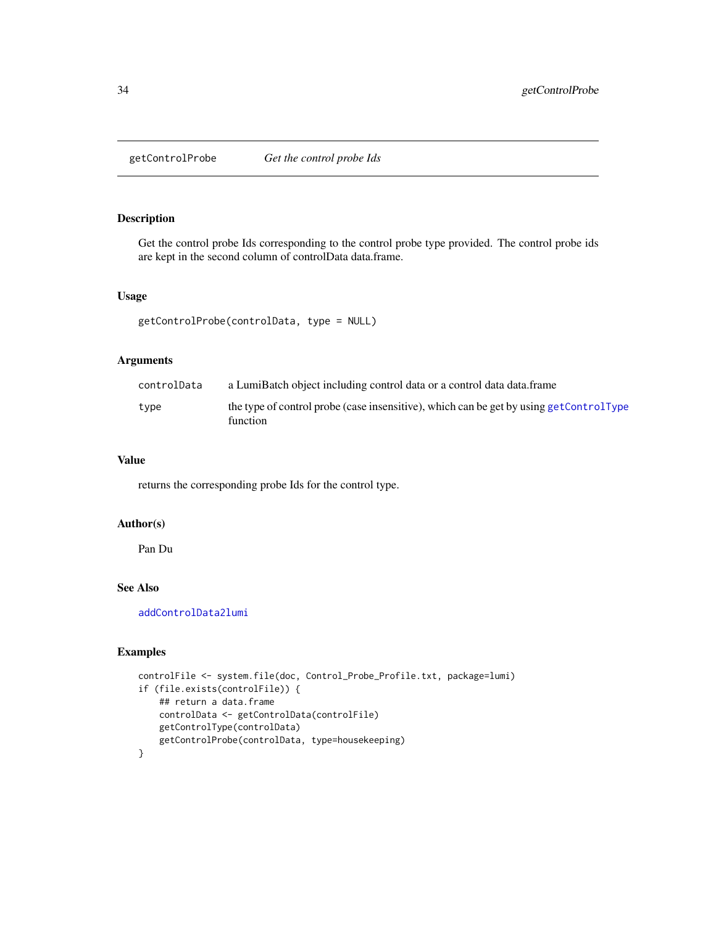<span id="page-33-0"></span>getControlProbe *Get the control probe Ids*

#### Description

Get the control probe Ids corresponding to the control probe type provided. The control probe ids are kept in the second column of controlData data.frame.

#### Usage

```
getControlProbe(controlData, type = NULL)
```
# Arguments

| controlData | a LumiBatch object including control data or a control data data.frame                             |
|-------------|----------------------------------------------------------------------------------------------------|
| type        | the type of control probe (case insensitive), which can be get by using getControlType<br>function |

# Value

returns the corresponding probe Ids for the control type.

#### Author(s)

Pan Du

# See Also

[addControlData2lumi](#page-4-1)

```
controlFile <- system.file(doc, Control_Probe_Profile.txt, package=lumi)
if (file.exists(controlFile)) {
   ## return a data.frame
   controlData <- getControlData(controlFile)
   getControlType(controlData)
   getControlProbe(controlData, type=housekeeping)
}
```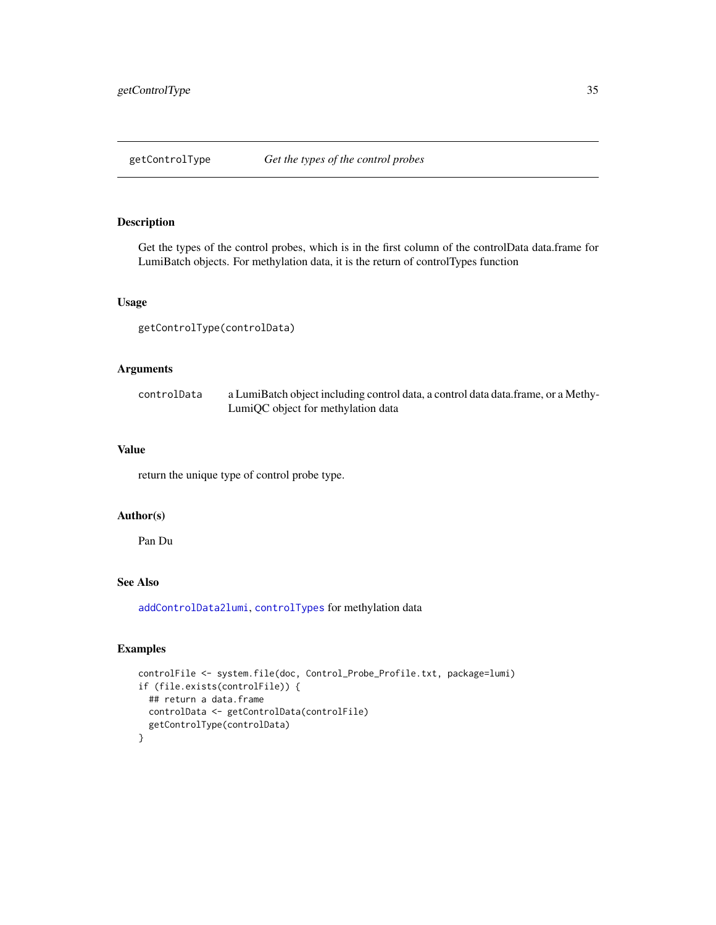<span id="page-34-1"></span><span id="page-34-0"></span>

Get the types of the control probes, which is in the first column of the controlData data.frame for LumiBatch objects. For methylation data, it is the return of controlTypes function

# Usage

getControlType(controlData)

#### Arguments

| controlData | a LumiBatch object including control data, a control data data frame, or a Methy- |
|-------------|-----------------------------------------------------------------------------------|
|             | LumiQC object for methylation data                                                |

#### Value

return the unique type of control probe type.

# Author(s)

Pan Du

#### See Also

[addControlData2lumi](#page-4-1), [controlTypes](#page-0-0) for methylation data

```
controlFile <- system.file(doc, Control_Probe_Profile.txt, package=lumi)
if (file.exists(controlFile)) {
  ## return a data.frame
  controlData <- getControlData(controlFile)
  getControlType(controlData)
}
```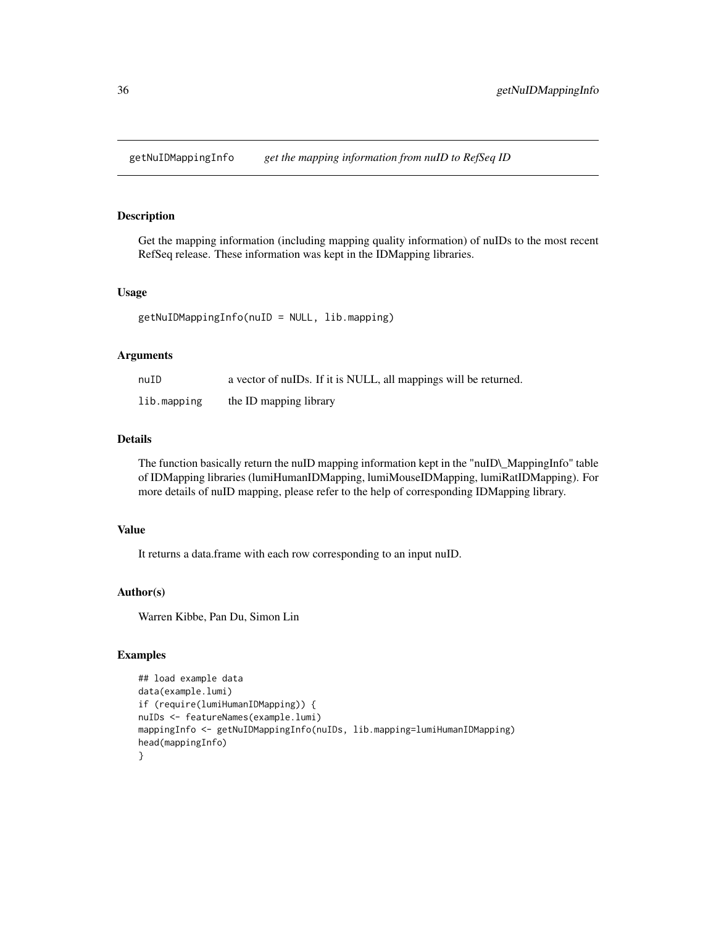<span id="page-35-0"></span>getNuIDMappingInfo *get the mapping information from nuID to RefSeq ID*

#### Description

Get the mapping information (including mapping quality information) of nuIDs to the most recent RefSeq release. These information was kept in the IDMapping libraries.

#### Usage

getNuIDMappingInfo(nuID = NULL, lib.mapping)

# Arguments

| nuID        | a vector of nuIDs. If it is NULL, all mappings will be returned. |
|-------------|------------------------------------------------------------------|
| lib.mapping | the ID mapping library                                           |

# Details

The function basically return the nuID mapping information kept in the "nuID\\_MappingInfo" table of IDMapping libraries (lumiHumanIDMapping, lumiMouseIDMapping, lumiRatIDMapping). For more details of nuID mapping, please refer to the help of corresponding IDMapping library.

#### Value

It returns a data.frame with each row corresponding to an input nuID.

# Author(s)

Warren Kibbe, Pan Du, Simon Lin

```
## load example data
data(example.lumi)
if (require(lumiHumanIDMapping)) {
nuIDs <- featureNames(example.lumi)
mappingInfo <- getNuIDMappingInfo(nuIDs, lib.mapping=lumiHumanIDMapping)
head(mappingInfo)
}
```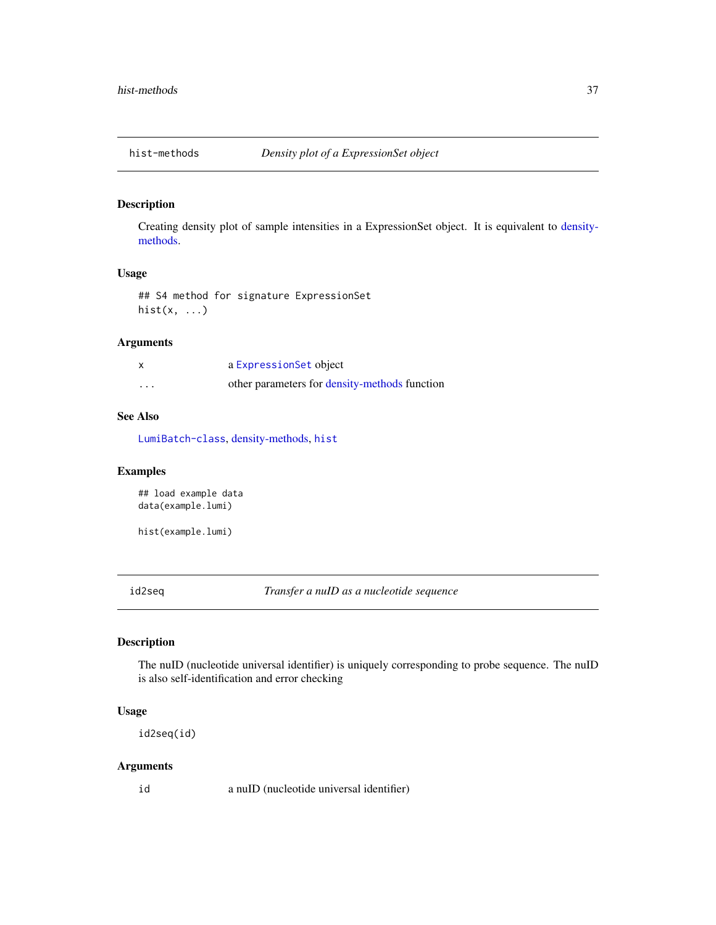<span id="page-36-1"></span>

# Description

Creating density plot of sample intensities in a ExpressionSet object. It is equivalent to [density](#page-17-0)[methods.](#page-17-0)

# Usage

## S4 method for signature ExpressionSet hist $(x, \ldots)$ 

# Arguments

|          | a Expression Set object                       |
|----------|-----------------------------------------------|
| $\cdots$ | other parameters for density-methods function |

## See Also

[LumiBatch-class](#page-43-0), [density-methods,](#page-17-0) [hist](#page-0-0)

# Examples

## load example data data(example.lumi)

hist(example.lumi)

<span id="page-36-0"></span>id2seq *Transfer a nuID as a nucleotide sequence*

# Description

The nuID (nucleotide universal identifier) is uniquely corresponding to probe sequence. The nuID is also self-identification and error checking

#### Usage

id2seq(id)

## Arguments

id a nuID (nucleotide universal identifier)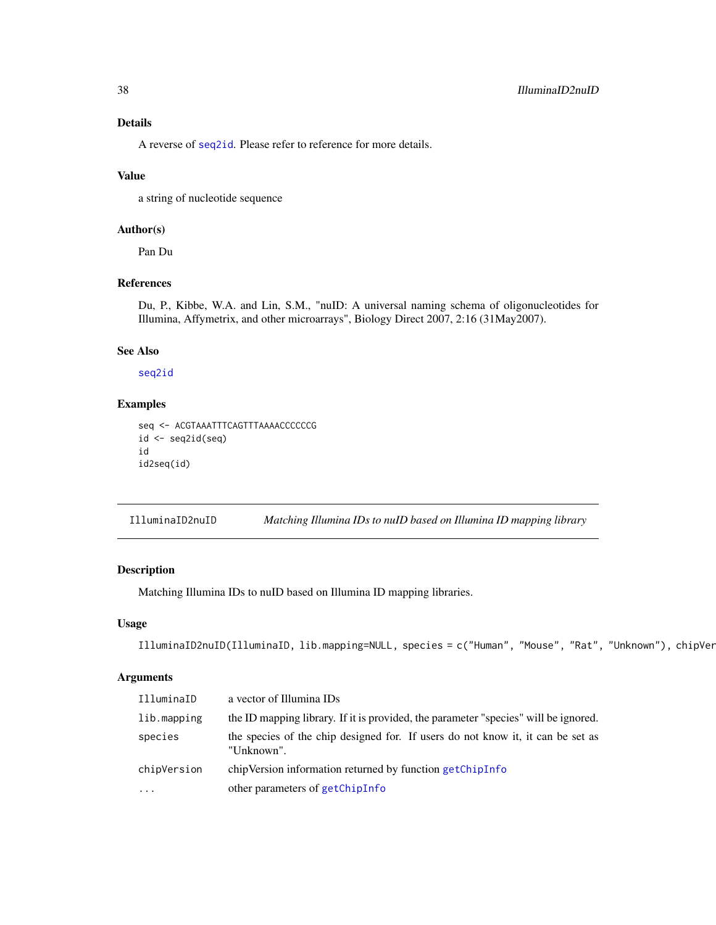# Details

A reverse of [seq2id](#page-91-0). Please refer to reference for more details.

# Value

a string of nucleotide sequence

# Author(s)

Pan Du

# References

Du, P., Kibbe, W.A. and Lin, S.M., "nuID: A universal naming schema of oligonucleotides for Illumina, Affymetrix, and other microarrays", Biology Direct 2007, 2:16 (31May2007).

#### See Also

[seq2id](#page-91-0)

# Examples

```
seq <- ACGTAAATTTCAGTTTAAAACCCCCCG
id \leftarrow seq2id(seq)id
id2seq(id)
```
<span id="page-37-0"></span>IlluminaID2nuID *Matching Illumina IDs to nuID based on Illumina ID mapping library*

# Description

Matching Illumina IDs to nuID based on Illumina ID mapping libraries.

# Usage

```
IlluminaID2nuID(IlluminaID, lib.mapping=NULL, species = c("Human", "Mouse", "Rat", "Unknown"), chipVer
```
# Arguments

| IlluminaID  | a vector of Illumina IDs                                                                      |
|-------------|-----------------------------------------------------------------------------------------------|
| lib.mapping | the ID mapping library. If it is provided, the parameter "species" will be ignored.           |
| species     | the species of the chip designed for. If users do not know it, it can be set as<br>"Unknown". |
| chipVersion | chipVersion information returned by function getChipInfo                                      |
| $\ddotsc$   | other parameters of getChipInfo                                                               |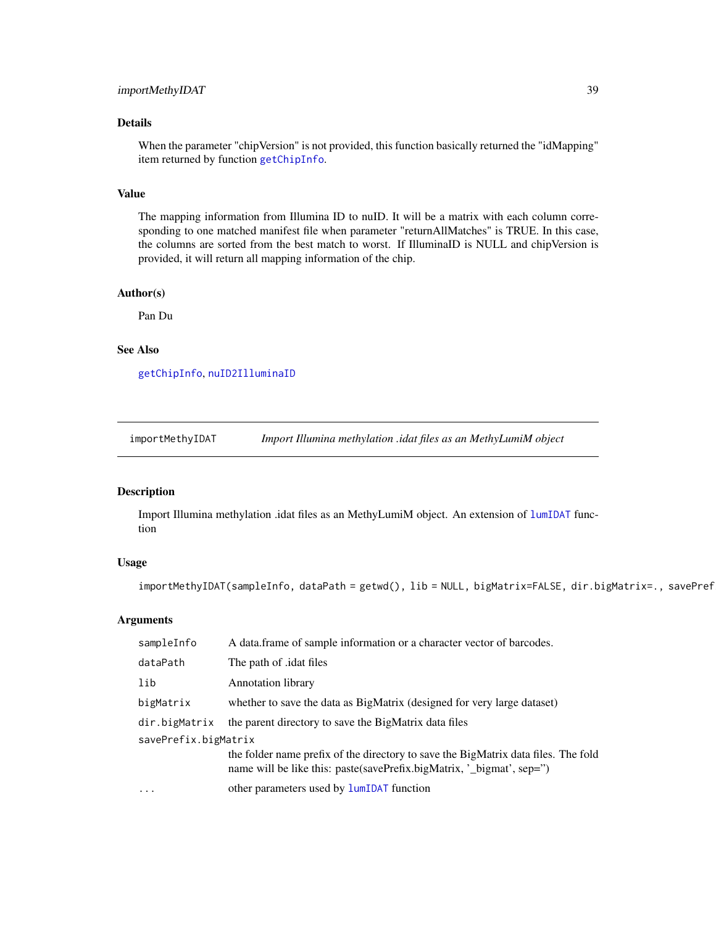# importMethyIDAT 39

# Details

When the parameter "chipVersion" is not provided, this function basically returned the "idMapping" item returned by function [getChipInfo](#page-29-0).

## Value

The mapping information from Illumina ID to nuID. It will be a matrix with each column corresponding to one matched manifest file when parameter "returnAllMatches" is TRUE. In this case, the columns are sorted from the best match to worst. If IlluminaID is NULL and chipVersion is provided, it will return all mapping information of the chip.

#### Author(s)

Pan Du

# See Also

[getChipInfo](#page-29-0), [nuID2IlluminaID](#page-66-0)

<span id="page-38-0"></span>importMethyIDAT *Import Illumina methylation .idat files as an MethyLumiM object*

#### Description

Import Illumina methylation .idat files as an MethyLumiM object. An extension of [lumIDAT](#page-0-0) function

#### Usage

```
importMethyIDAT(sampleInfo, dataPath = getwd(), lib = NULL, bigMatrix=FALSE, dir.bigMatrix=., savePref
```
#### Arguments

| sampleInfo           | A data frame of sample information or a character vector of barcodes.                                                                                       |
|----------------------|-------------------------------------------------------------------------------------------------------------------------------------------------------------|
| dataPath             | The path of <i>dat</i> files                                                                                                                                |
| lib                  | <b>Annotation library</b>                                                                                                                                   |
| bigMatrix            | whether to save the data as BigMatrix (designed for very large dataset)                                                                                     |
| dir.bigMatrix        | the parent directory to save the BigMatrix data files                                                                                                       |
| savePrefix.bigMatrix |                                                                                                                                                             |
|                      | the folder name prefix of the directory to save the BigMatrix data files. The fold<br>name will be like this: paste(savePrefix.bigMatrix, '_bigmat', sep=") |
| $\ddots$ .           | other parameters used by <b>lumIDAT</b> function                                                                                                            |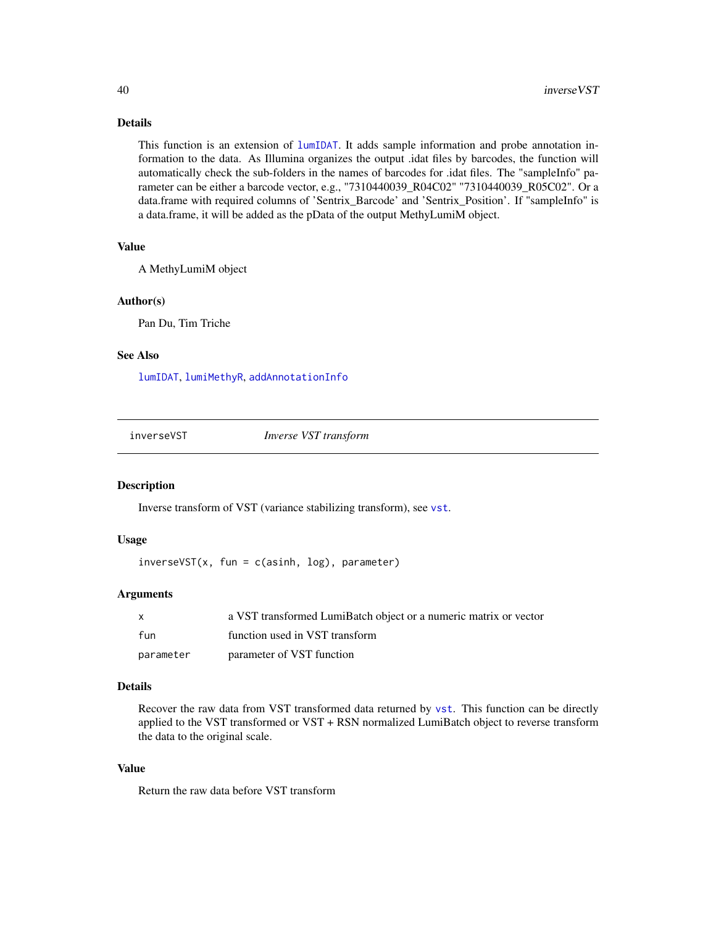# Details

This function is an extension of [lumIDAT](#page-0-0). It adds sample information and probe annotation information to the data. As Illumina organizes the output .idat files by barcodes, the function will automatically check the sub-folders in the names of barcodes for .idat files. The "sampleInfo" parameter can be either a barcode vector, e.g., "7310440039\_R04C02" "7310440039\_R05C02". Or a data.frame with required columns of 'Sentrix\_Barcode' and 'Sentrix\_Position'. If "sampleInfo" is a data.frame, it will be added as the pData of the output MethyLumiM object.

#### Value

A MethyLumiM object

#### Author(s)

Pan Du, Tim Triche

# See Also

[lumIDAT](#page-0-0), [lumiMethyR](#page-49-0), [addAnnotationInfo](#page-3-0)

<span id="page-39-0"></span>inverseVST *Inverse VST transform*

#### **Description**

Inverse transform of VST (variance stabilizing transform), see [vst](#page-95-0).

## Usage

 $inverseVST(x, fun = c(a sinh, log), parameter)$ 

## Arguments

| $\mathsf{X}$ | a VST transformed LumiBatch object or a numeric matrix or vector |
|--------------|------------------------------------------------------------------|
| fun          | function used in VST transform                                   |
| parameter    | parameter of VST function                                        |

## Details

Recover the raw data from VST transformed data returned by [vst](#page-95-0). This function can be directly applied to the VST transformed or VST + RSN normalized LumiBatch object to reverse transform the data to the original scale.

#### Value

Return the raw data before VST transform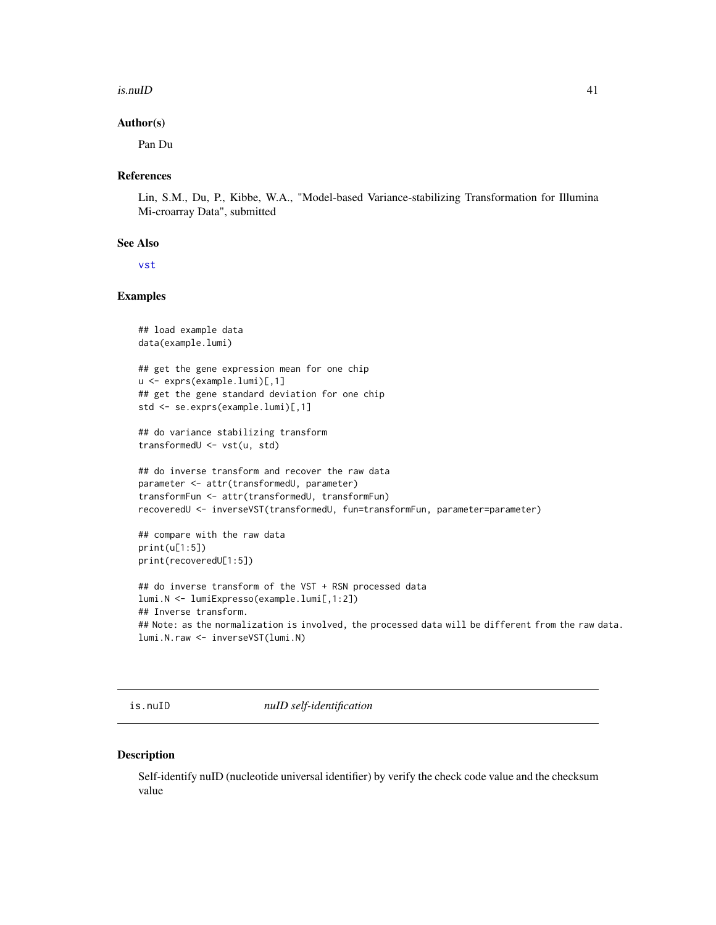#### $i$ s.nuID 41

#### Author(s)

Pan Du

#### References

Lin, S.M., Du, P., Kibbe, W.A., "Model-based Variance-stabilizing Transformation for Illumina Mi-croarray Data", submitted

#### See Also

[vst](#page-95-0)

# Examples

```
## load example data
data(example.lumi)
## get the gene expression mean for one chip
u <- exprs(example.lumi)[,1]
## get the gene standard deviation for one chip
std <- se.exprs(example.lumi)[,1]
## do variance stabilizing transform
transformedU <- vst(u, std)
## do inverse transform and recover the raw data
parameter <- attr(transformedU, parameter)
transformFun <- attr(transformedU, transformFun)
recoveredU <- inverseVST(transformedU, fun=transformFun, parameter=parameter)
## compare with the raw data
print(u[1:5])
print(recoveredU[1:5])
## do inverse transform of the VST + RSN processed data
lumi.N <- lumiExpresso(example.lumi[,1:2])
```

```
## Inverse transform.
## Note: as the normalization is involved, the processed data will be different from the raw data.
lumi.N.raw <- inverseVST(lumi.N)
```
is.nuID *nuID self-identification*

#### Description

Self-identify nuID (nucleotide universal identifier) by verify the check code value and the checksum value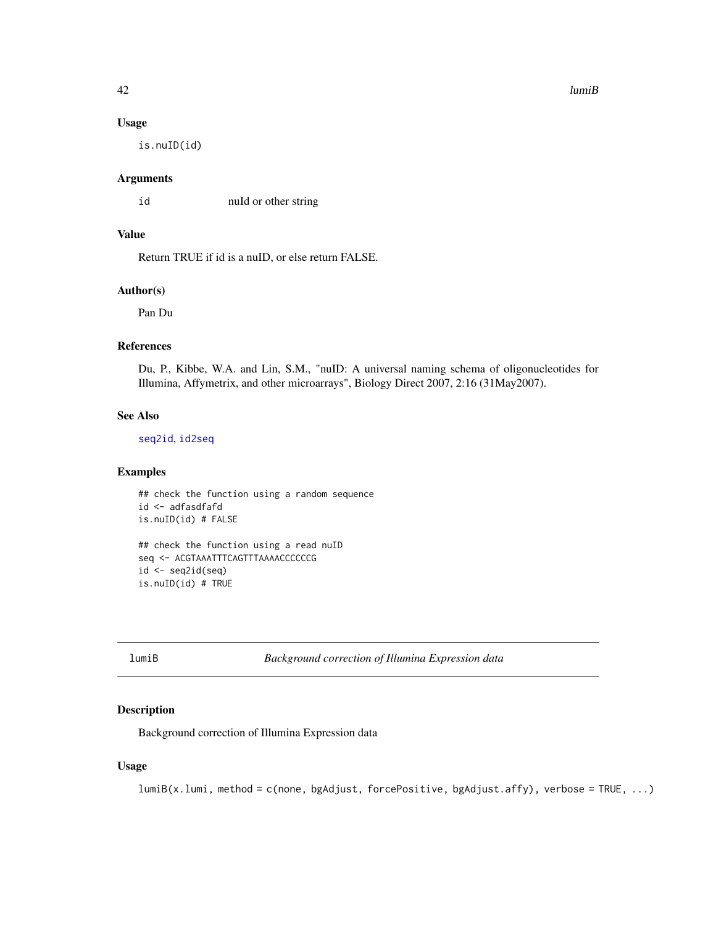#### $42$  lumiB

#### Usage

is.nuID(id)

### Arguments

id nuId or other string

# Value

Return TRUE if id is a nuID, or else return FALSE.

## Author(s)

Pan Du

## References

Du, P., Kibbe, W.A. and Lin, S.M., "nuID: A universal naming schema of oligonucleotides for Illumina, Affymetrix, and other microarrays", Biology Direct 2007, 2:16 (31May2007).

#### See Also

[seq2id](#page-91-0), [id2seq](#page-36-0)

#### Examples

```
## check the function using a random sequence
id <- adfasdfafd
is.nuID(id) # FALSE
```
## check the function using a read nuID seq <- ACGTAAATTTCAGTTTAAAACCCCCCG id <- seq2id(seq) is.nuID(id) # TRUE

<span id="page-41-0"></span>lumiB *Background correction of Illumina Expression data*

# Description

Background correction of Illumina Expression data

# Usage

```
lumiB(x.lumi, method = c(none, bgAdjust, forcePositive, bgAdjust.affy), verbose = TRUE, ...)
```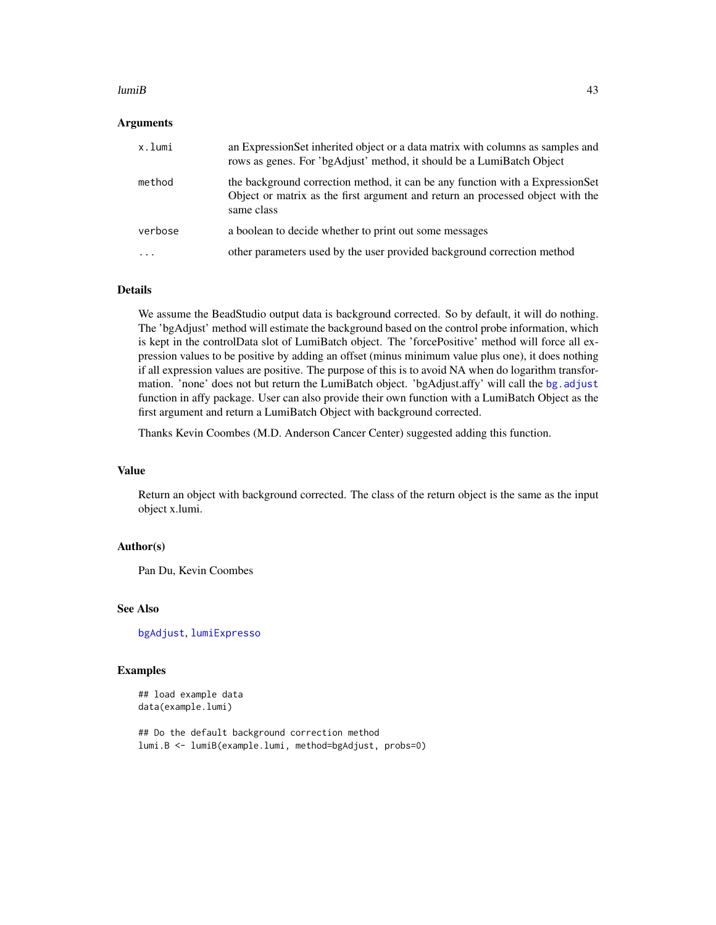#### $l$ umi $B$  43

#### Arguments

| x.lumi  | an Expression Set inherited object or a data matrix with columns as samples and<br>rows as genes. For 'bgAdjust' method, it should be a LumiBatch Object                      |
|---------|-------------------------------------------------------------------------------------------------------------------------------------------------------------------------------|
| method  | the background correction method, it can be any function with a ExpressionSet<br>Object or matrix as the first argument and return an processed object with the<br>same class |
| verbose | a boolean to decide whether to print out some messages                                                                                                                        |
| .       | other parameters used by the user provided background correction method                                                                                                       |

#### Details

We assume the BeadStudio output data is background corrected. So by default, it will do nothing. The 'bgAdjust' method will estimate the background based on the control probe information, which is kept in the controlData slot of LumiBatch object. The 'forcePositive' method will force all expression values to be positive by adding an offset (minus minimum value plus one), it does nothing if all expression values are positive. The purpose of this is to avoid NA when do logarithm transformation. 'none' does not but return the LumiBatch object. 'bgAdjust.affy' will call the [bg.adjust](#page-0-0) function in affy package. User can also provide their own function with a LumiBatch Object as the first argument and return a LumiBatch Object with background corrected.

Thanks Kevin Coombes (M.D. Anderson Cancer Center) suggested adding this function.

#### Value

Return an object with background corrected. The class of the return object is the same as the input object x.lumi.

# Author(s)

Pan Du, Kevin Coombes

### See Also

[bgAdjust](#page-12-0), [lumiExpresso](#page-45-0)

#### Examples

## load example data data(example.lumi)

## Do the default background correction method lumi.B <- lumiB(example.lumi, method=bgAdjust, probs=0)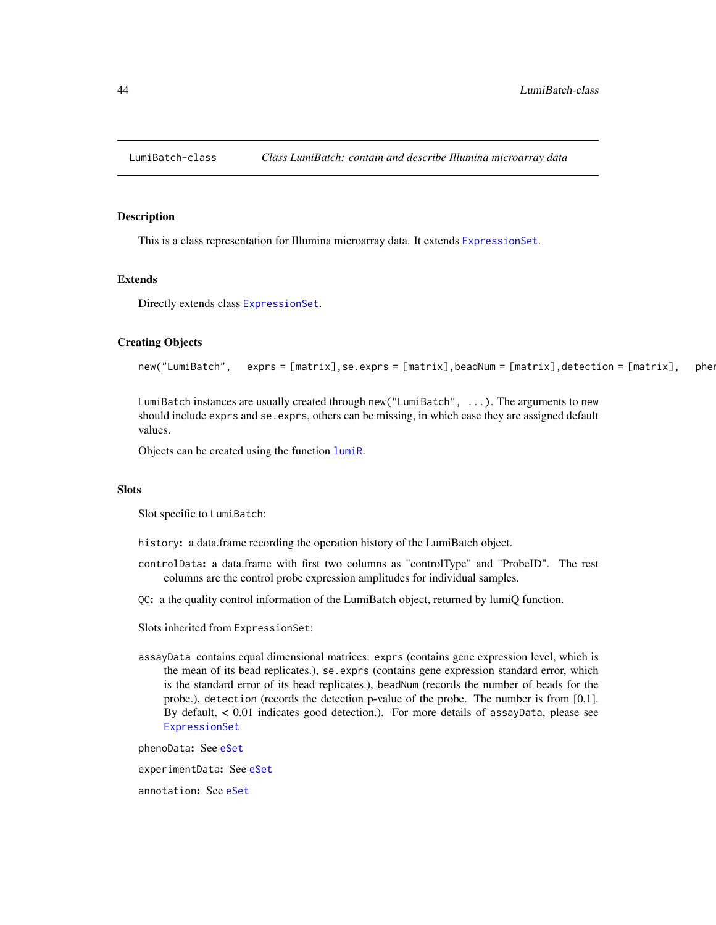<span id="page-43-0"></span>

#### <span id="page-43-1"></span>Description

This is a class representation for Illumina microarray data. It extends [ExpressionSet](#page-0-0).

## Extends

Directly extends class [ExpressionSet](#page-0-0).

## Creating Objects

```
new("LumiBatch", exprs = [matrix],se.exprs = [matrix],beadNum = [matrix],detection = [matrix], ...
```
LumiBatch instances are usually created through new("LumiBatch", ...). The arguments to new should include exprs and se. exprs, others can be missing, in which case they are assigned default values.

Objects can be created using the function [lumiR](#page-53-0).

## **Slots**

Slot specific to LumiBatch:

- history: a data.frame recording the operation history of the LumiBatch object.
- controlData: a data.frame with first two columns as "controlType" and "ProbeID". The rest columns are the control probe expression amplitudes for individual samples.
- QC: a the quality control information of the LumiBatch object, returned by lumiQ function.

Slots inherited from ExpressionSet:

assayData contains equal dimensional matrices: exprs (contains gene expression level, which is the mean of its bead replicates.), se.exprs (contains gene expression standard error, which is the standard error of its bead replicates.), beadNum (records the number of beads for the probe.), detection (records the detection p-value of the probe. The number is from [0,1]. By default, < 0.01 indicates good detection.). For more details of assayData, please see [ExpressionSet](#page-0-0)

phenoData: See [eSet](#page-0-0)

experimentData: See [eSet](#page-0-0)

annotation: See [eSet](#page-0-0)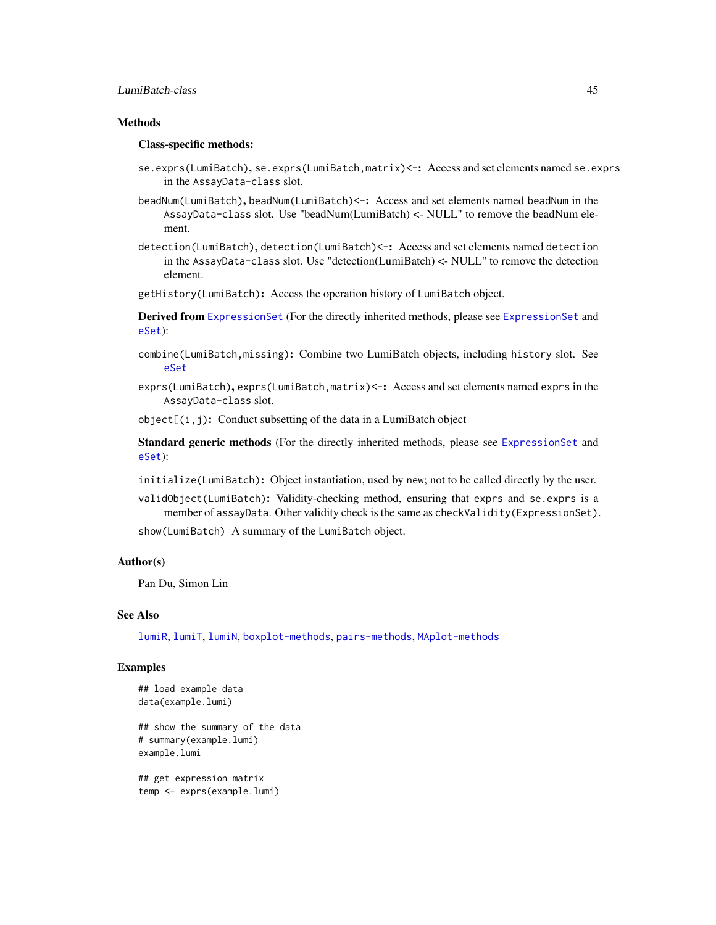# LumiBatch-class 45

# **Methods**

#### Class-specific methods:

- se.exprs(LumiBatch), se.exprs(LumiBatch,matrix) <-: Access and set elements named se.exprs in the AssayData-class slot.
- beadNum(LumiBatch), beadNum(LumiBatch)<-: Access and set elements named beadNum in the AssayData-class slot. Use "beadNum(LumiBatch) <- NULL" to remove the beadNum element.
- detection(LumiBatch), detection(LumiBatch)<-: Access and set elements named detection in the AssayData-class slot. Use "detection(LumiBatch) <- NULL" to remove the detection element.
- getHistory(LumiBatch): Access the operation history of LumiBatch object.

Derived from [ExpressionSet](#page-0-0) (For the directly inherited methods, please see [ExpressionSet](#page-0-0) and [eSet](#page-0-0)):

- combine(LumiBatch,missing): Combine two LumiBatch objects, including history slot. See [eSet](#page-0-0)
- exprs(LumiBatch), exprs(LumiBatch, matrix) <-: Access and set elements named exprs in the AssayData-class slot.

 $object[(i,j): Conduct$  subsetting of the data in a LumiBatch object

Standard generic methods (For the directly inherited methods, please see [ExpressionSet](#page-0-0) and [eSet](#page-0-0)):

- initialize(LumiBatch): Object instantiation, used by new; not to be called directly by the user.
- validObject(LumiBatch): Validity-checking method, ensuring that exprs and se.exprs is a member of assayData. Other validity check is the same as checkValidity(ExpressionSet).

show(LumiBatch) A summary of the LumiBatch object.

#### Author(s)

Pan Du, Simon Lin

#### See Also

[lumiR](#page-53-0), [lumiT](#page-57-0), [lumiN](#page-51-0), [boxplot-methods](#page-15-0), [pairs-methods](#page-70-0), [MAplot-methods](#page-59-0)

## Examples

```
## load example data
data(example.lumi)
## show the summary of the data
# summary(example.lumi)
example.lumi
## get expression matrix
```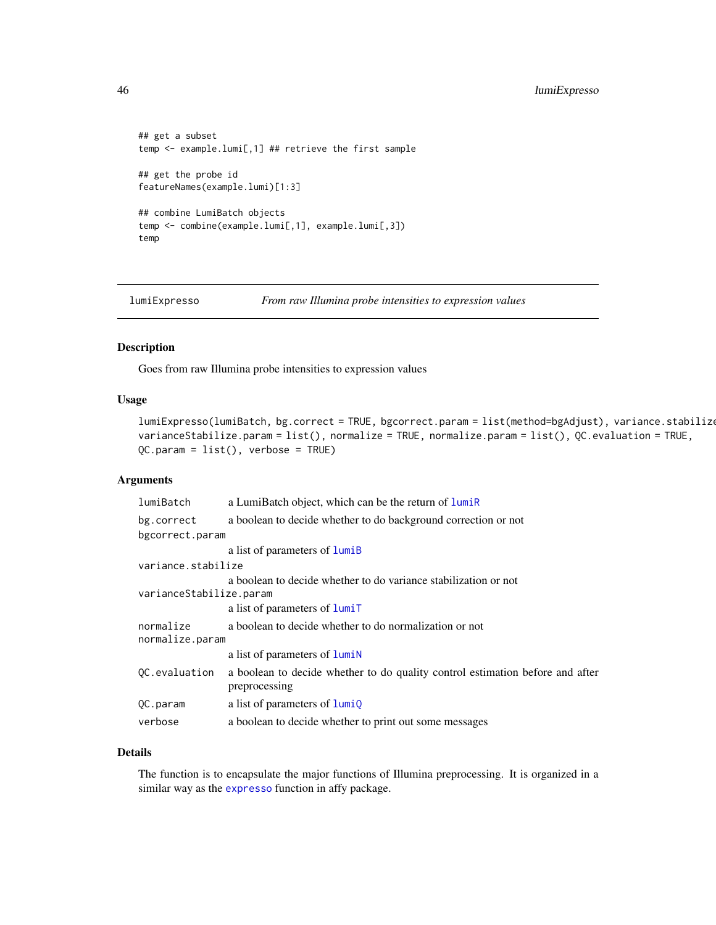```
## get a subset
temp <- example.lumi[,1] ## retrieve the first sample
## get the probe id
featureNames(example.lumi)[1:3]
## combine LumiBatch objects
temp <- combine(example.lumi[,1], example.lumi[,3])
temp
```
<span id="page-45-0"></span>lumiExpresso *From raw Illumina probe intensities to expression values*

## Description

Goes from raw Illumina probe intensities to expression values

## Usage

```
lumiExpresso(lumiBatch, bg.correct = TRUE, bgcorrect.param = list(method=bgAdjust), variance.stabilize
varianceStabilize.param = list(), normalize = TRUE, normalize.param = list(), QC.evaluation = TRUE,
QC.param = list(), verbose = TRUE)
```
## Arguments

| lumiBatch                    | a LumiBatch object, which can be the return of lumiR                                           |
|------------------------------|------------------------------------------------------------------------------------------------|
| bg.correct                   | a boolean to decide whether to do background correction or not                                 |
| bgcorrect.param              |                                                                                                |
|                              | a list of parameters of lumiB                                                                  |
| variance.stabilize           |                                                                                                |
| varianceStabilize.param      | a boolean to decide whether to do variance stabilization or not                                |
|                              | a list of parameters of lumiT                                                                  |
| normalize<br>normalize.param | a boolean to decide whether to do normalization or not                                         |
|                              | a list of parameters of <b>lumin</b>                                                           |
| OC.evaluation                | a boolean to decide whether to do quality control estimation before and after<br>preprocessing |
| QC.param                     | a list of parameters of $lumiQ$                                                                |
| verbose                      | a boolean to decide whether to print out some messages                                         |

## Details

The function is to encapsulate the major functions of Illumina preprocessing. It is organized in a similar way as the [expresso](#page-0-0) function in affy package.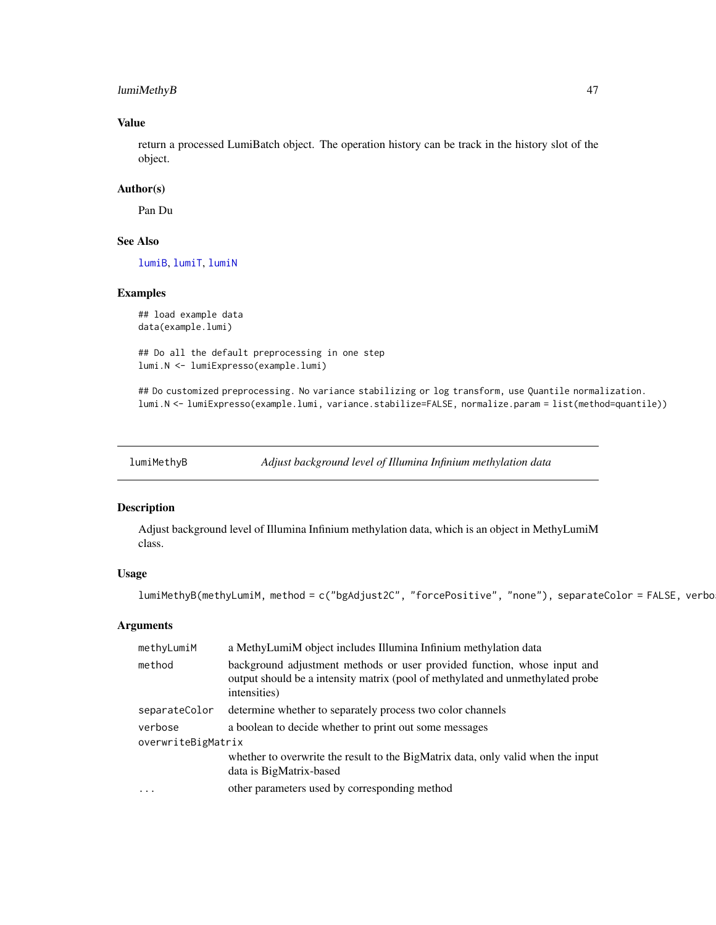# lumiMethyB 47

# Value

return a processed LumiBatch object. The operation history can be track in the history slot of the object.

# Author(s)

Pan Du

# See Also

[lumiB](#page-41-0), [lumiT](#page-57-0), [lumiN](#page-51-0)

## Examples

```
## load example data
data(example.lumi)
```
## Do all the default preprocessing in one step lumi.N <- lumiExpresso(example.lumi)

## Do customized preprocessing. No variance stabilizing or log transform, use Quantile normalization. lumi.N <- lumiExpresso(example.lumi, variance.stabilize=FALSE, normalize.param = list(method=quantile))

lumiMethyB *Adjust background level of Illumina Infinium methylation data*

# Description

Adjust background level of Illumina Infinium methylation data, which is an object in MethyLumiM class.

#### Usage

```
lumiMethyB(methyLumiM, method = c("bgAdjust2C", "forcePositive", "none"), separateColor = FALSE, verbo
```
# Arguments

| methyLumiM         | a MethyLumiM object includes Illumina Infinium methylation data                                                                                                            |  |
|--------------------|----------------------------------------------------------------------------------------------------------------------------------------------------------------------------|--|
| method             | background adjustment methods or user provided function, whose input and<br>output should be a intensity matrix (pool of methylated and unmethylated probe<br>intensities) |  |
| separateColor      | determine whether to separately process two color channels                                                                                                                 |  |
| verbose            | a boolean to decide whether to print out some messages                                                                                                                     |  |
| overwriteBigMatrix |                                                                                                                                                                            |  |
|                    | whether to overwrite the result to the BigMatrix data, only valid when the input                                                                                           |  |
|                    | data is BigMatrix-based                                                                                                                                                    |  |
| $\cdot$            | other parameters used by corresponding method                                                                                                                              |  |
|                    |                                                                                                                                                                            |  |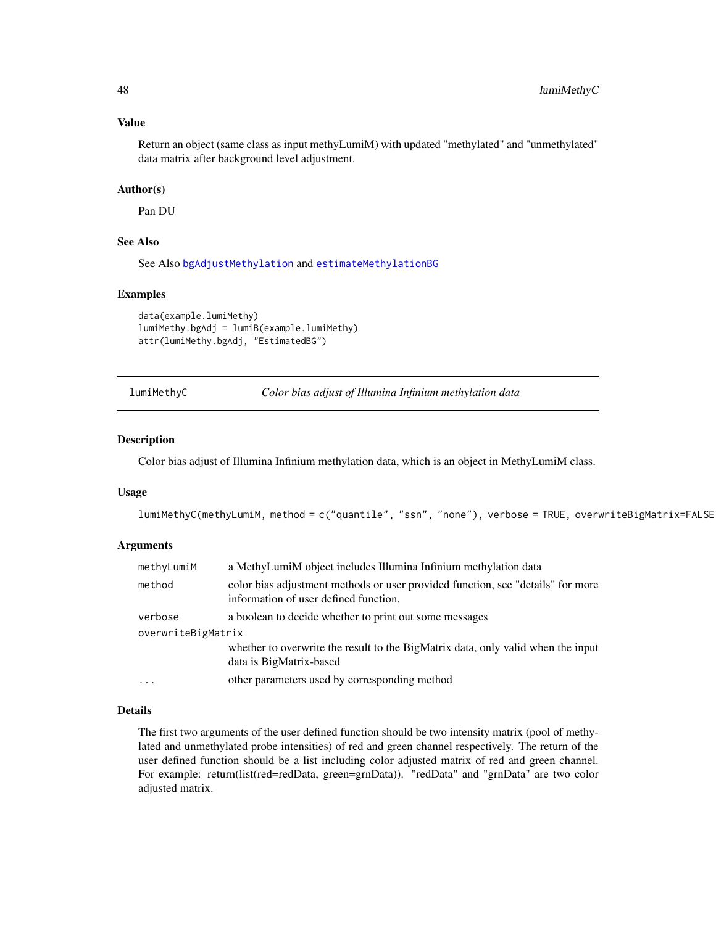#### Value

Return an object (same class as input methyLumiM) with updated "methylated" and "unmethylated" data matrix after background level adjustment.

## Author(s)

Pan DU

## See Also

See Also [bgAdjustMethylation](#page-13-0) and [estimateMethylationBG](#page-25-0)

## Examples

```
data(example.lumiMethy)
lumiMethy.bgAdj = lumiB(example.lumiMethy)
attr(lumiMethy.bgAdj, "EstimatedBG")
```
lumiMethyC *Color bias adjust of Illumina Infinium methylation data*

## Description

Color bias adjust of Illumina Infinium methylation data, which is an object in MethyLumiM class.

### Usage

```
lumiMethyC(methyLumiM, method = c("quantile", "ssn", "none"), verbose = TRUE, overwriteBigMatrix=FALSE
```
## Arguments

| methyLumiM         | a MethyLumiM object includes Illumina Infinium methylation data                                                          |
|--------------------|--------------------------------------------------------------------------------------------------------------------------|
| method             | color bias adjustment methods or user provided function, see "details" for more<br>information of user defined function. |
| verbose            | a boolean to decide whether to print out some messages                                                                   |
| overwriteBigMatrix |                                                                                                                          |
|                    | whether to overwrite the result to the BigMatrix data, only valid when the input<br>data is BigMatrix-based              |
| $\cdots$           | other parameters used by corresponding method                                                                            |

## Details

The first two arguments of the user defined function should be two intensity matrix (pool of methylated and unmethylated probe intensities) of red and green channel respectively. The return of the user defined function should be a list including color adjusted matrix of red and green channel. For example: return(list(red=redData, green=grnData)). "redData" and "grnData" are two color adjusted matrix.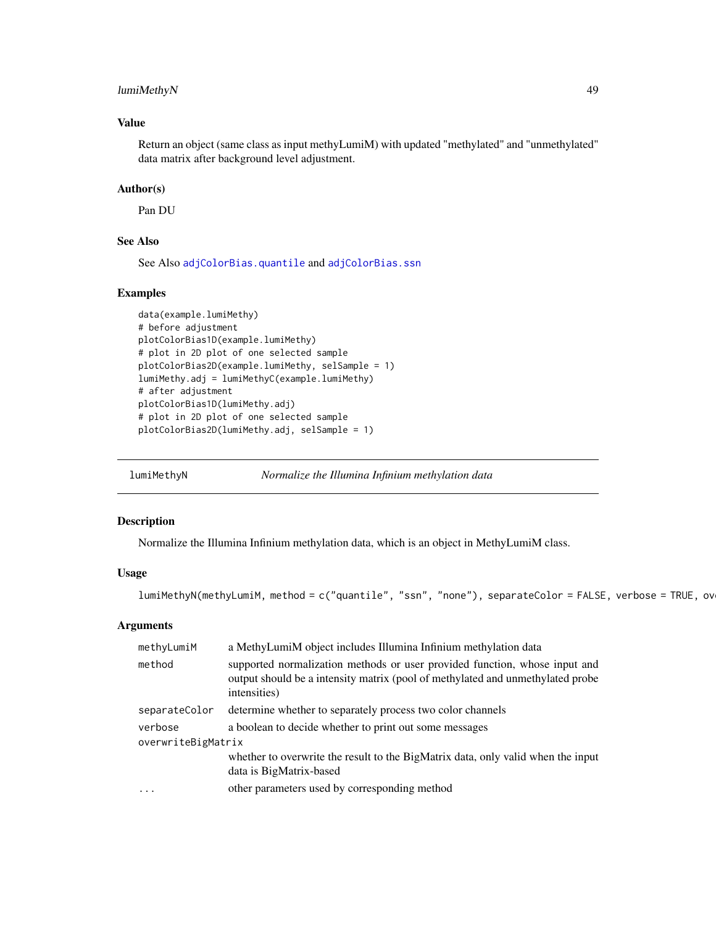# lumiMethyN 49

## Value

Return an object (same class as input methyLumiM) with updated "methylated" and "unmethylated" data matrix after background level adjustment.

# Author(s)

Pan DU

# See Also

See Also [adjColorBias.quantile](#page-7-0) and [adjColorBias.ssn](#page-9-0)

## Examples

```
data(example.lumiMethy)
# before adjustment
plotColorBias1D(example.lumiMethy)
# plot in 2D plot of one selected sample
plotColorBias2D(example.lumiMethy, selSample = 1)
lumiMethy.adj = lumiMethyC(example.lumiMethy)
# after adjustment
plotColorBias1D(lumiMethy.adj)
# plot in 2D plot of one selected sample
plotColorBias2D(lumiMethy.adj, selSample = 1)
```
<span id="page-48-0"></span>lumiMethyN *Normalize the Illumina Infinium methylation data*

#### Description

Normalize the Illumina Infinium methylation data, which is an object in MethyLumiM class.

## Usage

lumiMethyN(methyLumiM, method = c("quantile", "ssn", "none"), separateColor = FALSE, verbose = TRUE, ov

#### Arguments

| methyLumiM         | a MethyLumiM object includes Illumina Infinium methylation data                                                                                                              |  |
|--------------------|------------------------------------------------------------------------------------------------------------------------------------------------------------------------------|--|
| method             | supported normalization methods or user provided function, whose input and<br>output should be a intensity matrix (pool of methylated and unmethylated probe<br>intensities) |  |
| separateColor      | determine whether to separately process two color channels                                                                                                                   |  |
| verbose            | a boolean to decide whether to print out some messages                                                                                                                       |  |
| overwriteBigMatrix |                                                                                                                                                                              |  |
|                    | whether to overwrite the result to the BigMatrix data, only valid when the input                                                                                             |  |
|                    | data is BigMatrix-based                                                                                                                                                      |  |
| .                  | other parameters used by corresponding method                                                                                                                                |  |
|                    |                                                                                                                                                                              |  |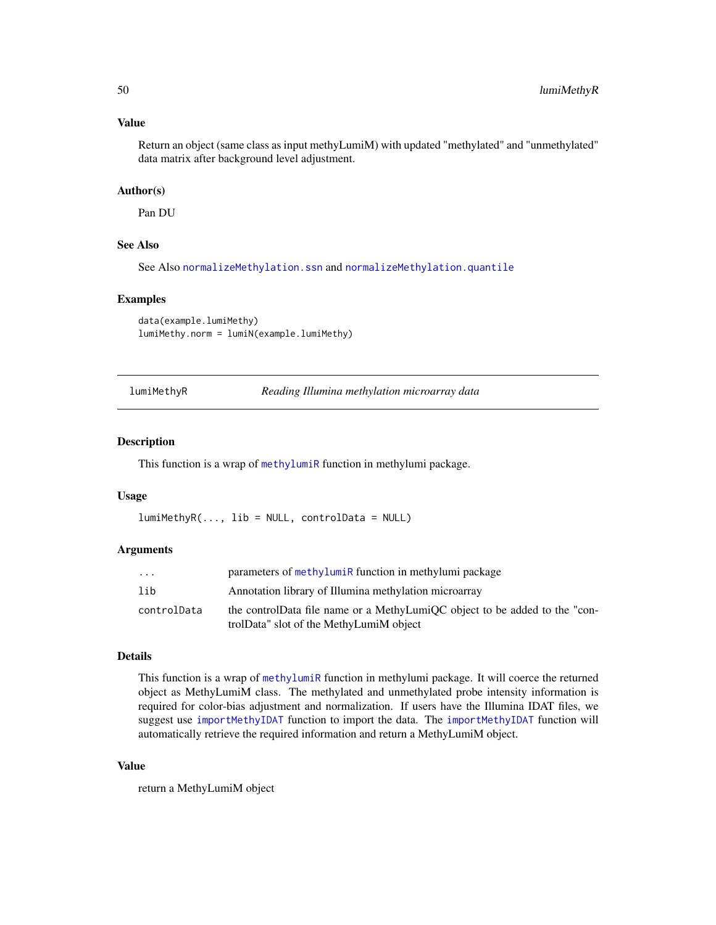## Value

Return an object (same class as input methyLumiM) with updated "methylated" and "unmethylated" data matrix after background level adjustment.

## Author(s)

Pan DU

# See Also

See Also [normalizeMethylation.ssn](#page-64-0) and [normalizeMethylation.quantile](#page-63-0)

#### Examples

```
data(example.lumiMethy)
lumiMethy.norm = lumiN(example.lumiMethy)
```
<span id="page-49-0"></span>lumiMethyR *Reading Illumina methylation microarray data*

#### Description

This function is a wrap of [methylumiR](#page-0-0) function in methylumi package.

## Usage

 $lumihethylR(..., lib = NULL, controlData = NULL)$ 

#### Arguments

| .           | parameters of methylumiR function in methylumi package                                                                |
|-------------|-----------------------------------------------------------------------------------------------------------------------|
| lib         | Annotation library of Illumina methylation microarray                                                                 |
| controlData | the controlData file name or a MethyLumiQC object to be added to the "con-<br>trolData" slot of the MethyLumiM object |

# Details

This function is a wrap of [methylumiR](#page-0-0) function in methylumi package. It will coerce the returned object as MethyLumiM class. The methylated and unmethylated probe intensity information is required for color-bias adjustment and normalization. If users have the Illumina IDAT files, we suggest use [importMethyIDAT](#page-38-0) function to import the data. The [importMethyIDAT](#page-38-0) function will automatically retrieve the required information and return a MethyLumiM object.

# Value

return a MethyLumiM object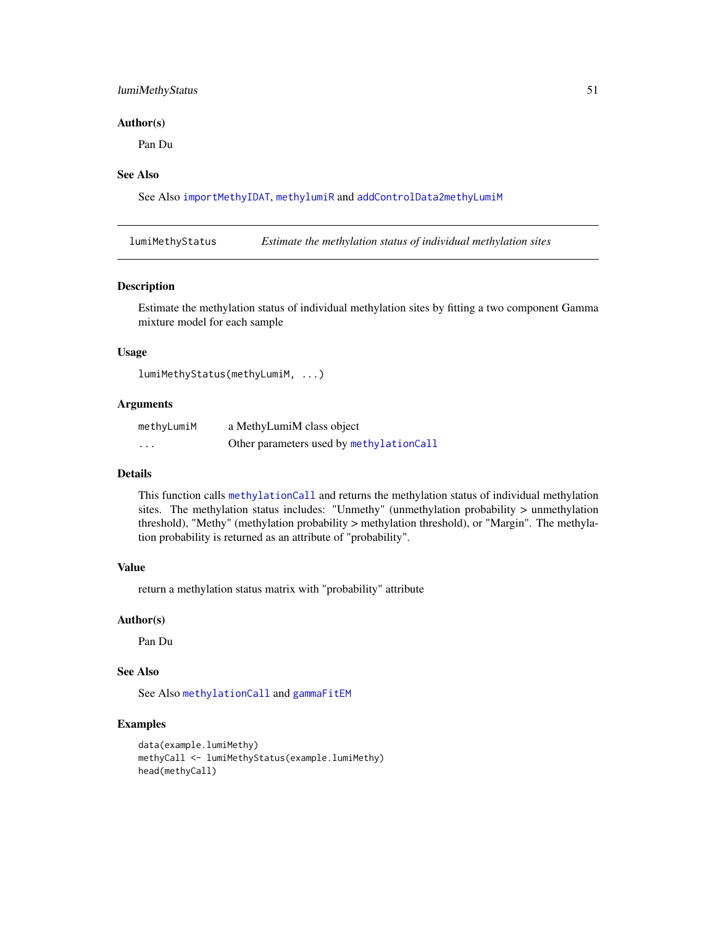# lumiMethyStatus 51

#### Author(s)

Pan Du

## See Also

See Also [importMethyIDAT](#page-38-0), [methylumiR](#page-0-0) and [addControlData2methyLumiM](#page-5-0)

lumiMethyStatus *Estimate the methylation status of individual methylation sites*

## Description

Estimate the methylation status of individual methylation sites by fitting a two component Gamma mixture model for each sample

# Usage

```
lumiMethyStatus(methyLumiM, ...)
```
# Arguments

| methyLumiM | a MethyLumiM class object                |
|------------|------------------------------------------|
| .          | Other parameters used by methylationCall |

#### Details

This function calls [methylationCall](#page-60-0) and returns the methylation status of individual methylation sites. The methylation status includes: "Unmethy" (unmethylation probability > unmethylation threshold), "Methy" (methylation probability > methylation threshold), or "Margin". The methylation probability is returned as an attribute of "probability".

#### Value

return a methylation status matrix with "probability" attribute

#### Author(s)

Pan Du

# See Also

See Also [methylationCall](#page-60-0) and [gammaFitEM](#page-28-0)

### Examples

```
data(example.lumiMethy)
methyCall <- lumiMethyStatus(example.lumiMethy)
head(methyCall)
```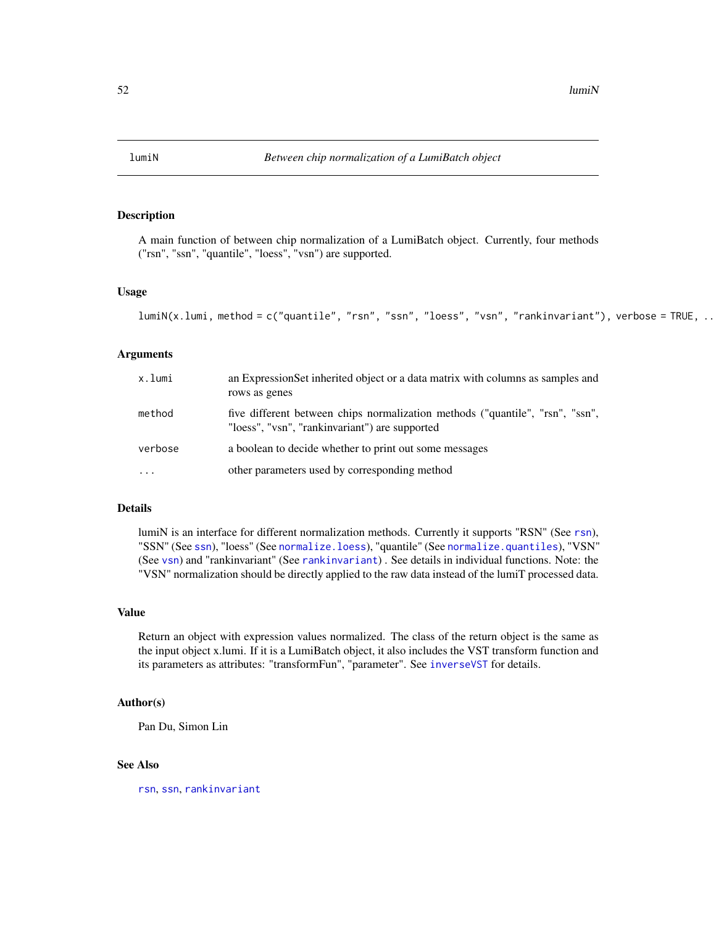<span id="page-51-0"></span>

## Description

A main function of between chip normalization of a LumiBatch object. Currently, four methods ("rsn", "ssn", "quantile", "loess", "vsn") are supported.

#### Usage

```
lumiN(x.lumi, method = c("quantile", "rsn", "ssn", "loess", "vsn", "rankinvariant"), verbose = TRUE, ..
```
## Arguments

| x.lumi   | an Expression Set inherited object or a data matrix with columns as samples and<br>rows as genes                                |
|----------|---------------------------------------------------------------------------------------------------------------------------------|
| method   | five different between chips normalization methods ("quantile", "rsn", "ssn",<br>"loess", "vsn", "rankinvariant") are supported |
| verbose  | a boolean to decide whether to print out some messages                                                                          |
| $\cdots$ | other parameters used by corresponding method                                                                                   |

#### Details

lumiN is an interface for different normalization methods. Currently it supports "RSN" (See [rsn](#page-90-0)), "SSN" (See [ssn](#page-93-0)), "loess" (See [normalize.loess](#page-0-0)), "quantile" (See [normalize.quantiles](#page-0-0)), "VSN" (See [vsn](#page-0-0)) and "rankinvariant" (See [rankinvariant](#page-89-0)) . See details in individual functions. Note: the "VSN" normalization should be directly applied to the raw data instead of the lumiT processed data.

## Value

Return an object with expression values normalized. The class of the return object is the same as the input object x.lumi. If it is a LumiBatch object, it also includes the VST transform function and its parameters as attributes: "transformFun", "parameter". See [inverseVST](#page-39-0) for details.

#### Author(s)

Pan Du, Simon Lin

#### See Also

[rsn](#page-90-0), [ssn](#page-93-0), [rankinvariant](#page-89-0)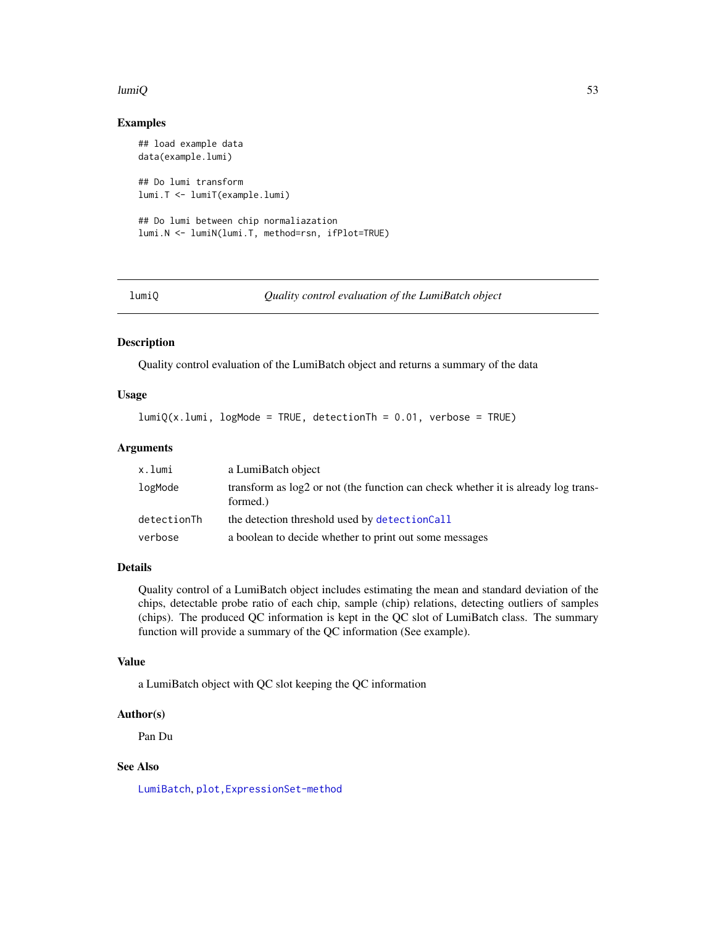#### $lumiQ$  53

## Examples

```
## load example data
data(example.lumi)
## Do lumi transform
lumi.T <- lumiT(example.lumi)
## Do lumi between chip normaliazation
lumi.N <- lumiN(lumi.T, method=rsn, ifPlot=TRUE)
```
<span id="page-52-0"></span>

lumiQ *Quality control evaluation of the LumiBatch object*

#### Description

Quality control evaluation of the LumiBatch object and returns a summary of the data

## Usage

 $lumiQ(x.lumi, logMode = TRUE, detectionTh = 0.01, verbose = TRUE)$ 

## Arguments

| x.lumi      | a LumiBatch object                                                                              |
|-------------|-------------------------------------------------------------------------------------------------|
| logMode     | transform as $log2$ or not (the function can check whether it is already log trans-<br>formed.) |
| detectionTh | the detection threshold used by detectionCall                                                   |
| verbose     | a boolean to decide whether to print out some messages                                          |

## Details

Quality control of a LumiBatch object includes estimating the mean and standard deviation of the chips, detectable probe ratio of each chip, sample (chip) relations, detecting outliers of samples (chips). The produced QC information is kept in the QC slot of LumiBatch class. The summary function will provide a summary of the QC information (See example).

## Value

a LumiBatch object with QC slot keeping the QC information

#### Author(s)

Pan Du

# See Also

[LumiBatch](#page-43-1), [plot,ExpressionSet-method](#page-0-0)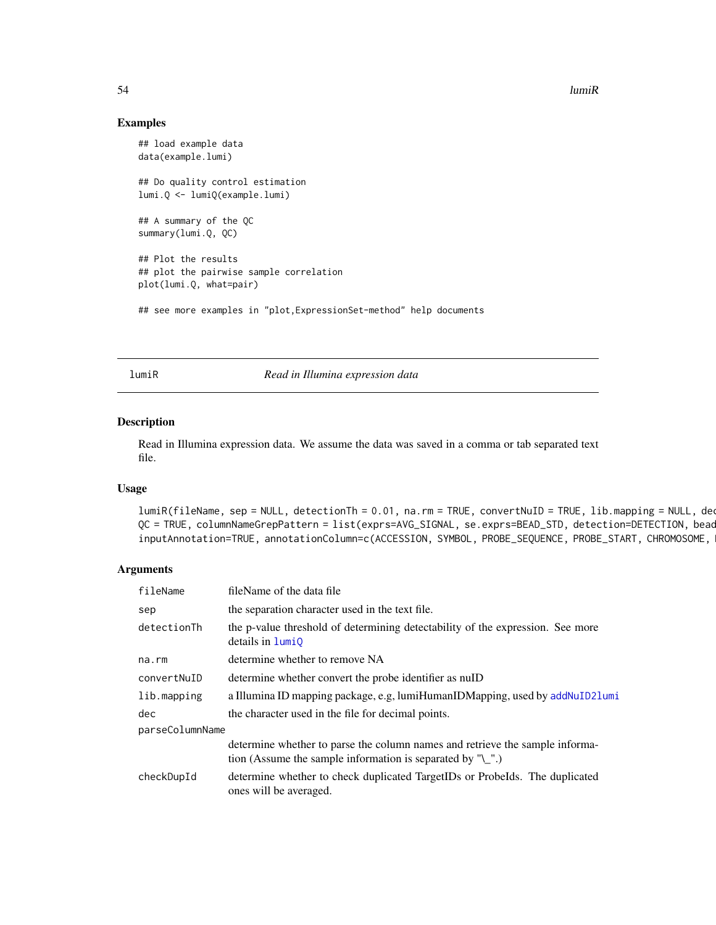54 lumiR

#### Examples

```
## load example data
data(example.lumi)
## Do quality control estimation
lumi.Q <- lumiQ(example.lumi)
## A summary of the QC
summary(lumi.Q, QC)
## Plot the results
## plot the pairwise sample correlation
plot(lumi.Q, what=pair)
## see more examples in "plot, ExpressionSet-method" help documents
```
<span id="page-53-0"></span>lumiR *Read in Illumina expression data*

## Description

Read in Illumina expression data. We assume the data was saved in a comma or tab separated text file.

# Usage

```
lumiR(fileName, sep = NULL, detectionTh = 0.01, na.rm = TRUE, convertNuID = TRUE, lib.mapping = NULL, decQC = TRUE, columnNameGrepPattern = list(exprs=AVG_SIGNAL, se.exprs=BEAD_STD, detection=DETECTION, bead
inputAnnotation=TRUE, annotationColumn=c(ACCESSION, SYMBOL, PROBE_SEQUENCE, PROBE_START, CHROMOSOME,
```
# Arguments

| fileName        | fileName of the data file                                                                                                                  |
|-----------------|--------------------------------------------------------------------------------------------------------------------------------------------|
| sep             | the separation character used in the text file.                                                                                            |
| detectionTh     | the p-value threshold of determining detectability of the expression. See more<br>details in <b>lumi0</b>                                  |
| na.rm           | determine whether to remove NA                                                                                                             |
| convertNuID     | determine whether convert the probe identifier as null                                                                                     |
| lib.mapping     | a Illumina ID mapping package, e.g, lumiHumanIDMapping, used by addNuID21umi                                                               |
| dec.            | the character used in the file for decimal points.                                                                                         |
| parseColumnName |                                                                                                                                            |
|                 | determine whether to parse the column names and retrieve the sample informa-<br>tion (Assume the sample information is separated by $"$ ). |
| checkDupId      | determine whether to check duplicated TargetIDs or Probelds. The duplicated<br>ones will be averaged.                                      |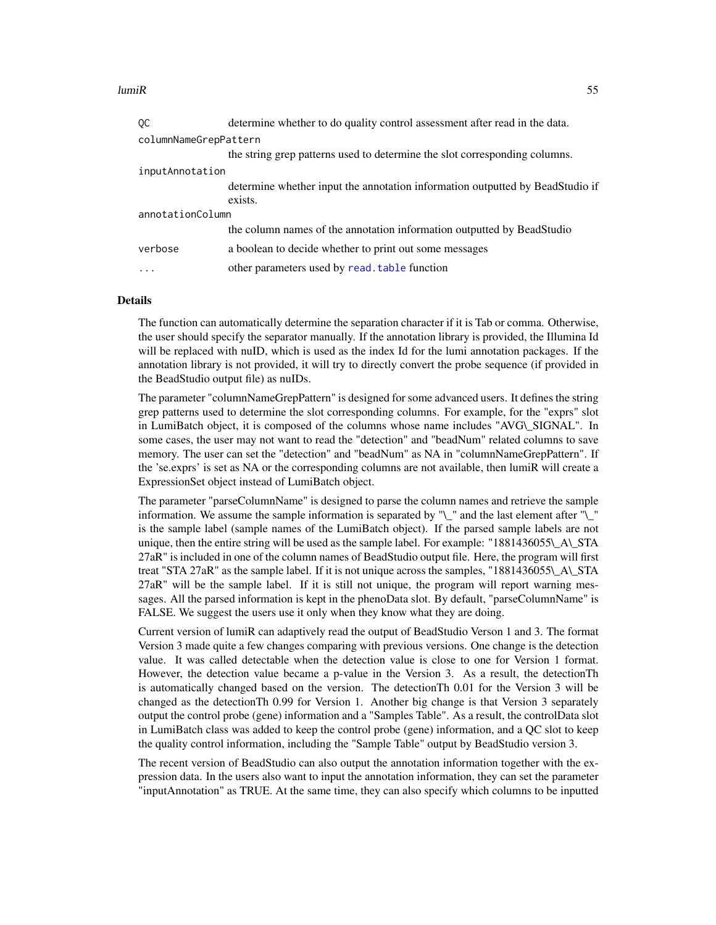#### $lum$ i $R$  55

| ОC                    | determine whether to do quality control assessment after read in the data.    |
|-----------------------|-------------------------------------------------------------------------------|
| columnNameGrepPattern |                                                                               |
|                       | the string grep patterns used to determine the slot corresponding columns.    |
| inputAnnotation       |                                                                               |
|                       | determine whether input the annotation information outputted by BeadStudio if |
|                       | exists.                                                                       |
| annotationColumn      |                                                                               |
|                       | the column names of the annotation information outputted by BeadStudio        |
| verbose               | a boolean to decide whether to print out some messages                        |
| $\cdots$              | other parameters used by read. table function                                 |

#### **Details**

The function can automatically determine the separation character if it is Tab or comma. Otherwise, the user should specify the separator manually. If the annotation library is provided, the Illumina Id will be replaced with nuID, which is used as the index Id for the lumi annotation packages. If the annotation library is not provided, it will try to directly convert the probe sequence (if provided in the BeadStudio output file) as nuIDs.

The parameter "columnNameGrepPattern" is designed for some advanced users. It defines the string grep patterns used to determine the slot corresponding columns. For example, for the "exprs" slot in LumiBatch object, it is composed of the columns whose name includes "AVG\\_SIGNAL". In some cases, the user may not want to read the "detection" and "beadNum" related columns to save memory. The user can set the "detection" and "beadNum" as NA in "columnNameGrepPattern". If the 'se.exprs' is set as NA or the corresponding columns are not available, then lumiR will create a ExpressionSet object instead of LumiBatch object.

The parameter "parseColumnName" is designed to parse the column names and retrieve the sample information. We assume the sample information is separated by " $\mathcal{N}$ " and the last element after " $\mathcal{N}$ " is the sample label (sample names of the LumiBatch object). If the parsed sample labels are not unique, then the entire string will be used as the sample label. For example: "1881436055\ A\ STA 27aR" is included in one of the column names of BeadStudio output file. Here, the program will first treat "STA 27aR" as the sample label. If it is not unique across the samples, "1881436055\\_A\\_STA 27aR" will be the sample label. If it is still not unique, the program will report warning messages. All the parsed information is kept in the phenoData slot. By default, "parseColumnName" is FALSE. We suggest the users use it only when they know what they are doing.

Current version of lumiR can adaptively read the output of BeadStudio Verson 1 and 3. The format Version 3 made quite a few changes comparing with previous versions. One change is the detection value. It was called detectable when the detection value is close to one for Version 1 format. However, the detection value became a p-value in the Version 3. As a result, the detectionTh is automatically changed based on the version. The detectionTh 0.01 for the Version 3 will be changed as the detectionTh 0.99 for Version 1. Another big change is that Version 3 separately output the control probe (gene) information and a "Samples Table". As a result, the controlData slot in LumiBatch class was added to keep the control probe (gene) information, and a QC slot to keep the quality control information, including the "Sample Table" output by BeadStudio version 3.

The recent version of BeadStudio can also output the annotation information together with the expression data. In the users also want to input the annotation information, they can set the parameter "inputAnnotation" as TRUE. At the same time, they can also specify which columns to be inputted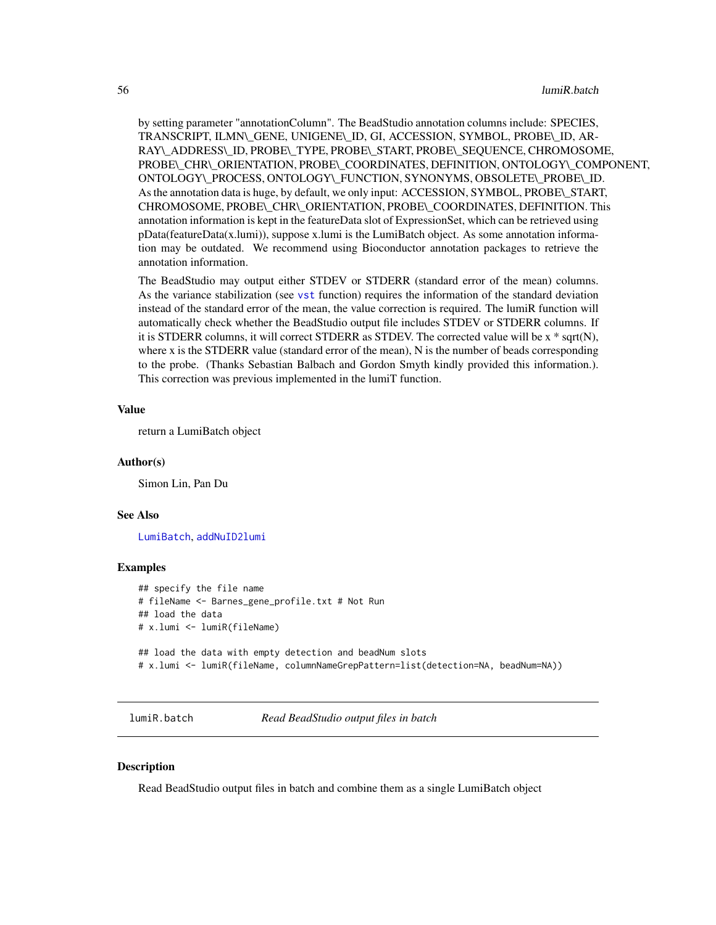by setting parameter "annotationColumn". The BeadStudio annotation columns include: SPECIES, TRANSCRIPT, ILMN\\_GENE, UNIGENE\\_ID, GI, ACCESSION, SYMBOL, PROBE\\_ID, AR-RAY\\_ADDRESS\\_ID, PROBE\\_TYPE, PROBE\\_START, PROBE\\_SEQUENCE, CHROMOSOME, PROBE\\_CHR\\_ORIENTATION, PROBE\\_COORDINATES, DEFINITION, ONTOLOGY\\_COMPONENT, ONTOLOGY\\_PROCESS, ONTOLOGY\\_FUNCTION, SYNONYMS, OBSOLETE\\_PROBE\\_ID. As the annotation data is huge, by default, we only input: ACCESSION, SYMBOL, PROBE\\_START, CHROMOSOME, PROBE\\_CHR\\_ORIENTATION, PROBE\\_COORDINATES, DEFINITION. This annotation information is kept in the featureData slot of ExpressionSet, which can be retrieved using pData(featureData(x.lumi)), suppose x.lumi is the LumiBatch object. As some annotation information may be outdated. We recommend using Bioconductor annotation packages to retrieve the annotation information.

The BeadStudio may output either STDEV or STDERR (standard error of the mean) columns. As the variance stabilization (see [vst](#page-95-0) function) requires the information of the standard deviation instead of the standard error of the mean, the value correction is required. The lumiR function will automatically check whether the BeadStudio output file includes STDEV or STDERR columns. If it is STDERR columns, it will correct STDERR as STDEV. The corrected value will be x \* sqrt(N), where x is the STDERR value (standard error of the mean), N is the number of beads corresponding to the probe. (Thanks Sebastian Balbach and Gordon Smyth kindly provided this information.). This correction was previous implemented in the lumiT function.

#### Value

return a LumiBatch object

#### Author(s)

Simon Lin, Pan Du

#### See Also

[LumiBatch](#page-43-1), [addNuID2lumi](#page-6-0)

#### Examples

```
## specify the file name
# fileName <- Barnes_gene_profile.txt # Not Run
## load the data
# x.lumi <- lumiR(fileName)
## load the data with empty detection and beadNum slots
# x.lumi <- lumiR(fileName, columnNameGrepPattern=list(detection=NA, beadNum=NA))
```
lumiR.batch *Read BeadStudio output files in batch*

#### Description

Read BeadStudio output files in batch and combine them as a single LumiBatch object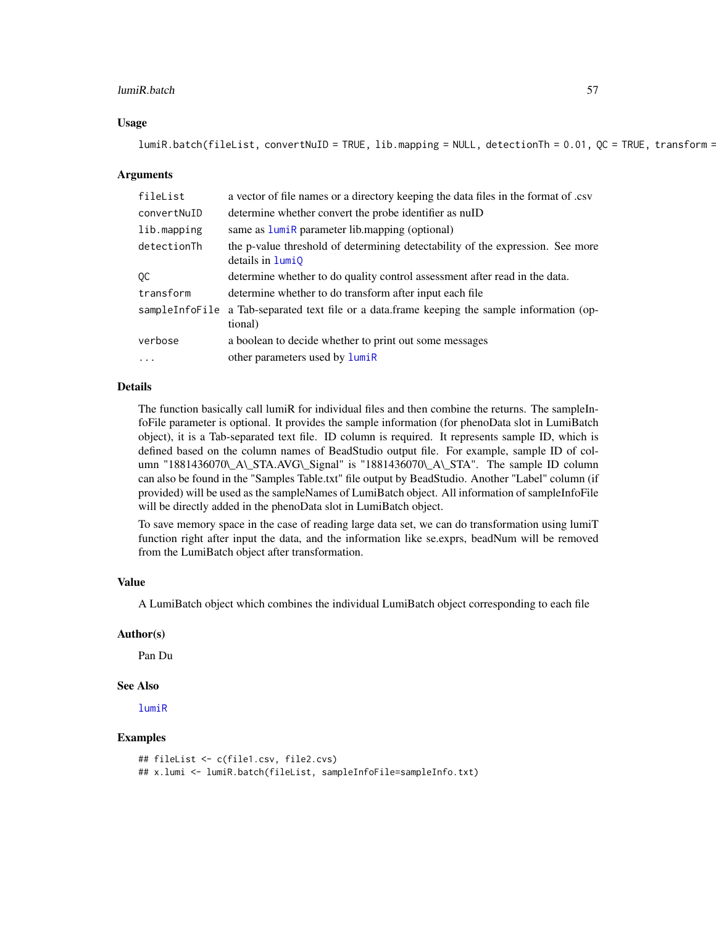#### lumiR.batch 57

## Usage

```
lumiR.batch(fileList, convertNuID = TRUE, lib.mapping = NULL, detectionTh = 0.01, QC = TRUE, transform =
```
#### Arguments

| fileList    | a vector of file names or a directory keeping the data files in the format of .csv                        |
|-------------|-----------------------------------------------------------------------------------------------------------|
| convertNuID | determine whether convert the probe identifier as nulD                                                    |
| lib.mapping | same as <b>lumiR</b> parameter lib.mapping (optional)                                                     |
| detectionTh | the p-value threshold of determining detectability of the expression. See more<br>details in <b>lumi0</b> |
| QC          | determine whether to do quality control assessment after read in the data.                                |
| transform   | determine whether to do transform after input each file                                                   |
|             | sampleInfoFile a Tab-separated text file or a data.frame keeping the sample information (op-<br>tional)   |
| verbose     | a boolean to decide whether to print out some messages                                                    |
| $\cdots$    | other parameters used by lumiR                                                                            |

## Details

The function basically call lumiR for individual files and then combine the returns. The sampleInfoFile parameter is optional. It provides the sample information (for phenoData slot in LumiBatch object), it is a Tab-separated text file. ID column is required. It represents sample ID, which is defined based on the column names of BeadStudio output file. For example, sample ID of column "1881436070\\_A\\_STA.AVG\\_Signal" is "1881436070\\_A\\_STA". The sample ID column can also be found in the "Samples Table.txt" file output by BeadStudio. Another "Label" column (if provided) will be used as the sampleNames of LumiBatch object. All information of sampleInfoFile will be directly added in the phenoData slot in LumiBatch object.

To save memory space in the case of reading large data set, we can do transformation using lumiT function right after input the data, and the information like se.exprs, beadNum will be removed from the LumiBatch object after transformation.

#### Value

A LumiBatch object which combines the individual LumiBatch object corresponding to each file

## Author(s)

Pan Du

# See Also

[lumiR](#page-53-0)

# Examples

```
## fileList <- c(file1.csv, file2.cvs)
## x.lumi <- lumiR.batch(fileList, sampleInfoFile=sampleInfo.txt)
```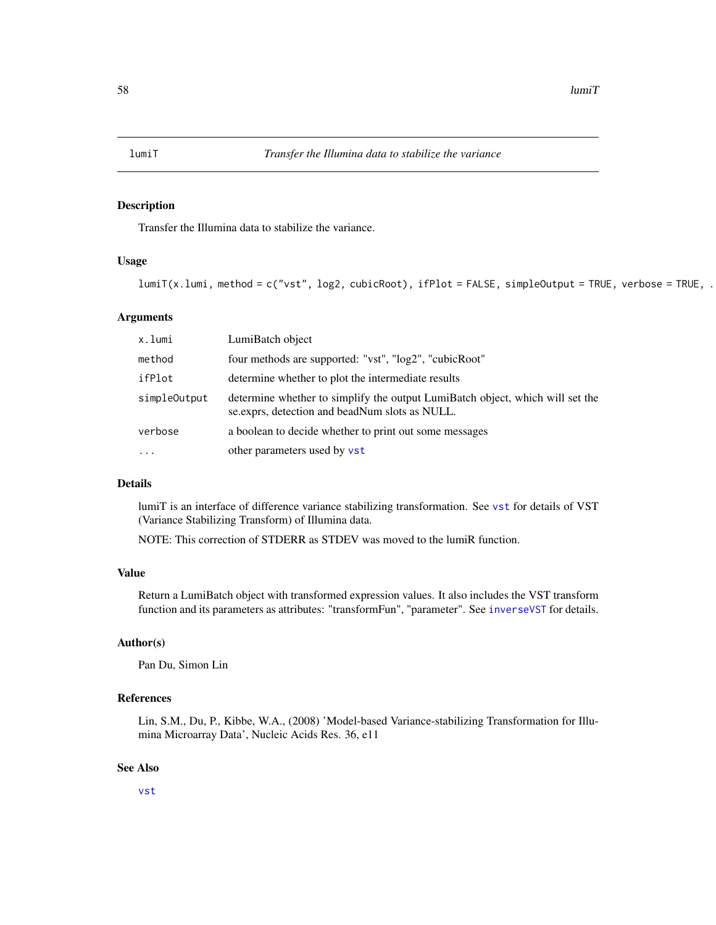<span id="page-57-0"></span>

# Description

Transfer the Illumina data to stabilize the variance.

### Usage

```
lumiT(x.lumi, method = c("vst", log2, cubicRoot), ifPlot = FALSE, simpleOutput = TRUE, verbose = TRUE, .
```
#### Arguments

| x.lumi       | LumiBatch object                                                                                                                 |
|--------------|----------------------------------------------------------------------------------------------------------------------------------|
| method       | four methods are supported: "vst", "log2", "cubicRoot"                                                                           |
| ifPlot       | determine whether to plot the intermediate results                                                                               |
| simpleOutput | determine whether to simplify the output LumiBatch object, which will set the<br>se. exprs, detection and beadNum slots as NULL. |
| verbose      | a boolean to decide whether to print out some messages                                                                           |
| $\ddotsc$    | other parameters used by vst                                                                                                     |

#### Details

lumiT is an interface of difference variance stabilizing transformation. See [vst](#page-95-0) for details of VST (Variance Stabilizing Transform) of Illumina data.

NOTE: This correction of STDERR as STDEV was moved to the lumiR function.

# Value

Return a LumiBatch object with transformed expression values. It also includes the VST transform function and its parameters as attributes: "transformFun", "parameter". See [inverseVST](#page-39-0) for details.

# Author(s)

Pan Du, Simon Lin

## References

Lin, S.M., Du, P., Kibbe, W.A., (2008) 'Model-based Variance-stabilizing Transformation for Illumina Microarray Data', Nucleic Acids Res. 36, e11

## See Also

[vst](#page-95-0)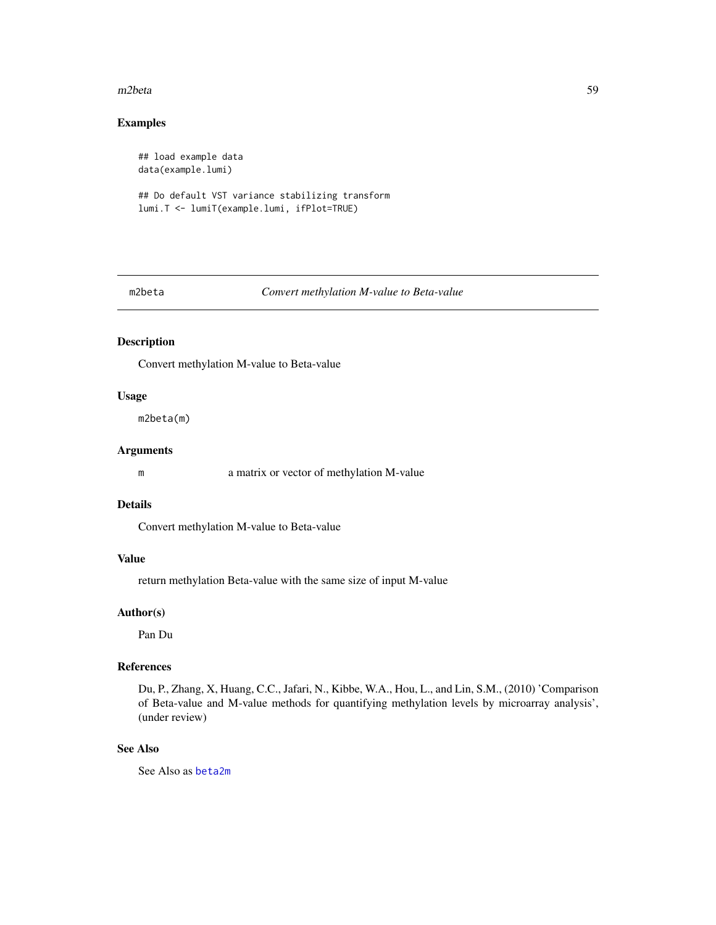#### m2beta 59

# Examples

## load example data data(example.lumi)

## Do default VST variance stabilizing transform lumi.T <- lumiT(example.lumi, ifPlot=TRUE)

#### m2beta *Convert methylation M-value to Beta-value*

# Description

Convert methylation M-value to Beta-value

## Usage

m2beta(m)

# Arguments

m a matrix or vector of methylation M-value

## Details

Convert methylation M-value to Beta-value

# Value

return methylation Beta-value with the same size of input M-value

## Author(s)

Pan Du

# References

Du, P., Zhang, X, Huang, C.C., Jafari, N., Kibbe, W.A., Hou, L., and Lin, S.M., (2010) 'Comparison of Beta-value and M-value methods for quantifying methylation levels by microarray analysis', (under review)

#### See Also

See Also as [beta2m](#page-11-0)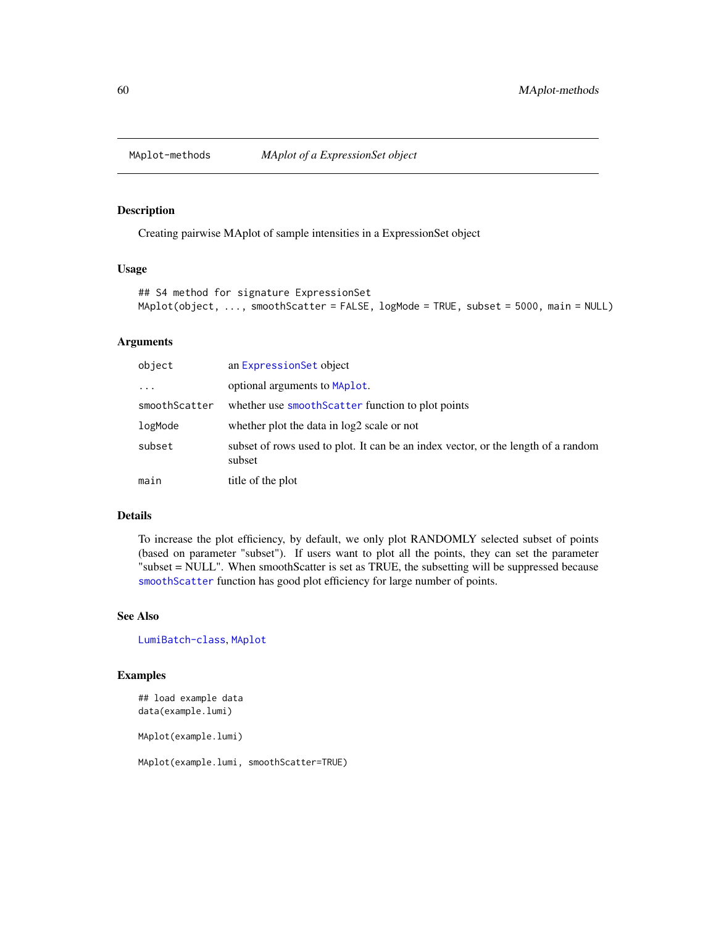<span id="page-59-0"></span>

#### <span id="page-59-1"></span>Description

Creating pairwise MAplot of sample intensities in a ExpressionSet object

# Usage

```
## S4 method for signature ExpressionSet
MAplot(object, ..., smoothScatter = FALSE, logMode = TRUE, subset = 5000, main = NULL)
```
## Arguments

| object        | an ExpressionSet object                                                                     |
|---------------|---------------------------------------------------------------------------------------------|
| $\cdots$      | optional arguments to MAplot.                                                               |
| smoothScatter | whether use smooth Scatter function to plot points                                          |
| logMode       | whether plot the data in log2 scale or not                                                  |
| subset        | subset of rows used to plot. It can be an index vector, or the length of a random<br>subset |
| main          | title of the plot                                                                           |

## Details

To increase the plot efficiency, by default, we only plot RANDOMLY selected subset of points (based on parameter "subset"). If users want to plot all the points, they can set the parameter "subset = NULL". When smoothScatter is set as TRUE, the subsetting will be suppressed because [smoothScatter](#page-0-0) function has good plot efficiency for large number of points.

# See Also

[LumiBatch-class](#page-43-0), [MAplot](#page-59-1)

# Examples

## load example data data(example.lumi)

MAplot(example.lumi)

MAplot(example.lumi, smoothScatter=TRUE)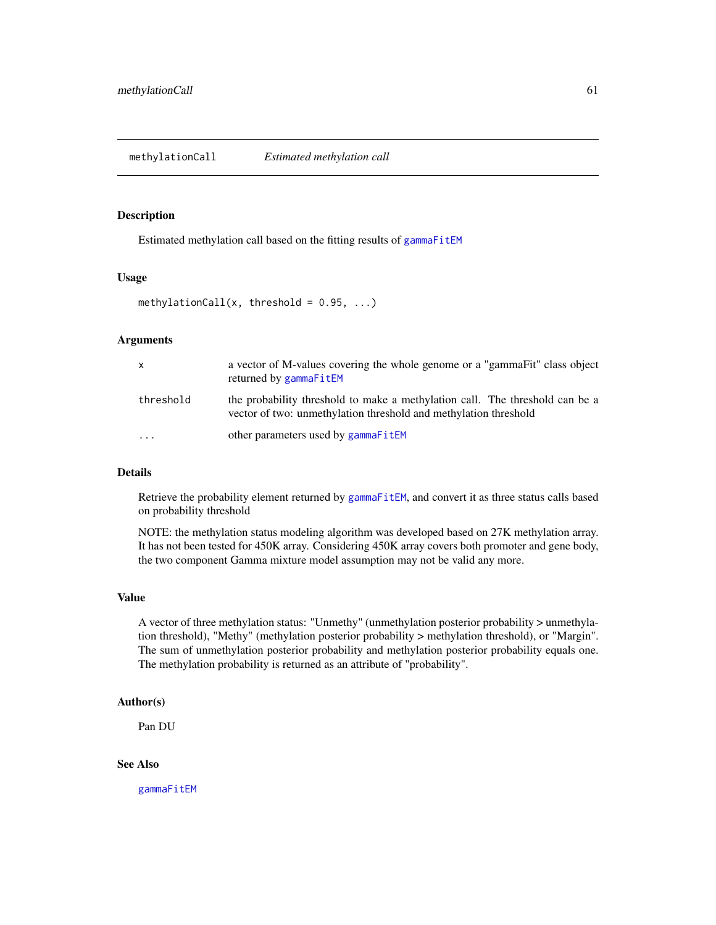#### <span id="page-60-0"></span>Description

Estimated methylation call based on the fitting results of [gammaFitEM](#page-28-0)

#### Usage

```
methylationCall(x, threshold = 0.95, ...)
```
# Arguments

| x         | a vector of M-values covering the whole genome or a "gammaFit" class object<br>returned by gammaFitEM                                            |
|-----------|--------------------------------------------------------------------------------------------------------------------------------------------------|
| threshold | the probability threshold to make a methylation call. The threshold can be a<br>vector of two: unmethylation threshold and methylation threshold |
| $\ddotsc$ | other parameters used by gammaFitEM                                                                                                              |

# Details

Retrieve the probability element returned by [gammaFitEM](#page-28-0), and convert it as three status calls based on probability threshold

NOTE: the methylation status modeling algorithm was developed based on 27K methylation array. It has not been tested for 450K array. Considering 450K array covers both promoter and gene body, the two component Gamma mixture model assumption may not be valid any more.

## Value

A vector of three methylation status: "Unmethy" (unmethylation posterior probability > unmethylation threshold), "Methy" (methylation posterior probability > methylation threshold), or "Margin". The sum of unmethylation posterior probability and methylation posterior probability equals one. The methylation probability is returned as an attribute of "probability".

## Author(s)

Pan DU

# See Also

[gammaFitEM](#page-28-0)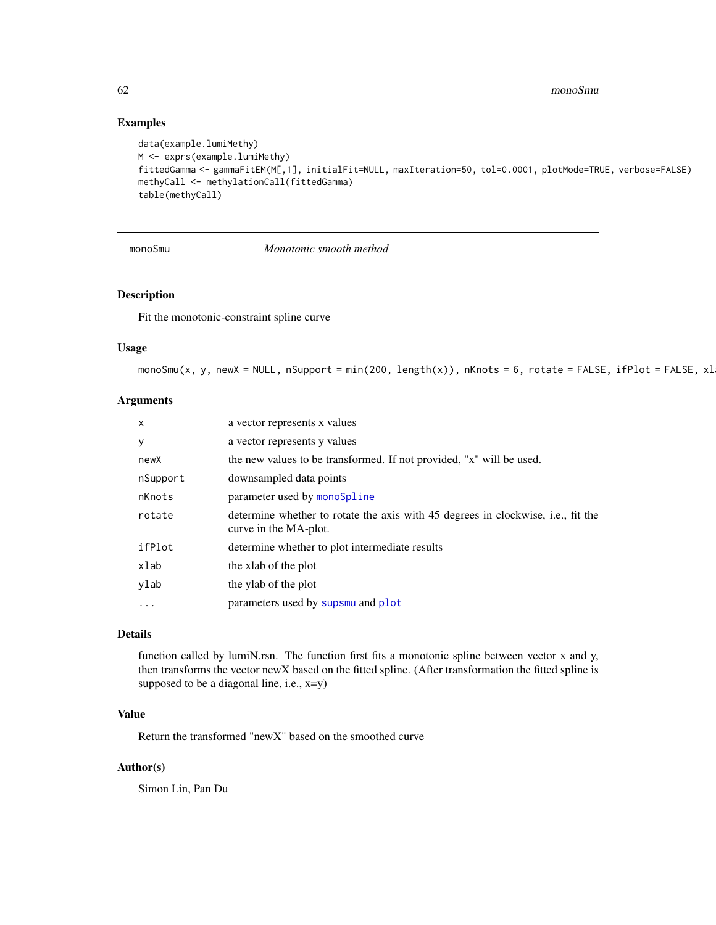## Examples

```
data(example.lumiMethy)
M <- exprs(example.lumiMethy)
fittedGamma <- gammaFitEM(M[,1], initialFit=NULL, maxIteration=50, tol=0.0001, plotMode=TRUE, verbose=FALSE)
methyCall <- methylationCall(fittedGamma)
table(methyCall)
```
monoSmu *Monotonic smooth method*

# Description

Fit the monotonic-constraint spline curve

#### Usage

 $monoSmu(x, y, newX = NULL, nSupport = min(200, length(x)), nKnots = 6, rotate = FALSE, ifPlot = FALSE, x1$ 

## Arguments

| X        | a vector represents x values                                                                              |
|----------|-----------------------------------------------------------------------------------------------------------|
| у        | a vector represents y values                                                                              |
| newX     | the new values to be transformed. If not provided, "x" will be used.                                      |
| nSupport | downsampled data points                                                                                   |
| nKnots   | parameter used by monoSpline                                                                              |
| rotate   | determine whether to rotate the axis with 45 degrees in clockwise, i.e., fit the<br>curve in the MA-plot. |
| ifPlot   | determine whether to plot intermediate results                                                            |
| xlab     | the xlab of the plot                                                                                      |
| ylab     | the ylab of the plot                                                                                      |
| .        | parameters used by supsmu and plot                                                                        |
|          |                                                                                                           |

## Details

function called by lumiN.rsn. The function first fits a monotonic spline between vector x and y, then transforms the vector newX based on the fitted spline. (After transformation the fitted spline is supposed to be a diagonal line, i.e., x=y)

# Value

Return the transformed "newX" based on the smoothed curve

#### Author(s)

Simon Lin, Pan Du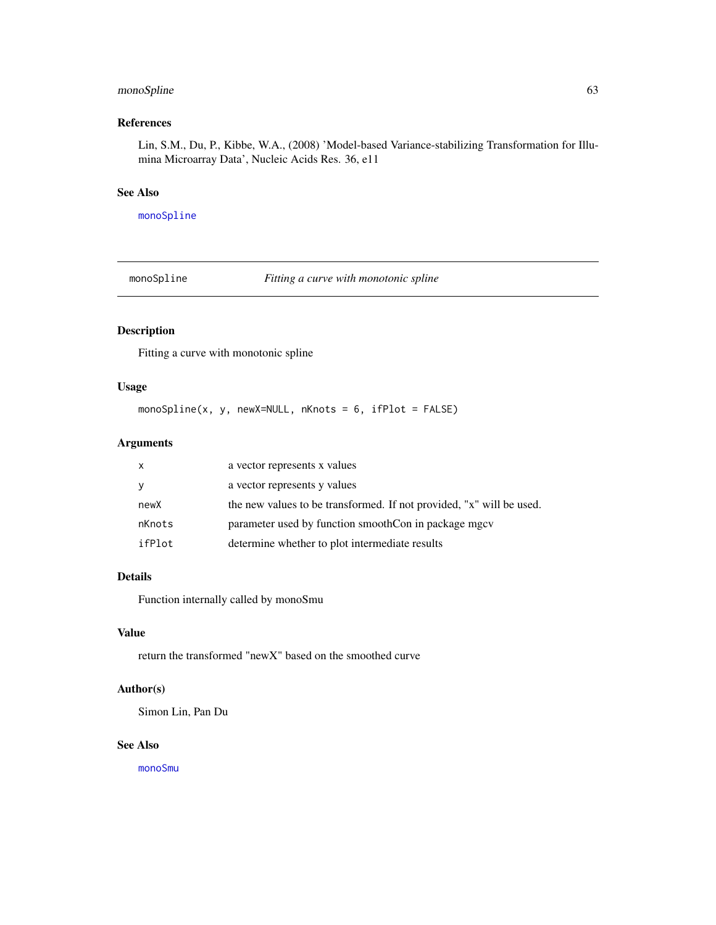# monoSpline 63

# References

Lin, S.M., Du, P., Kibbe, W.A., (2008) 'Model-based Variance-stabilizing Transformation for Illumina Microarray Data', Nucleic Acids Res. 36, e11

# See Also

[monoSpline](#page-62-0)

<span id="page-62-0"></span>monoSpline *Fitting a curve with monotonic spline*

# Description

Fitting a curve with monotonic spline

# Usage

monoSpline(x, y, newX=NULL, nKnots = 6, ifPlot = FALSE)

# Arguments

| X      | a vector represents x values                                         |
|--------|----------------------------------------------------------------------|
| У      | a vector represents y values                                         |
| newX   | the new values to be transformed. If not provided, "x" will be used. |
| nKnots | parameter used by function smoothCon in package mgcv                 |
| ifPlot | determine whether to plot intermediate results                       |

# Details

Function internally called by monoSmu

## Value

return the transformed "newX" based on the smoothed curve

# Author(s)

Simon Lin, Pan Du

# See Also

[monoSmu](#page-61-0)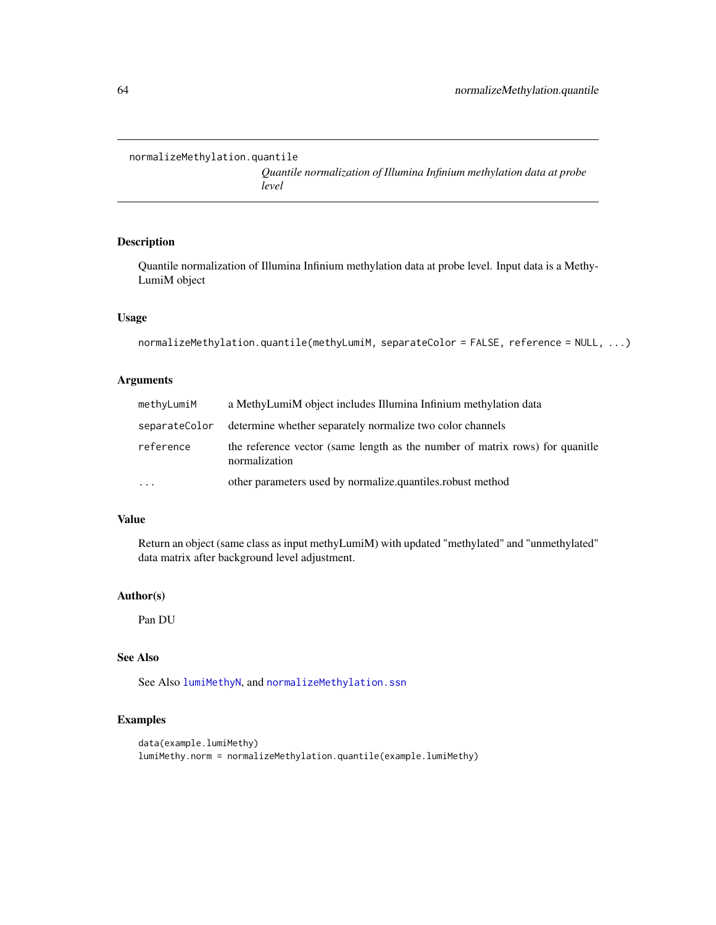<span id="page-63-0"></span>normalizeMethylation.quantile

*Quantile normalization of Illumina Infinium methylation data at probe level*

# Description

Quantile normalization of Illumina Infinium methylation data at probe level. Input data is a Methy-LumiM object

#### Usage

```
normalizeMethylation.quantile(methyLumiM, separateColor = FALSE, reference = NULL, ...)
```
# Arguments

| methyLumiM | a MethyLumiM object includes Illumina Infinium methylation data                               |
|------------|-----------------------------------------------------------------------------------------------|
|            | separateColor determine whether separately normalize two color channels                       |
| reference  | the reference vector (same length as the number of matrix rows) for quanitie<br>normalization |
| $\cdots$   | other parameters used by normalize.quantiles.robust method                                    |

# Value

Return an object (same class as input methyLumiM) with updated "methylated" and "unmethylated" data matrix after background level adjustment.

## Author(s)

Pan DU

# See Also

See Also [lumiMethyN](#page-48-0), and [normalizeMethylation.ssn](#page-64-0)

# Examples

```
data(example.lumiMethy)
lumiMethy.norm = normalizeMethylation.quantile(example.lumiMethy)
```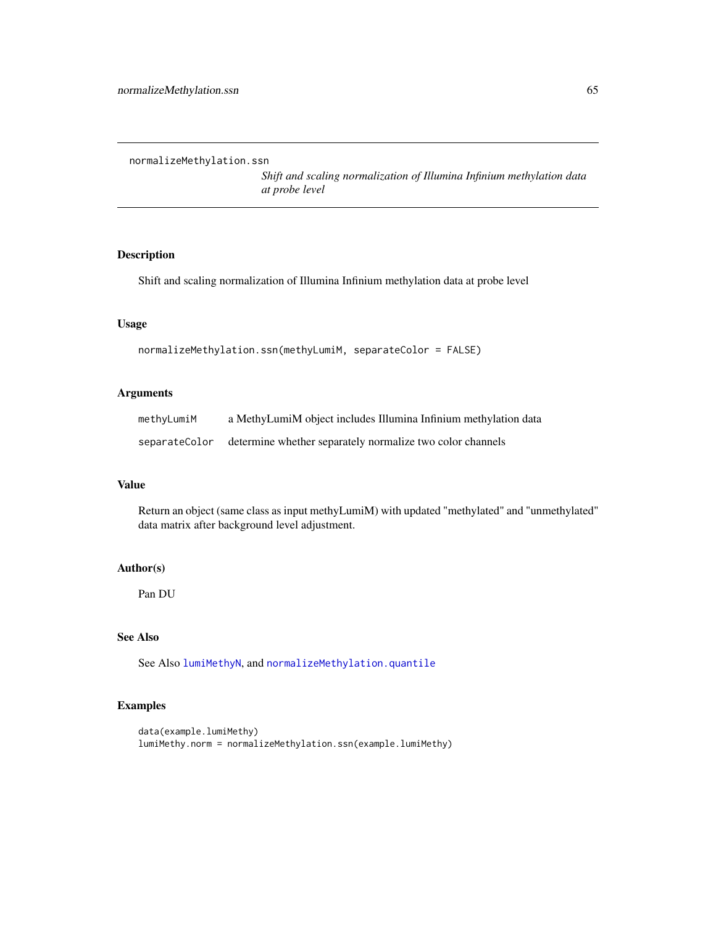<span id="page-64-0"></span>normalizeMethylation.ssn

*Shift and scaling normalization of Illumina Infinium methylation data at probe level*

# Description

Shift and scaling normalization of Illumina Infinium methylation data at probe level

## Usage

```
normalizeMethylation.ssn(methyLumiM, separateColor = FALSE)
```
# Arguments

| methyLumiM | a MethyLumiM object includes Illumina Infinium methylation data         |
|------------|-------------------------------------------------------------------------|
|            | separateColor determine whether separately normalize two color channels |

## Value

Return an object (same class as input methyLumiM) with updated "methylated" and "unmethylated" data matrix after background level adjustment.

## Author(s)

Pan DU

# See Also

See Also [lumiMethyN](#page-48-0), and [normalizeMethylation.quantile](#page-63-0)

# Examples

```
data(example.lumiMethy)
lumiMethy.norm = normalizeMethylation.ssn(example.lumiMethy)
```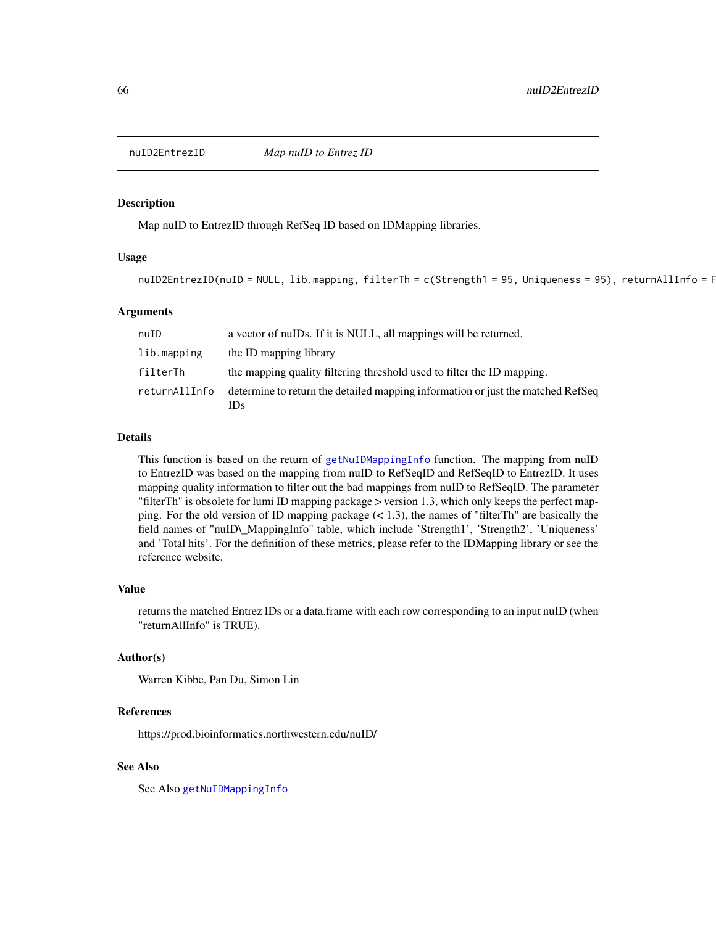## Description

Map nuID to EntrezID through RefSeq ID based on IDMapping libraries.

# Usage

```
nuID2EntrezID(nuID = NULL, lib.mapping, filterTh = c(Strength1 = 95, Uniqueness = 95), returnAllInfo = F
```
## Arguments

| nuID          | a vector of nulles. If it is NULL, all mappings will be returned.                      |
|---------------|----------------------------------------------------------------------------------------|
| lib.mapping   | the ID mapping library                                                                 |
| filterTh      | the mapping quality filtering threshold used to filter the ID mapping.                 |
| returnAllInfo | determine to return the detailed mapping information or just the matched RefSeq<br>IDs |

#### Details

This function is based on the return of [getNuIDMappingInfo](#page-35-0) function. The mapping from nuID to EntrezID was based on the mapping from nuID to RefSeqID and RefSeqID to EntrezID. It uses mapping quality information to filter out the bad mappings from nuID to RefSeqID. The parameter "filterTh" is obsolete for lumi ID mapping package > version 1.3, which only keeps the perfect mapping. For the old version of ID mapping package  $(< 1.3)$ , the names of "filterTh" are basically the field names of "nuID\\_MappingInfo" table, which include 'Strength1', 'Strength2', 'Uniqueness' and 'Total hits'. For the definition of these metrics, please refer to the IDMapping library or see the reference website.

#### Value

returns the matched Entrez IDs or a data.frame with each row corresponding to an input nuID (when "returnAllInfo" is TRUE).

#### Author(s)

Warren Kibbe, Pan Du, Simon Lin

#### References

https://prod.bioinformatics.northwestern.edu/nuID/

# See Also

See Also [getNuIDMappingInfo](#page-35-0)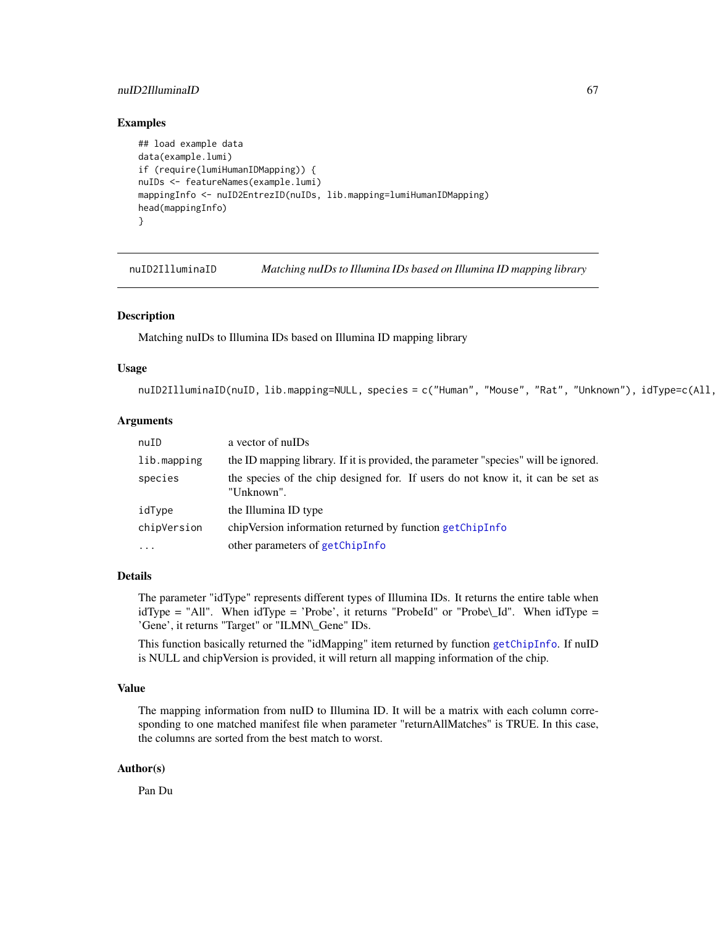# nuID2IIluminaID 67

## Examples

```
## load example data
data(example.lumi)
if (require(lumiHumanIDMapping)) {
nuIDs <- featureNames(example.lumi)
mappingInfo <- nuID2EntrezID(nuIDs, lib.mapping=lumiHumanIDMapping)
head(mappingInfo)
}
```
<span id="page-66-0"></span>nuID2IlluminaID *Matching nuIDs to Illumina IDs based on Illumina ID mapping library*

## Description

Matching nuIDs to Illumina IDs based on Illumina ID mapping library

## Usage

```
nuID2IlluminaID(nuID, lib.mapping=NULL, species = c("Human", "Mouse", "Rat", "Unknown"), idType=c(All,
```
#### Arguments

| nuID        | a vector of null Ds                                                                           |
|-------------|-----------------------------------------------------------------------------------------------|
| lib.mapping | the ID mapping library. If it is provided, the parameter "species" will be ignored.           |
| species     | the species of the chip designed for. If users do not know it, it can be set as<br>"Unknown". |
| idType      | the Illumina ID type                                                                          |
| chipVersion | chipVersion information returned by function getChipInfo                                      |
| $\cdots$    | other parameters of getChipInfo                                                               |

#### Details

The parameter "idType" represents different types of Illumina IDs. It returns the entire table when idType = "All". When idType = 'Probe', it returns "ProbeId" or "Probe\\_Id". When idType = 'Gene', it returns "Target" or "ILMN\\_Gene" IDs.

This function basically returned the "idMapping" item returned by function [getChipInfo](#page-29-0). If nuID is NULL and chipVersion is provided, it will return all mapping information of the chip.

## Value

The mapping information from nuID to Illumina ID. It will be a matrix with each column corresponding to one matched manifest file when parameter "returnAllMatches" is TRUE. In this case, the columns are sorted from the best match to worst.

## Author(s)

Pan Du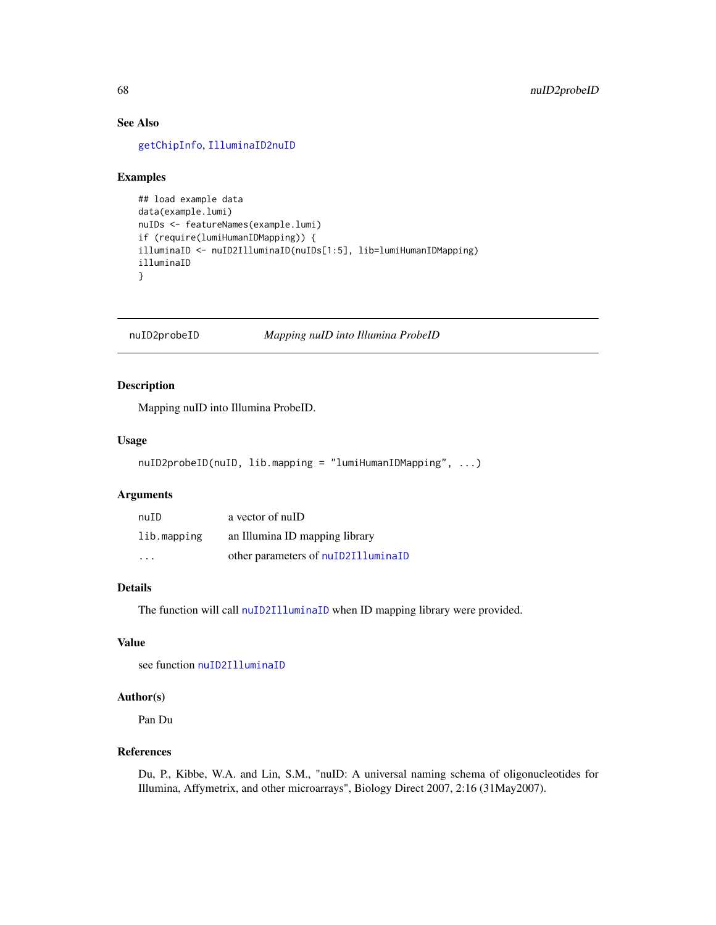# See Also

[getChipInfo](#page-29-0), [IlluminaID2nuID](#page-37-0)

## Examples

```
## load example data
data(example.lumi)
nuIDs <- featureNames(example.lumi)
if (require(lumiHumanIDMapping)) {
illuminaID <- nuID2IlluminaID(nuIDs[1:5], lib=lumiHumanIDMapping)
illuminaID
}
```
nuID2probeID *Mapping nuID into Illumina ProbeID*

# Description

Mapping nuID into Illumina ProbeID.

#### Usage

```
nuID2probeID(nuID, lib.mapping = "lumiHumanIDMapping", ...)
```
# Arguments

| nuID        | a vector of nulD                    |
|-------------|-------------------------------------|
| lib.mapping | an Illumina ID mapping library      |
| .           | other parameters of nuID2IlluminaID |

## Details

The function will call [nuID2IlluminaID](#page-66-0) when ID mapping library were provided.

# Value

see function [nuID2IlluminaID](#page-66-0)

## Author(s)

Pan Du

# References

Du, P., Kibbe, W.A. and Lin, S.M., "nuID: A universal naming schema of oligonucleotides for Illumina, Affymetrix, and other microarrays", Biology Direct 2007, 2:16 (31May2007).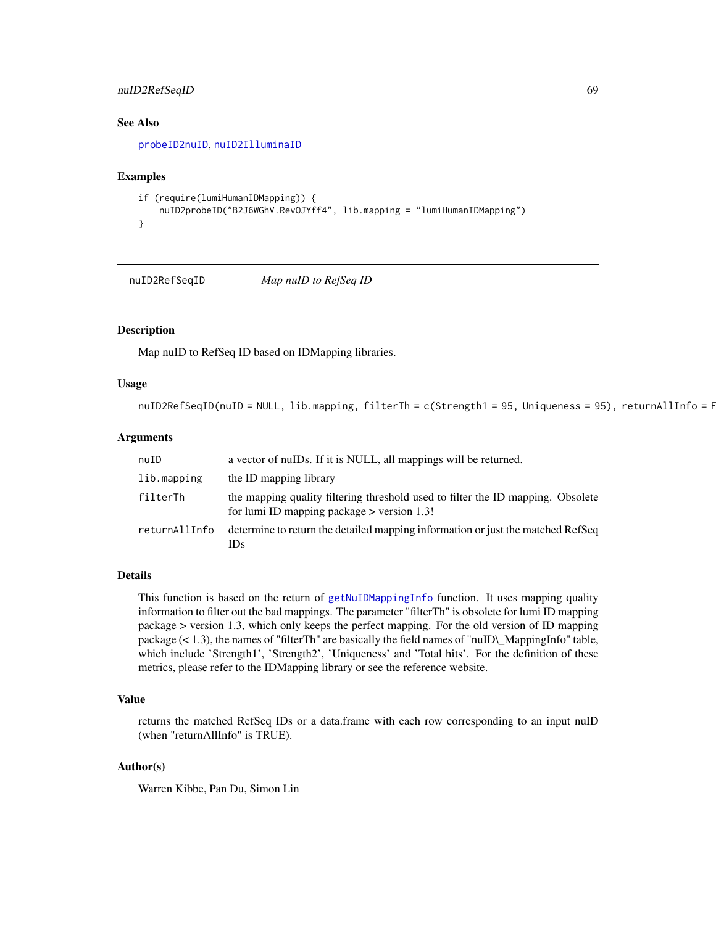# nuID2RefSeqID 69

## See Also

[probeID2nuID](#page-83-0), [nuID2IlluminaID](#page-66-0)

#### Examples

```
if (require(lumiHumanIDMapping)) {
   nuID2probeID("B2J6WGhV.RevOJYff4", lib.mapping = "lumiHumanIDMapping")
}
```
nuID2RefSeqID *Map nuID to RefSeq ID*

#### Description

Map nuID to RefSeq ID based on IDMapping libraries.

## Usage

```
nuID2RefSeqID(nuID = NULL, lib.mapping, filterTh = c(Strength1 = 95, Uniqueness = 95), returnAllInfo = F
```
## Arguments

| nuID          | a vector of nuIDs. If it is NULL, all mappings will be returned.                                                                |
|---------------|---------------------------------------------------------------------------------------------------------------------------------|
| lib.mapping   | the ID mapping library                                                                                                          |
| filterTh      | the mapping quality filtering threshold used to filter the ID mapping. Obsolete<br>for lumi ID mapping package $>$ version 1.3! |
| returnAllInfo | determine to return the detailed mapping information or just the matched RefSeq<br>IDs.                                         |

## Details

This function is based on the return of [getNuIDMappingInfo](#page-35-0) function. It uses mapping quality information to filter out the bad mappings. The parameter "filterTh" is obsolete for lumi ID mapping package > version 1.3, which only keeps the perfect mapping. For the old version of ID mapping package  $(< 1.3)$ , the names of "filterTh" are basically the field names of "nuID\\_MappingInfo" table, which include 'Strength1', 'Strength2', 'Uniqueness' and 'Total hits'. For the definition of these metrics, please refer to the IDMapping library or see the reference website.

# Value

returns the matched RefSeq IDs or a data.frame with each row corresponding to an input nuID (when "returnAllInfo" is TRUE).

#### Author(s)

Warren Kibbe, Pan Du, Simon Lin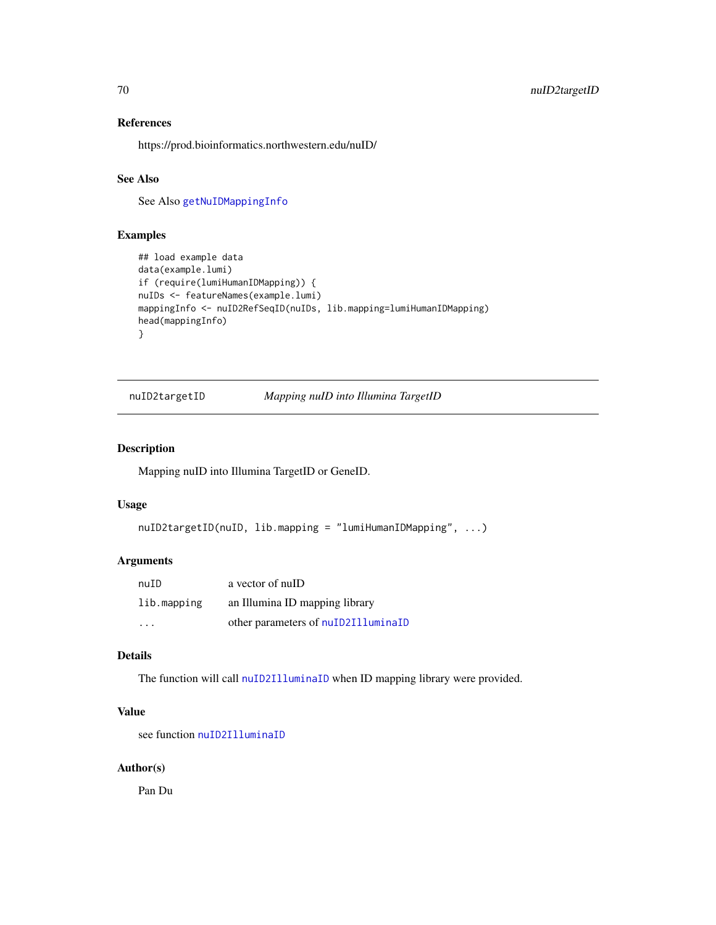# References

https://prod.bioinformatics.northwestern.edu/nuID/

## See Also

See Also [getNuIDMappingInfo](#page-35-0)

# Examples

```
## load example data
data(example.lumi)
if (require(lumiHumanIDMapping)) {
nuIDs <- featureNames(example.lumi)
mappingInfo <- nuID2RefSeqID(nuIDs, lib.mapping=lumiHumanIDMapping)
head(mappingInfo)
}
```
nuID2targetID *Mapping nuID into Illumina TargetID*

# Description

Mapping nuID into Illumina TargetID or GeneID.

# Usage

```
nuID2targetID(nuID, lib.mapping = "lumiHumanIDMapping", ...)
```
# Arguments

| nuID        | a vector of nuID                    |
|-------------|-------------------------------------|
| lib.mapping | an Illumina ID mapping library      |
| .           | other parameters of nuID2IlluminaID |

# Details

The function will call [nuID2IlluminaID](#page-66-0) when ID mapping library were provided.

# Value

see function [nuID2IlluminaID](#page-66-0)

# Author(s)

Pan Du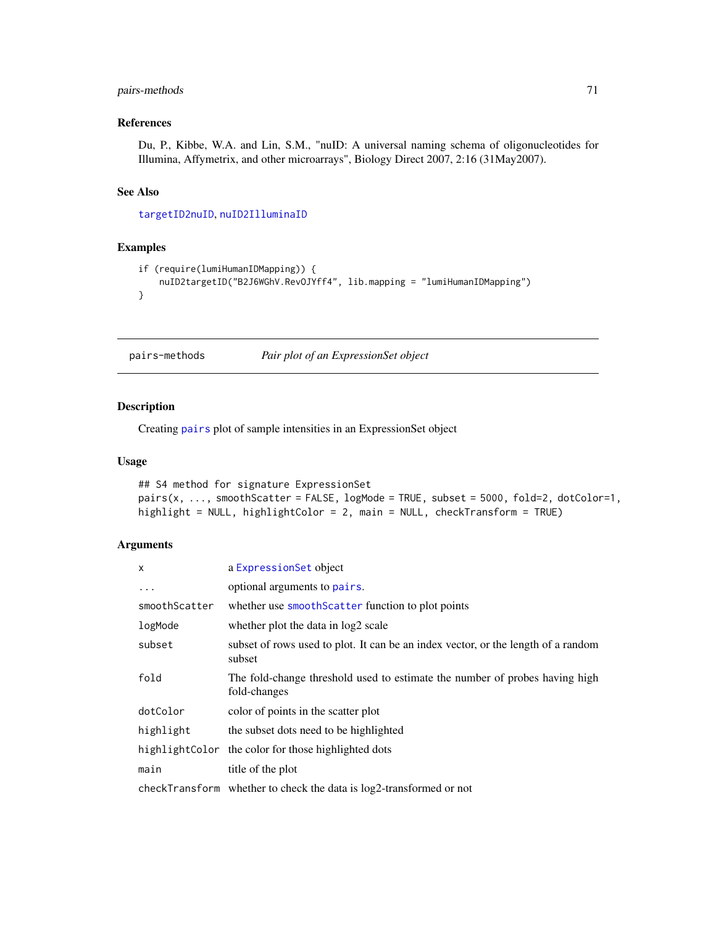# pairs-methods 71

# References

Du, P., Kibbe, W.A. and Lin, S.M., "nuID: A universal naming schema of oligonucleotides for Illumina, Affymetrix, and other microarrays", Biology Direct 2007, 2:16 (31May2007).

## See Also

[targetID2nuID](#page-94-0), [nuID2IlluminaID](#page-66-0)

# Examples

```
if (require(lumiHumanIDMapping)) {
   nuID2targetID("B2J6WGhV.RevOJYff4", lib.mapping = "lumiHumanIDMapping")
}
```
<span id="page-70-0"></span>pairs-methods *Pair plot of an ExpressionSet object*

# Description

Creating [pairs](#page-0-0) plot of sample intensities in an ExpressionSet object

## Usage

```
## S4 method for signature ExpressionSet
pairs(x, ..., smoothScatter = FALSE, logMode = TRUE, subset = 5000, fold=2, dotColor=1,highlight = NULL, highlightColor = 2, main = NULL, checkTransform = TRUE)
```
## Arguments

| $\mathsf{x}$  | a ExpressionSet object                                                                      |
|---------------|---------------------------------------------------------------------------------------------|
| $\cdots$      | optional arguments to pairs.                                                                |
| smoothScatter | whether use smooth Scatter function to plot points                                          |
| logMode       | whether plot the data in log2 scale                                                         |
| subset        | subset of rows used to plot. It can be an index vector, or the length of a random<br>subset |
| fold          | The fold-change threshold used to estimate the number of probes having high<br>fold-changes |
| dotColor      | color of points in the scatter plot                                                         |
| highlight     | the subset dots need to be highlighted                                                      |
|               | highlight Color the color for those highlighted dots                                        |
| main          | title of the plot                                                                           |
|               | checkTransform whether to check the data is log2-transformed or not                         |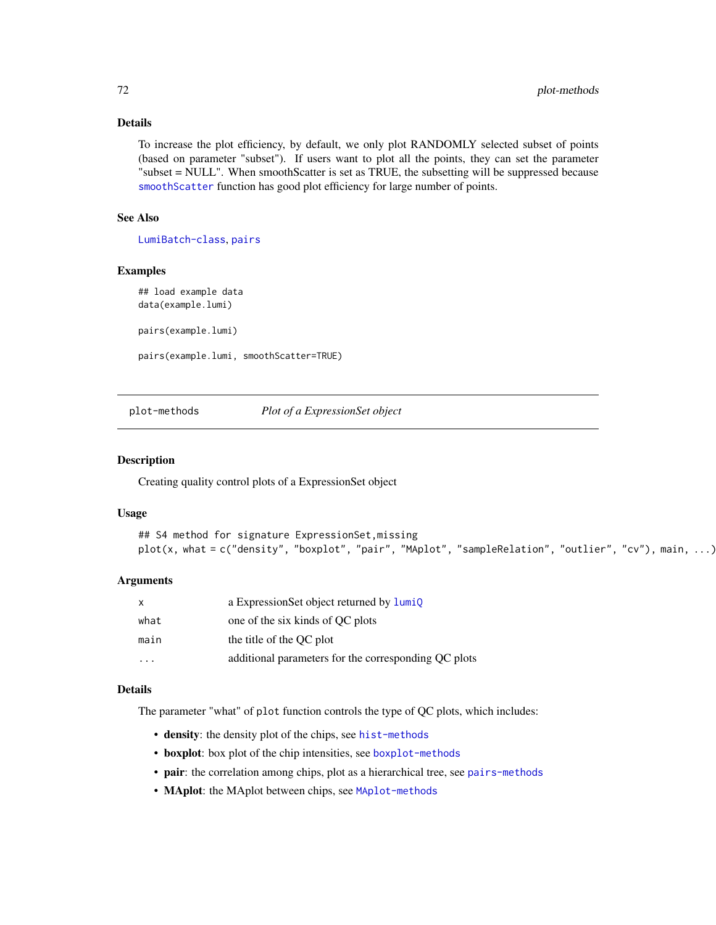# Details

To increase the plot efficiency, by default, we only plot RANDOMLY selected subset of points (based on parameter "subset"). If users want to plot all the points, they can set the parameter "subset = NULL". When smoothScatter is set as TRUE, the subsetting will be suppressed because [smoothScatter](#page-0-0) function has good plot efficiency for large number of points.

# See Also

[LumiBatch-class](#page-43-0), [pairs](#page-0-0)

#### Examples

## load example data data(example.lumi) pairs(example.lumi) pairs(example.lumi, smoothScatter=TRUE)

plot-methods *Plot of a ExpressionSet object*

#### Description

Creating quality control plots of a ExpressionSet object

#### Usage

```
## S4 method for signature ExpressionSet,missing
plot(x, what = c("density", "boxplot", "pair", "MAplot", "sampleRelation", "outlier", "cv"), main, ...)
```
#### Arguments

| $\mathsf{x}$ | a Expression Set object returned by lumio            |
|--------------|------------------------------------------------------|
| what         | one of the six kinds of QC plots                     |
| main         | the title of the OC plot                             |
|              | additional parameters for the corresponding OC plots |

# Details

The parameter "what" of plot function controls the type of QC plots, which includes:

- density: the density plot of the chips, see [hist-methods](#page-36-1)
- boxplot: box plot of the chip intensities, see [boxplot-methods](#page-15-0)
- pair: the correlation among chips, plot as a hierarchical tree, see [pairs-methods](#page-70-0)
- MAplot: the MAplot between chips, see [MAplot-methods](#page-59-0)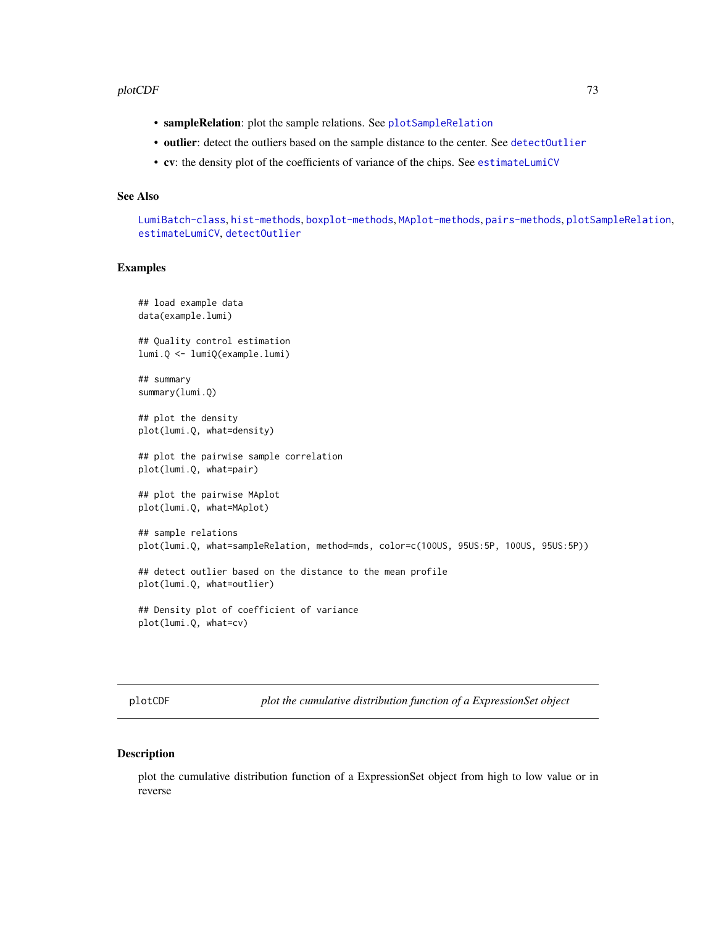#### <span id="page-72-0"></span>plotCDF 73

- outlier: detect the outliers based on the sample distance to the center. See [detectOutlier](#page-20-0)
- cv: the density plot of the coefficients of variance of the chips. See [estimateLumiCV](#page-23-0)

#### See Also

[LumiBatch-class](#page-43-0), [hist-methods](#page-36-0), [boxplot-methods](#page-15-0), [MAplot-methods](#page-59-0), [pairs-methods](#page-70-0), [plotSampleRelation](#page-80-0), [estimateLumiCV](#page-23-0), [detectOutlier](#page-20-0)

### Examples

```
## load example data
data(example.lumi)
## Quality control estimation
lumi.Q <- lumiQ(example.lumi)
## summary
summary(lumi.Q)
## plot the density
plot(lumi.Q, what=density)
## plot the pairwise sample correlation
plot(lumi.Q, what=pair)
## plot the pairwise MAplot
plot(lumi.Q, what=MAplot)
## sample relations
plot(lumi.Q, what=sampleRelation, method=mds, color=c(100US, 95US:5P, 100US, 95US:5P))
## detect outlier based on the distance to the mean profile
plot(lumi.Q, what=outlier)
## Density plot of coefficient of variance
plot(lumi.Q, what=cv)
```
plotCDF *plot the cumulative distribution function of a ExpressionSet object*

#### Description

plot the cumulative distribution function of a ExpressionSet object from high to low value or in reverse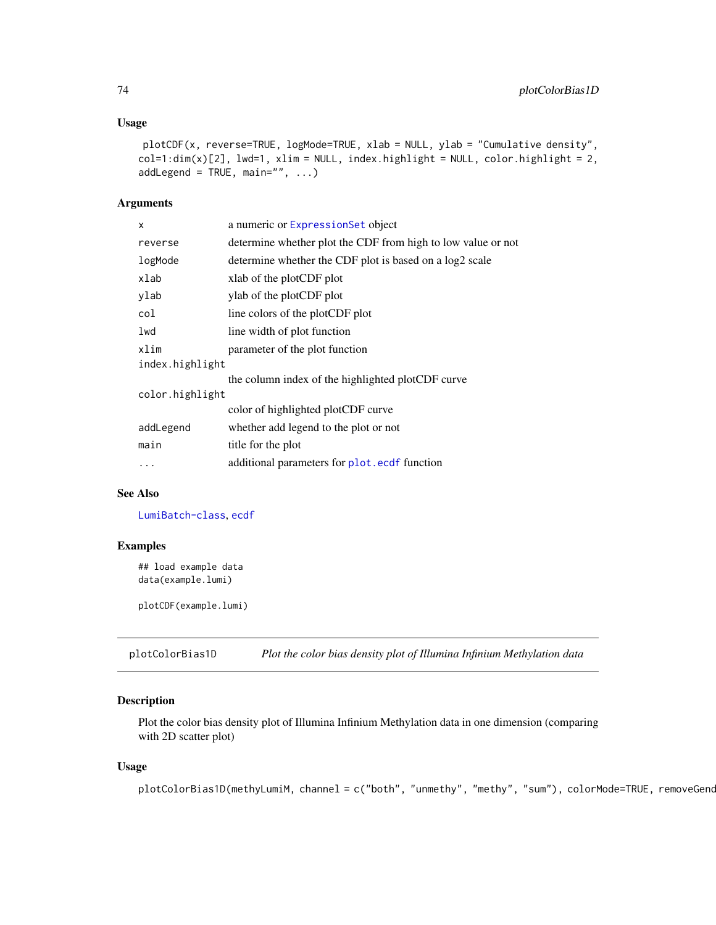#### <span id="page-73-1"></span>Usage

```
plotCDF(x, reverse=TRUE, logMode=TRUE, xlab = NULL, ylab = "Cumulative density",
col=1:dim(x)[2], lwd=1, xlim = NULL, index.highlight = NULL, color.high, right = 2,
addLegend = TRUE, main="", ...)
```
#### Arguments

| x               | a numeric or ExpressionSet object                            |  |
|-----------------|--------------------------------------------------------------|--|
| reverse         | determine whether plot the CDF from high to low value or not |  |
| logMode         | determine whether the CDF plot is based on a log2 scale      |  |
| xlab            | xlab of the plotCDF plot                                     |  |
| ylab            | ylab of the plotCDF plot                                     |  |
| col             | line colors of the plotCDF plot                              |  |
| lwd             | line width of plot function                                  |  |
| xlim            | parameter of the plot function                               |  |
| index.highlight |                                                              |  |
|                 | the column index of the highlighted plotCDF curve            |  |
| color.highlight |                                                              |  |
|                 | color of highlighted plotCDF curve                           |  |
| addLegend       | whether add legend to the plot or not                        |  |
| main            | title for the plot                                           |  |
|                 | additional parameters for plot.ecdf function                 |  |
|                 |                                                              |  |

# See Also

[LumiBatch-class](#page-43-0), [ecdf](#page-0-0)

# Examples

```
## load example data
data(example.lumi)
```
plotCDF(example.lumi)

<span id="page-73-0"></span>plotColorBias1D *Plot the color bias density plot of Illumina Infinium Methylation data*

# Description

Plot the color bias density plot of Illumina Infinium Methylation data in one dimension (comparing with 2D scatter plot)

#### Usage

```
plotColorBias1D(methyLumiM, channel = c("both", "unmethy", "methy", "sum"), colorMode=TRUE, removeGend
```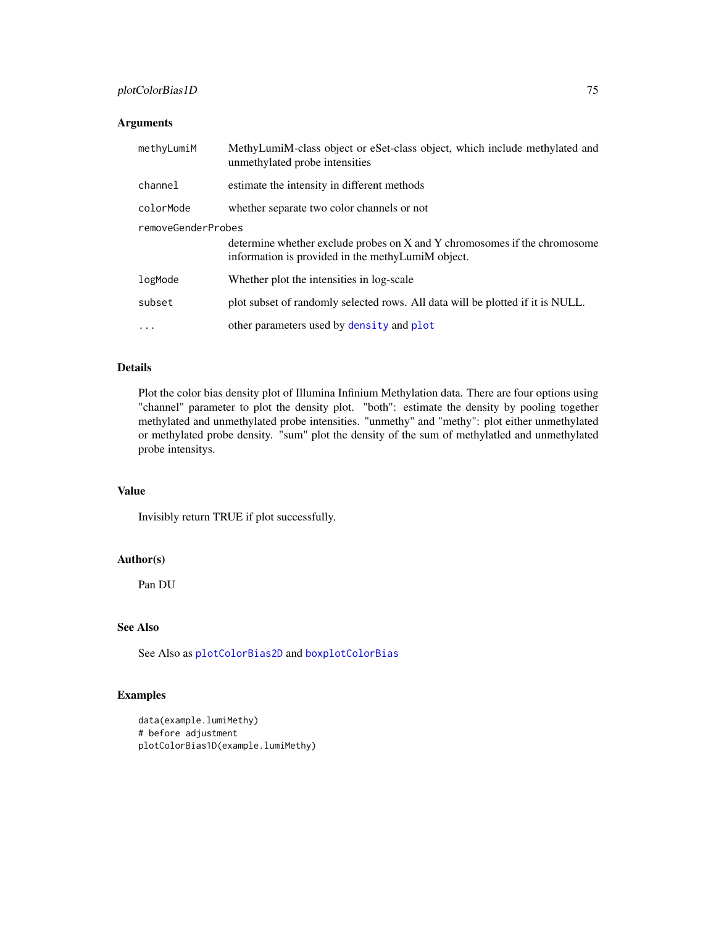# plotColorBias1D 75

# Arguments

| methyLumiM         | MethyLumiM-class object or eSet-class object, which include methylated and<br>unmethylated probe intensities                   |  |
|--------------------|--------------------------------------------------------------------------------------------------------------------------------|--|
| channel            | estimate the intensity in different methods                                                                                    |  |
| colorMode          | whether separate two color channels or not                                                                                     |  |
| removeGenderProbes |                                                                                                                                |  |
|                    | determine whether exclude probes on X and Y chromosomes if the chromosome<br>information is provided in the methyLumiM object. |  |
| logMode            | Whether plot the intensities in log-scale                                                                                      |  |
| subset             | plot subset of randomly selected rows. All data will be plotted if it is NULL.                                                 |  |
| $\ddotsc$          | other parameters used by density and plot                                                                                      |  |

# Details

Plot the color bias density plot of Illumina Infinium Methylation data. There are four options using "channel" parameter to plot the density plot. "both": estimate the density by pooling together methylated and unmethylated probe intensities. "unmethy" and "methy": plot either unmethylated or methylated probe density. "sum" plot the density of the sum of methylatled and unmethylated probe intensitys.

# Value

Invisibly return TRUE if plot successfully.

# Author(s)

Pan DU

# See Also

See Also as [plotColorBias2D](#page-75-0) and [boxplotColorBias](#page-16-0)

# Examples

```
data(example.lumiMethy)
# before adjustment
plotColorBias1D(example.lumiMethy)
```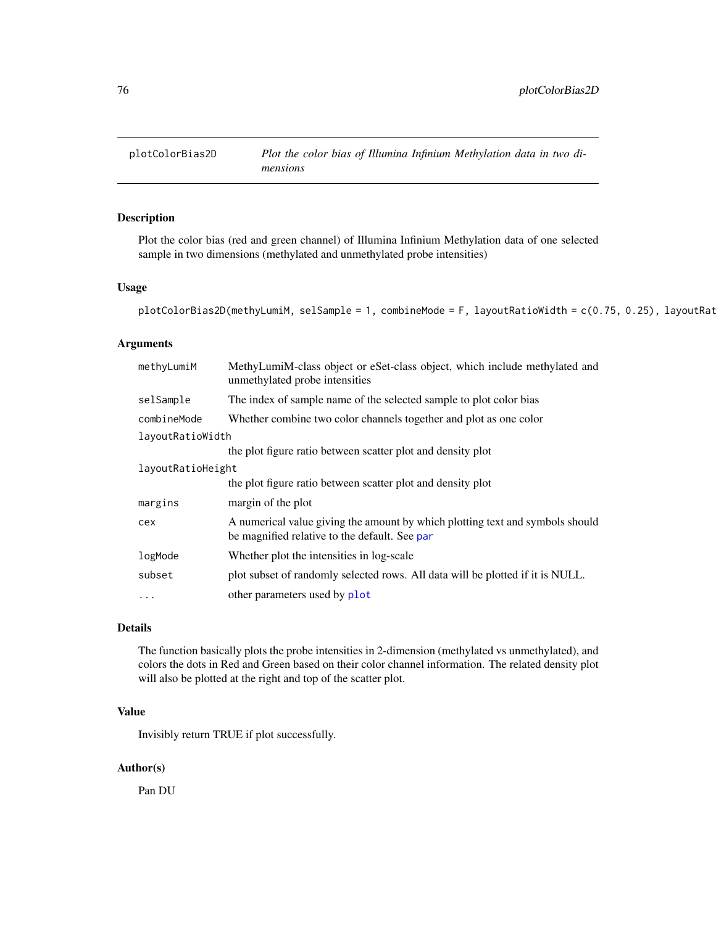<span id="page-75-1"></span><span id="page-75-0"></span>

# Description

Plot the color bias (red and green channel) of Illumina Infinium Methylation data of one selected sample in two dimensions (methylated and unmethylated probe intensities)

# Usage

```
plotColorBias2D(methylLumiM, selsample = 1, combineMode = F, layoutRatioWidth = c(0.75, 0.25), layoutRat
```
#### Arguments

| methyLumiM        | MethyLumiM-class object or eSet-class object, which include methylated and<br>unmethylated probe intensities                   |  |
|-------------------|--------------------------------------------------------------------------------------------------------------------------------|--|
| selSample         | The index of sample name of the selected sample to plot color bias                                                             |  |
| combineMode       | Whether combine two color channels together and plot as one color                                                              |  |
| layoutRatioWidth  |                                                                                                                                |  |
|                   | the plot figure ratio between scatter plot and density plot                                                                    |  |
| layoutRatioHeight |                                                                                                                                |  |
|                   | the plot figure ratio between scatter plot and density plot                                                                    |  |
| margins           | margin of the plot                                                                                                             |  |
| cex               | A numerical value giving the amount by which plotting text and symbols should<br>be magnified relative to the default. See par |  |
| logMode           | Whether plot the intensities in log-scale                                                                                      |  |
| subset            | plot subset of randomly selected rows. All data will be plotted if it is NULL.                                                 |  |
| $\ddotsc$         | other parameters used by plot                                                                                                  |  |

# Details

The function basically plots the probe intensities in 2-dimension (methylated vs unmethylated), and colors the dots in Red and Green based on their color channel information. The related density plot will also be plotted at the right and top of the scatter plot.

# Value

Invisibly return TRUE if plot successfully.

# Author(s)

Pan DU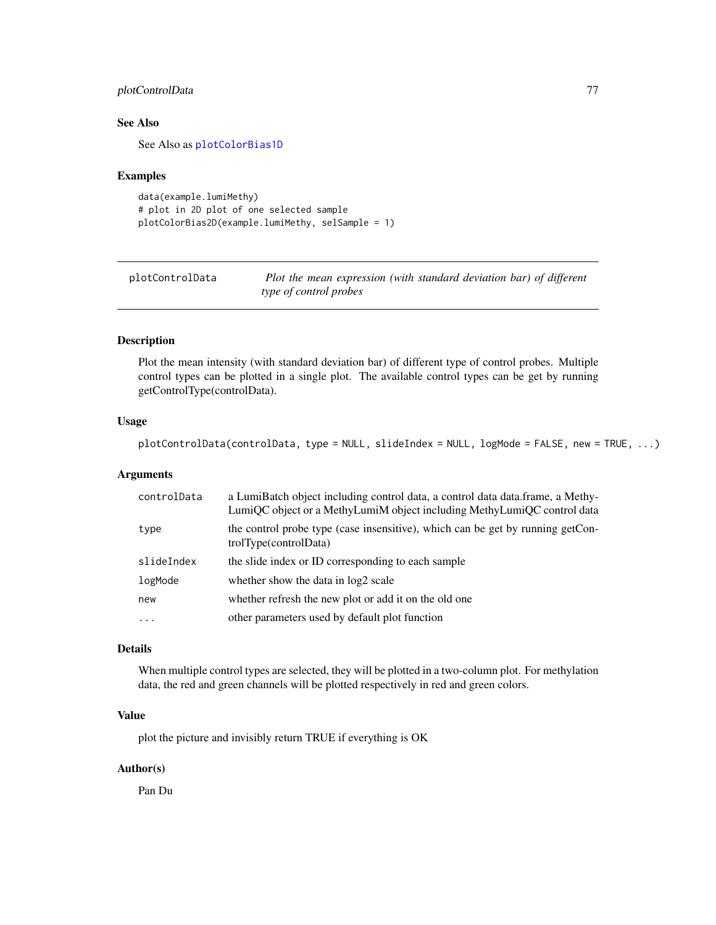# <span id="page-76-1"></span>plotControlData 77

# See Also

See Also as [plotColorBias1D](#page-73-0)

#### Examples

```
data(example.lumiMethy)
# plot in 2D plot of one selected sample
plotColorBias2D(example.lumiMethy, selSample = 1)
```
<span id="page-76-0"></span>plotControlData *Plot the mean expression (with standard deviation bar) of different type of control probes*

# Description

Plot the mean intensity (with standard deviation bar) of different type of control probes. Multiple control types can be plotted in a single plot. The available control types can be get by running getControlType(controlData).

#### Usage

plotControlData(controlData, type = NULL, slideIndex = NULL, logMode = FALSE, new = TRUE, ...)

# Arguments

| controlData | a LumiBatch object including control data, a control data data.frame, a Methy-<br>LumiQC object or a MethyLumiM object including MethyLumiQC control data |
|-------------|-----------------------------------------------------------------------------------------------------------------------------------------------------------|
| type        | the control probe type (case insensitive), which can be get by running getCon-<br>trolType(controlData)                                                   |
| slideIndex  | the slide index or ID corresponding to each sample                                                                                                        |
| logMode     | whether show the data in log2 scale                                                                                                                       |
| new         | whether refresh the new plot or add it on the old one                                                                                                     |
| $\cdots$    | other parameters used by default plot function                                                                                                            |

# Details

When multiple control types are selected, they will be plotted in a two-column plot. For methylation data, the red and green channels will be plotted respectively in red and green colors.

#### Value

plot the picture and invisibly return TRUE if everything is OK

#### Author(s)

Pan Du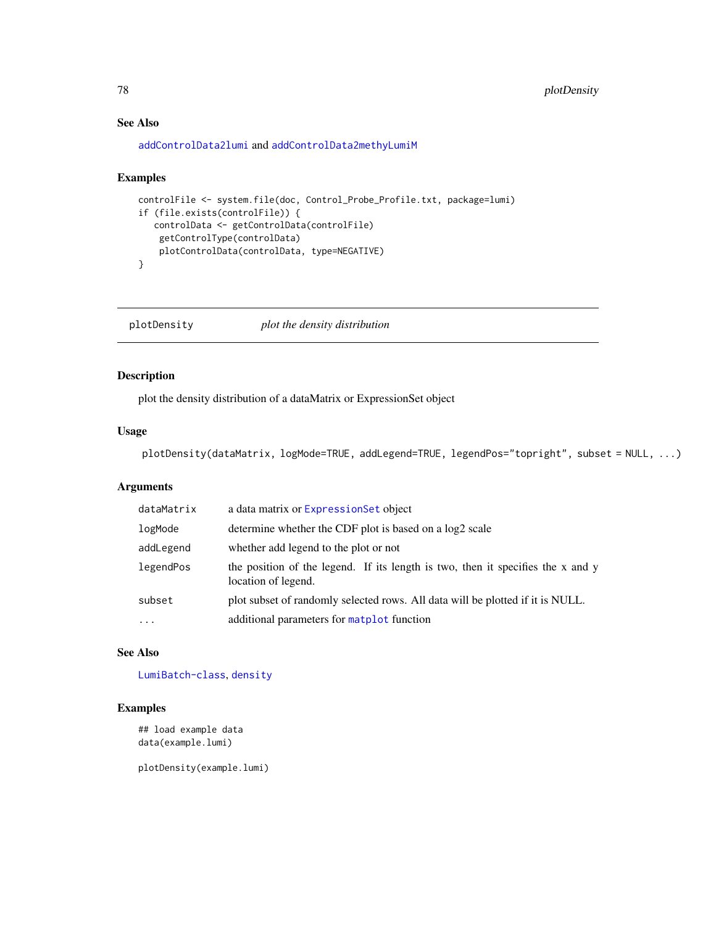# See Also

[addControlData2lumi](#page-4-0) and [addControlData2methyLumiM](#page-5-0)

#### Examples

```
controlFile <- system.file(doc, Control_Probe_Profile.txt, package=lumi)
if (file.exists(controlFile)) {
  controlData <- getControlData(controlFile)
   getControlType(controlData)
   plotControlData(controlData, type=NEGATIVE)
}
```
plotDensity *plot the density distribution*

# Description

plot the density distribution of a dataMatrix or ExpressionSet object

# Usage

plotDensity(dataMatrix, logMode=TRUE, addLegend=TRUE, legendPos="topright", subset = NULL, ...)

#### Arguments

| a data matrix or ExpressionSet object                                                                  |
|--------------------------------------------------------------------------------------------------------|
| determine whether the CDF plot is based on a log2 scale                                                |
| whether add legend to the plot or not                                                                  |
| the position of the legend. If its length is two, then it specifies the x and y<br>location of legend. |
| plot subset of randomly selected rows. All data will be plotted if it is NULL.                         |
| additional parameters for matplot function                                                             |
|                                                                                                        |

# See Also

[LumiBatch-class](#page-43-0), [density](#page-0-0)

# Examples

```
## load example data
data(example.lumi)
```
plotDensity(example.lumi)

<span id="page-77-0"></span>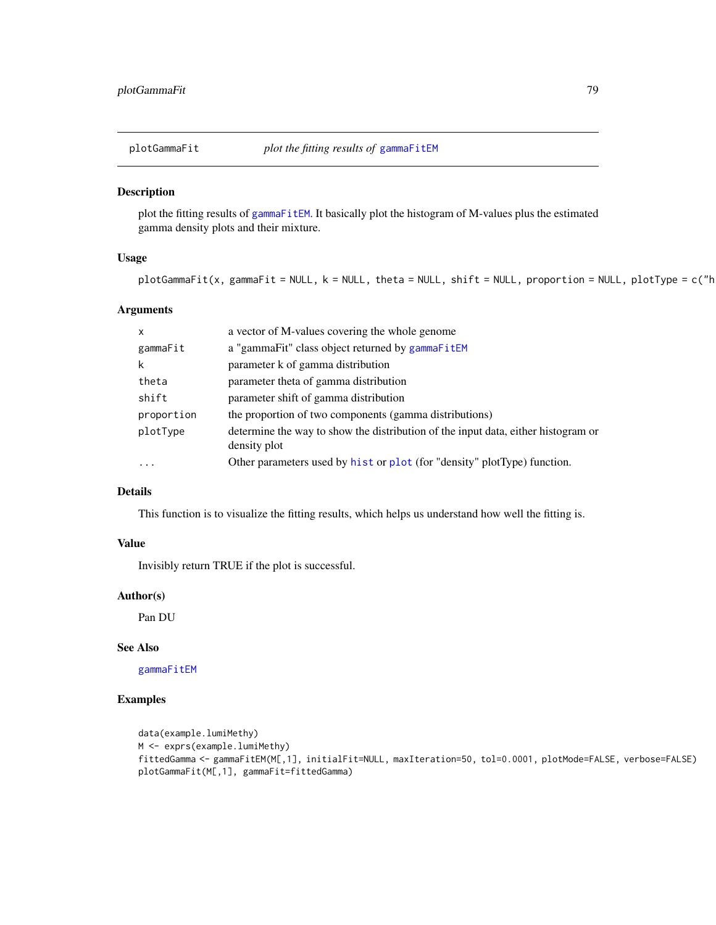<span id="page-78-0"></span>

# Description

plot the fitting results of [gammaFitEM](#page-28-0). It basically plot the histogram of M-values plus the estimated gamma density plots and their mixture.

# Usage

```
plotGammaFit(x, gammaFit = NULL, k = NULL, theta = NULL, shift = NULL, protein = NULL, plotType = c("h
```
# Arguments

| $\mathsf{x}$ | a vector of M-values covering the whole genome                                                    |
|--------------|---------------------------------------------------------------------------------------------------|
| gammaFit     | a "gammaFit" class object returned by gammaFitEM                                                  |
| k            | parameter k of gamma distribution                                                                 |
| theta        | parameter theta of gamma distribution                                                             |
| shift        | parameter shift of gamma distribution                                                             |
| proportion   | the proportion of two components (gamma distributions)                                            |
| plotType     | determine the way to show the distribution of the input data, either histogram or<br>density plot |
| $\ddotsc$    | Other parameters used by hist or plot (for "density" plotType) function.                          |

# Details

This function is to visualize the fitting results, which helps us understand how well the fitting is.

# Value

Invisibly return TRUE if the plot is successful.

# Author(s)

Pan DU

# See Also

[gammaFitEM](#page-28-0)

# Examples

```
data(example.lumiMethy)
M <- exprs(example.lumiMethy)
fittedGamma <- gammaFitEM(M[,1], initialFit=NULL, maxIteration=50, tol=0.0001, plotMode=FALSE, verbose=FALSE)
plotGammaFit(M[,1], gammaFit=fittedGamma)
```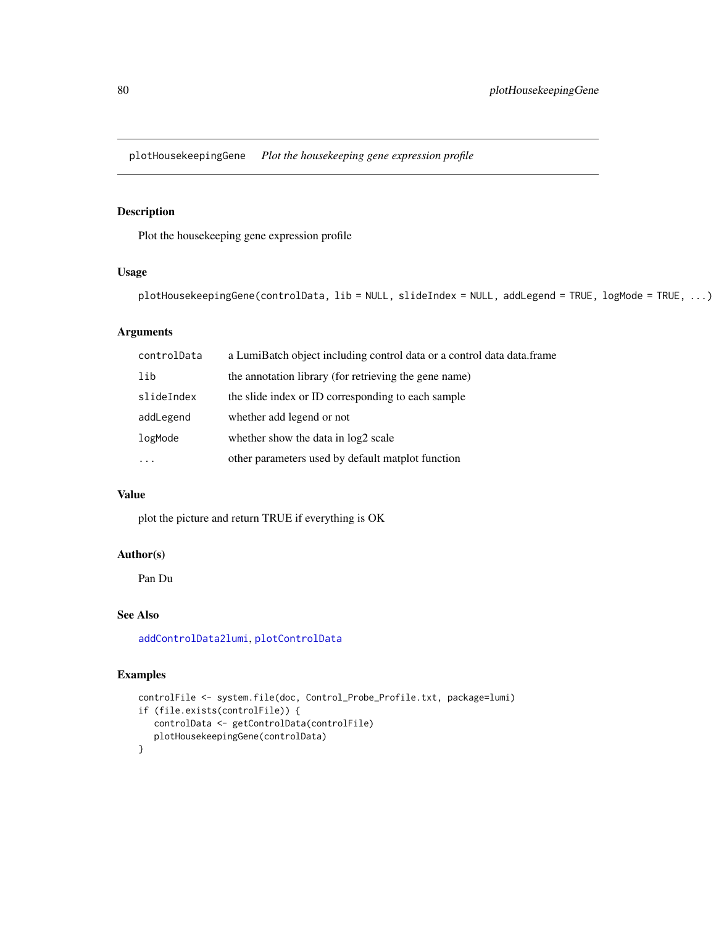<span id="page-79-0"></span>plotHousekeepingGene *Plot the housekeeping gene expression profile*

# Description

Plot the housekeeping gene expression profile

# Usage

```
plotHousekeepingGene(controlData, lib = NULL, slideIndex = NULL, addLegend = TRUE, logMode = TRUE, ...)
```
# Arguments

| controlData | a LumiBatch object including control data or a control data data.frame |
|-------------|------------------------------------------------------------------------|
| lib         | the annotation library (for retrieving the gene name)                  |
| slideIndex  | the slide index or ID corresponding to each sample                     |
| addLegend   | whether add legend or not                                              |
| logMode     | whether show the data in log2 scale                                    |
| $\ddotsc$   | other parameters used by default matplot function                      |

# Value

plot the picture and return TRUE if everything is OK

# Author(s)

Pan Du

# See Also

[addControlData2lumi](#page-4-0), [plotControlData](#page-76-0)

# Examples

```
controlFile <- system.file(doc, Control_Probe_Profile.txt, package=lumi)
if (file.exists(controlFile)) {
   controlData <- getControlData(controlFile)
   plotHousekeepingGene(controlData)
}
```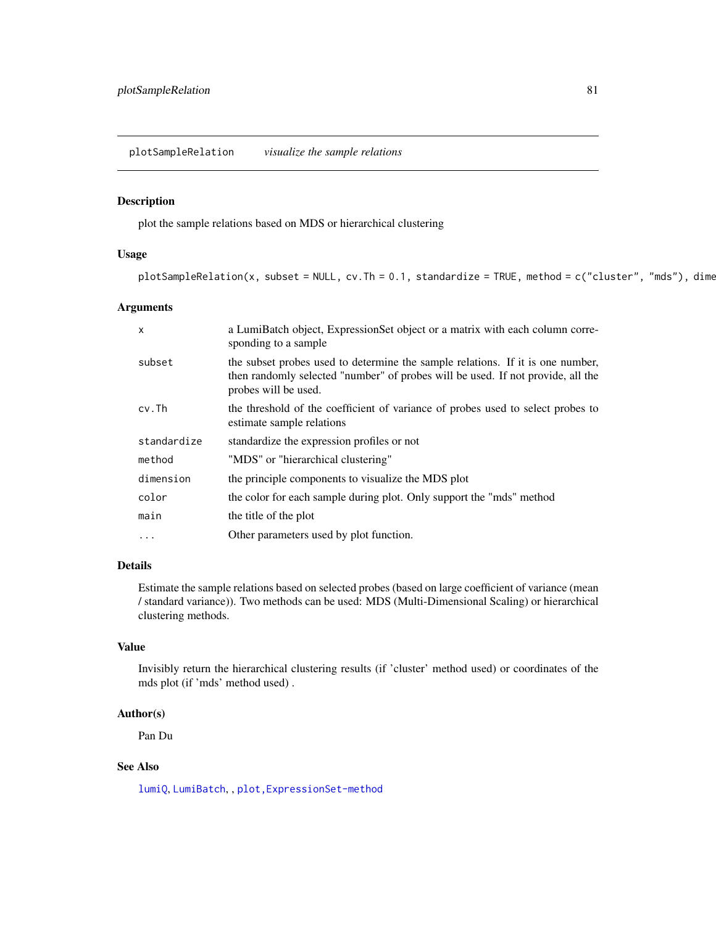# <span id="page-80-1"></span><span id="page-80-0"></span>Description

plot the sample relations based on MDS or hierarchical clustering

#### Usage

```
plotsampleRelation(x, subset = NULL, cv.Th = 0.1, standardize = TRUE, method = c("cluster", "mds"), dimes
```
# Arguments

| $\mathsf{x}$ | a LumiBatch object, ExpressionSet object or a matrix with each column corre-<br>sponding to a sample                                                                                      |
|--------------|-------------------------------------------------------------------------------------------------------------------------------------------------------------------------------------------|
| subset       | the subset probes used to determine the sample relations. If it is one number,<br>then randomly selected "number" of probes will be used. If not provide, all the<br>probes will be used. |
| $cv$ . Th    | the threshold of the coefficient of variance of probes used to select probes to<br>estimate sample relations                                                                              |
| standardize  | standardize the expression profiles or not                                                                                                                                                |
| method       | "MDS" or "hierarchical clustering"                                                                                                                                                        |
| dimension    | the principle components to visualize the MDS plot                                                                                                                                        |
| color        | the color for each sample during plot. Only support the "mds" method                                                                                                                      |
| main         | the title of the plot                                                                                                                                                                     |
| .            | Other parameters used by plot function.                                                                                                                                                   |

# Details

Estimate the sample relations based on selected probes (based on large coefficient of variance (mean / standard variance)). Two methods can be used: MDS (Multi-Dimensional Scaling) or hierarchical clustering methods.

#### Value

Invisibly return the hierarchical clustering results (if 'cluster' method used) or coordinates of the mds plot (if 'mds' method used) .

# Author(s)

Pan Du

# See Also

[lumiQ](#page-52-0), [LumiBatch](#page-43-1), , [plot,ExpressionSet-method](#page-0-0)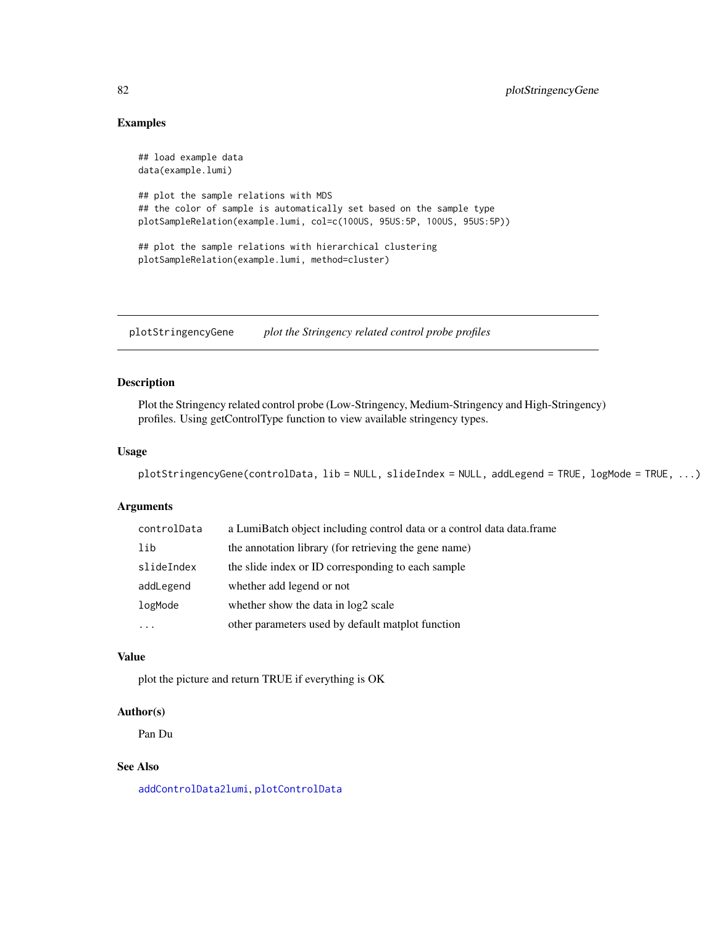# <span id="page-81-0"></span>Examples

```
## load example data
data(example.lumi)
## plot the sample relations with MDS
## the color of sample is automatically set based on the sample type
plotSampleRelation(example.lumi, col=c(100US, 95US:5P, 100US, 95US:5P))
## plot the sample relations with hierarchical clustering
plotSampleRelation(example.lumi, method=cluster)
```
plotStringencyGene *plot the Stringency related control probe profiles*

# Description

Plot the Stringency related control probe (Low-Stringency, Medium-Stringency and High-Stringency) profiles. Using getControlType function to view available stringency types.

# Usage

```
plotStringencyGene(controlData, lib = NULL, slideIndex = NULL, addLegend = TRUE, logMode = TRUE, ...)
```
#### Arguments

| controlData | a LumiBatch object including control data or a control data data.frame |
|-------------|------------------------------------------------------------------------|
| lib         | the annotation library (for retrieving the gene name)                  |
| slideIndex  | the slide index or ID corresponding to each sample                     |
| addLegend   | whether add legend or not                                              |
| logMode     | whether show the data in log2 scale                                    |
| .           | other parameters used by default matplot function                      |

#### Value

plot the picture and return TRUE if everything is OK

# Author(s)

Pan Du

# See Also

[addControlData2lumi](#page-4-0), [plotControlData](#page-76-0)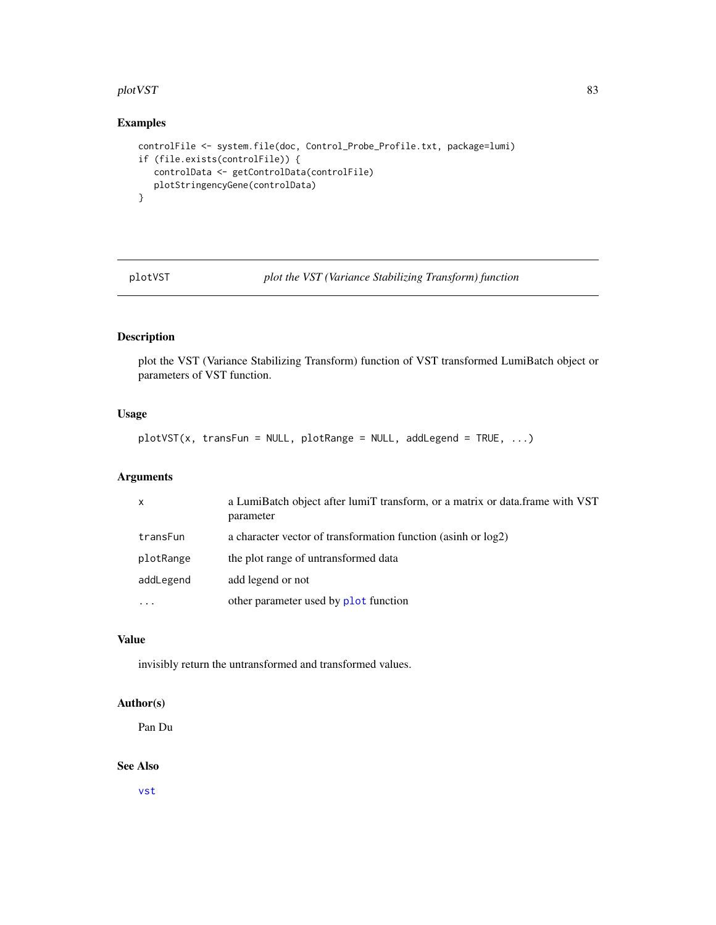#### <span id="page-82-0"></span>plotVST 83

# Examples

```
controlFile <- system.file(doc, Control_Probe_Profile.txt, package=lumi)
if (file.exists(controlFile)) {
   controlData <- getControlData(controlFile)
  plotStringencyGene(controlData)
}
```
plotVST *plot the VST (Variance Stabilizing Transform) function*

# Description

plot the VST (Variance Stabilizing Transform) function of VST transformed LumiBatch object or parameters of VST function.

# Usage

plotVST(x, transFun = NULL, plotRange = NULL, addLegend = TRUE, ...)

# Arguments

| $\mathsf{x}$ | a LumiBatch object after lumiT transform, or a matrix or data.frame with VST<br>parameter |
|--------------|-------------------------------------------------------------------------------------------|
| transFun     | a character vector of transformation function (asinh or log2)                             |
| plotRange    | the plot range of untransformed data                                                      |
| addLegend    | add legend or not                                                                         |
| $\ddotsc$    | other parameter used by plot function                                                     |
|              |                                                                                           |

# Value

invisibly return the untransformed and transformed values.

# Author(s)

Pan Du

### See Also

[vst](#page-95-0)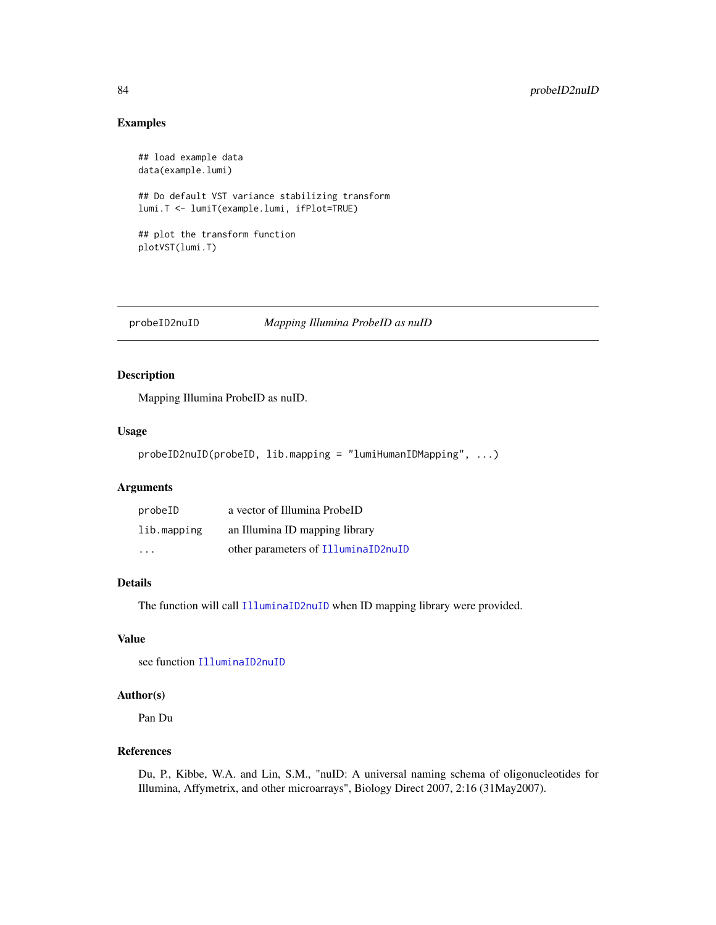# Examples

```
## load example data
data(example.lumi)
## Do default VST variance stabilizing transform
lumi.T <- lumiT(example.lumi, ifPlot=TRUE)
## plot the transform function
plotVST(lumi.T)
```
probeID2nuID *Mapping Illumina ProbeID as nuID*

# Description

Mapping Illumina ProbeID as nuID.

#### Usage

```
probeID2nuID(probeID, lib.mapping = "lumiHumanIDMapping", ...)
```
# Arguments

| probeID     | a vector of Illumina ProbeID        |
|-------------|-------------------------------------|
| lib.mapping | an Illumina ID mapping library      |
| $\cdots$    | other parameters of IlluminaID2nuID |

#### Details

The function will call [IlluminaID2nuID](#page-37-0) when ID mapping library were provided.

# Value

see function [IlluminaID2nuID](#page-37-0)

# Author(s)

Pan Du

# References

Du, P., Kibbe, W.A. and Lin, S.M., "nuID: A universal naming schema of oligonucleotides for Illumina, Affymetrix, and other microarrays", Biology Direct 2007, 2:16 (31May2007).

<span id="page-83-0"></span>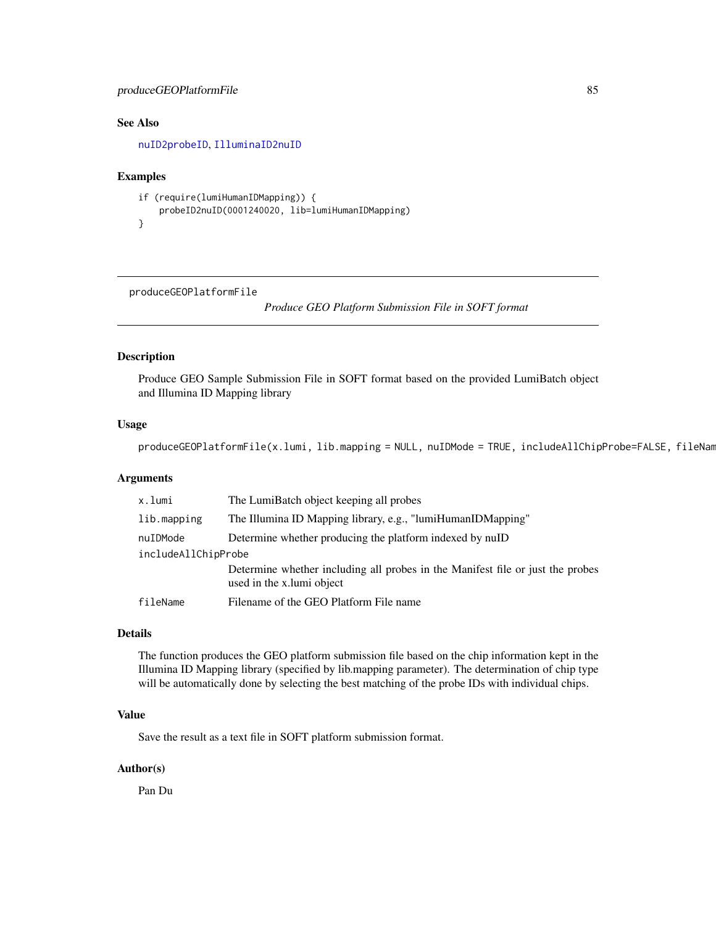# <span id="page-84-1"></span>produceGEOPlatformFile 85

# See Also

[nuID2probeID](#page-67-0), [IlluminaID2nuID](#page-37-0)

#### Examples

```
if (require(lumiHumanIDMapping)) {
   probeID2nuID(0001240020, lib=lumiHumanIDMapping)
}
```
<span id="page-84-0"></span>produceGEOPlatformFile

*Produce GEO Platform Submission File in SOFT format*

# Description

Produce GEO Sample Submission File in SOFT format based on the provided LumiBatch object and Illumina ID Mapping library

# Usage

produceGEOPlatformFile(x.lumi, lib.mapping = NULL, nuIDMode = TRUE, includeAllChipProbe=FALSE, fileNam

#### Arguments

| x.lumi              | The LumiBatch object keeping all probes                                                                     |  |
|---------------------|-------------------------------------------------------------------------------------------------------------|--|
| lib.mapping         | The Illumina ID Mapping library, e.g., "lumiHumanIDMapping"                                                 |  |
| nuIDMode            | Determine whether producing the platform indexed by nuID                                                    |  |
| includeAllChipProbe |                                                                                                             |  |
|                     | Determine whether including all probes in the Manifest file or just the probes<br>used in the x.lumi object |  |
| fileName            | Filename of the GEO Platform File name                                                                      |  |

#### Details

The function produces the GEO platform submission file based on the chip information kept in the Illumina ID Mapping library (specified by lib.mapping parameter). The determination of chip type will be automatically done by selecting the best matching of the probe IDs with individual chips.

#### Value

Save the result as a text file in SOFT platform submission format.

#### Author(s)

Pan Du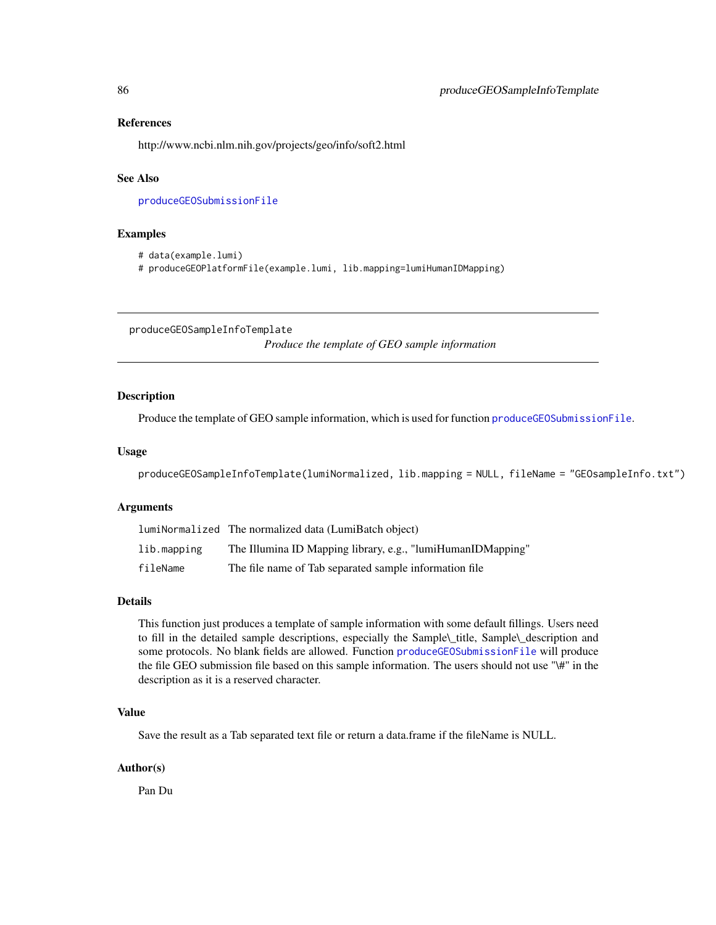#### <span id="page-85-1"></span>References

http://www.ncbi.nlm.nih.gov/projects/geo/info/soft2.html

#### See Also

[produceGEOSubmissionFile](#page-86-0)

#### Examples

```
# data(example.lumi)
```
# produceGEOPlatformFile(example.lumi, lib.mapping=lumiHumanIDMapping)

<span id="page-85-0"></span>produceGEOSampleInfoTemplate *Produce the template of GEO sample information*

#### Description

Produce the template of GEO sample information, which is used for function [produceGEOSubmissionFile](#page-86-0).

#### Usage

```
produceGEOSampleInfoTemplate(lumiNormalized, lib.mapping = NULL, fileName = "GEOsampleInfo.txt")
```
# Arguments

|             | lumiNormalized The normalized data (LumiBatch object)       |
|-------------|-------------------------------------------------------------|
| lib.mapping | The Illumina ID Mapping library, e.g., "lumiHumanIDMapping" |
| fileName    | The file name of Tab separated sample information file      |

#### Details

This function just produces a template of sample information with some default fillings. Users need to fill in the detailed sample descriptions, especially the Sample\\_title, Sample\\_description and some protocols. No blank fields are allowed. Function [produceGEOSubmissionFile](#page-86-0) will produce the file GEO submission file based on this sample information. The users should not use "\#" in the description as it is a reserved character.

# Value

Save the result as a Tab separated text file or return a data.frame if the fileName is NULL.

#### Author(s)

Pan Du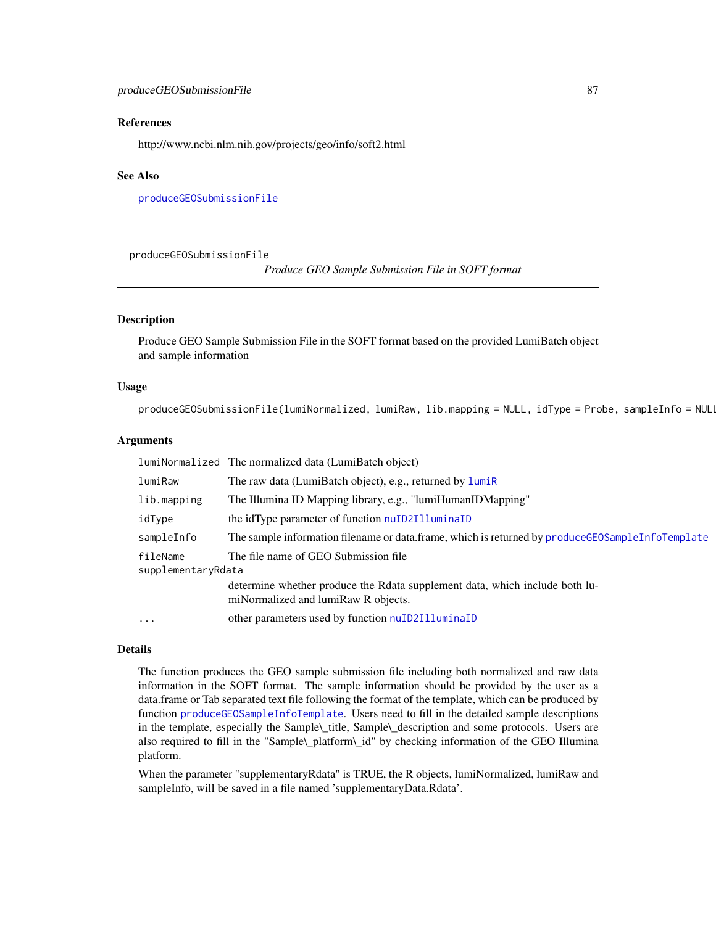#### <span id="page-86-1"></span>References

http://www.ncbi.nlm.nih.gov/projects/geo/info/soft2.html

#### See Also

[produceGEOSubmissionFile](#page-86-0)

<span id="page-86-0"></span>produceGEOSubmissionFile

*Produce GEO Sample Submission File in SOFT format*

# Description

Produce GEO Sample Submission File in the SOFT format based on the provided LumiBatch object and sample information

#### Usage

produceGEOSubmissionFile(lumiNormalized, lumiRaw, lib.mapping = NULL, idType = Probe, sampleInfo = NULI

#### Arguments

|                                | lumiNormalized The normalized data (LumiBatch object)                                                              |
|--------------------------------|--------------------------------------------------------------------------------------------------------------------|
| lumiRaw                        | The raw data (LumiBatch object), e.g., returned by lumiR                                                           |
| lib.mapping                    | The Illumina ID Mapping library, e.g., "lumiHumanIDMapping"                                                        |
| idType                         | the idType parameter of function nuID2IlluminaID                                                                   |
| sampleInfo                     | The sample information filename or data.frame, which is returned by produce GEOSample InfoTemplate                 |
| fileName<br>supplementaryRdata | The file name of GEO Submission file                                                                               |
|                                | determine whether produce the Rdata supplement data, which include both lu-<br>miNormalized and lumiRaw R objects. |
| $\cdots$                       | other parameters used by function nuID2IlluminaID                                                                  |

# Details

The function produces the GEO sample submission file including both normalized and raw data information in the SOFT format. The sample information should be provided by the user as a data.frame or Tab separated text file following the format of the template, which can be produced by function [produceGEOSampleInfoTemplate](#page-85-0). Users need to fill in the detailed sample descriptions in the template, especially the Sample\\_title, Sample\\_description and some protocols. Users are also required to fill in the "Sample\\_platform\\_id" by checking information of the GEO Illumina platform.

When the parameter "supplementaryRdata" is TRUE, the R objects, lumiNormalized, lumiRaw and sampleInfo, will be saved in a file named 'supplementaryData.Rdata'.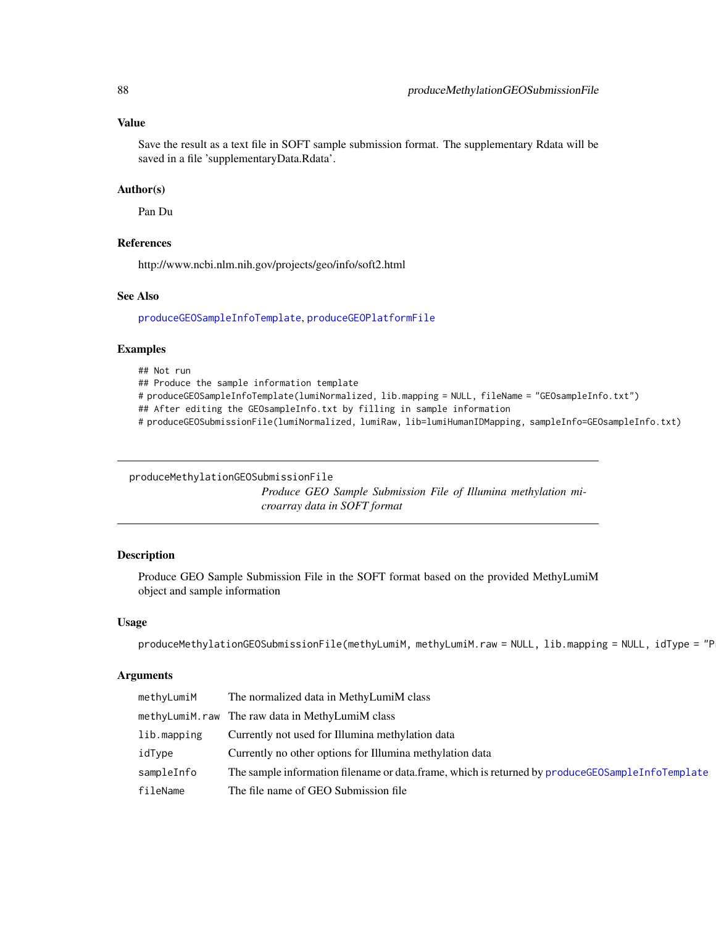#### Value

Save the result as a text file in SOFT sample submission format. The supplementary Rdata will be saved in a file 'supplementaryData.Rdata'.

#### Author(s)

Pan Du

#### References

http://www.ncbi.nlm.nih.gov/projects/geo/info/soft2.html

#### See Also

[produceGEOSampleInfoTemplate](#page-85-0), [produceGEOPlatformFile](#page-84-0)

#### Examples

## Not run ## Produce the sample information template # produceGEOSampleInfoTemplate(lumiNormalized, lib.mapping = NULL, fileName = "GEOsampleInfo.txt") ## After editing the GEOsampleInfo.txt by filling in sample information # produceGEOSubmissionFile(lumiNormalized, lumiRaw, lib=lumiHumanIDMapping, sampleInfo=GEOsampleInfo.txt)

produceMethylationGEOSubmissionFile

*Produce GEO Sample Submission File of Illumina methylation microarray data in SOFT format*

#### Description

Produce GEO Sample Submission File in the SOFT format based on the provided MethyLumiM object and sample information

#### Usage

produceMethylationGEOSubmissionFile(methyLumiM, methyLumiM.raw = NULL, lib.mapping = NULL, idType = "P

# Arguments

| methyLumiM  | The normalized data in MethyLumiM class                                                             |
|-------------|-----------------------------------------------------------------------------------------------------|
|             | methyLumiM.raw The raw data in MethyLumiM class                                                     |
| lib.mapping | Currently not used for Illumina methylation data                                                    |
| idType      | Currently no other options for Illumina methylation data                                            |
| sampleInfo  | The sample information filename or data frame, which is returned by produce GEOS ample InfoTemplate |
| fileName    | The file name of GEO Submission file                                                                |

<span id="page-87-0"></span>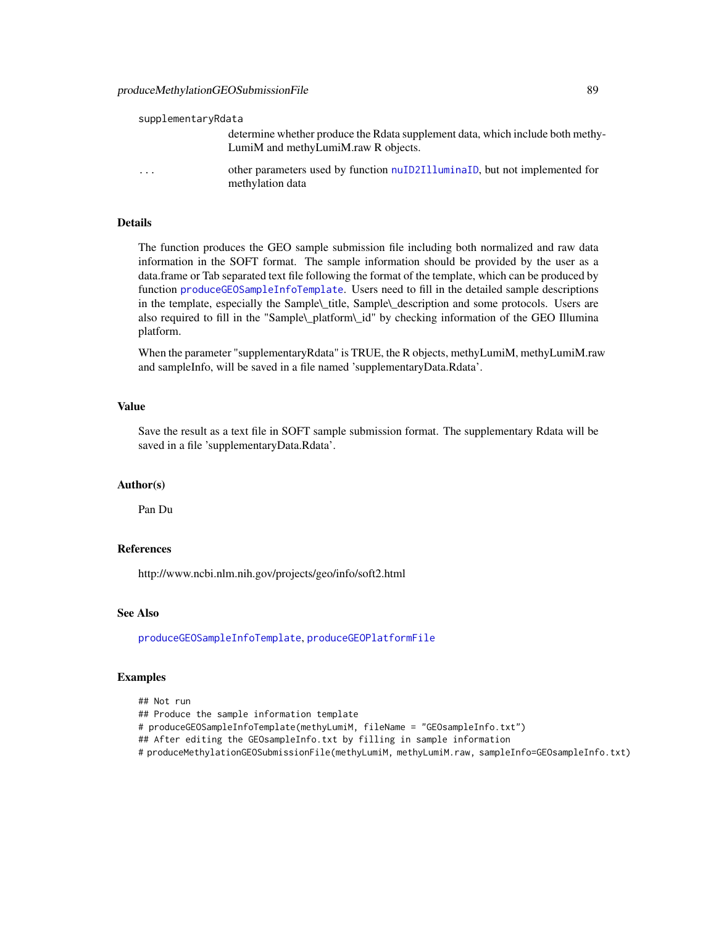#### supplementaryRdata

determine whether produce the Rdata supplement data, which include both methy-LumiM and methyLumiM.raw R objects.

... other parameters used by function [nuID2IlluminaID](#page-66-0), but not implemented for methylation data

#### Details

The function produces the GEO sample submission file including both normalized and raw data information in the SOFT format. The sample information should be provided by the user as a data.frame or Tab separated text file following the format of the template, which can be produced by function [produceGEOSampleInfoTemplate](#page-85-0). Users need to fill in the detailed sample descriptions in the template, especially the Sample\\_title, Sample\\_description and some protocols. Users are also required to fill in the "Sample\\_platform\\_id" by checking information of the GEO Illumina platform.

When the parameter "supplementaryRdata" is TRUE, the R objects, methyLumiM, methyLumiM.raw and sampleInfo, will be saved in a file named 'supplementaryData.Rdata'.

#### Value

Save the result as a text file in SOFT sample submission format. The supplementary Rdata will be saved in a file 'supplementaryData.Rdata'.

#### Author(s)

Pan Du

#### References

http://www.ncbi.nlm.nih.gov/projects/geo/info/soft2.html

#### See Also

[produceGEOSampleInfoTemplate](#page-85-0), [produceGEOPlatformFile](#page-84-0)

#### Examples

## Not run

## Produce the sample information template

# produceGEOSampleInfoTemplate(methyLumiM, fileName = "GEOsampleInfo.txt")

## After editing the GEOsampleInfo.txt by filling in sample information

# produceMethylationGEOSubmissionFile(methyLumiM, methyLumiM.raw, sampleInfo=GEOsampleInfo.txt)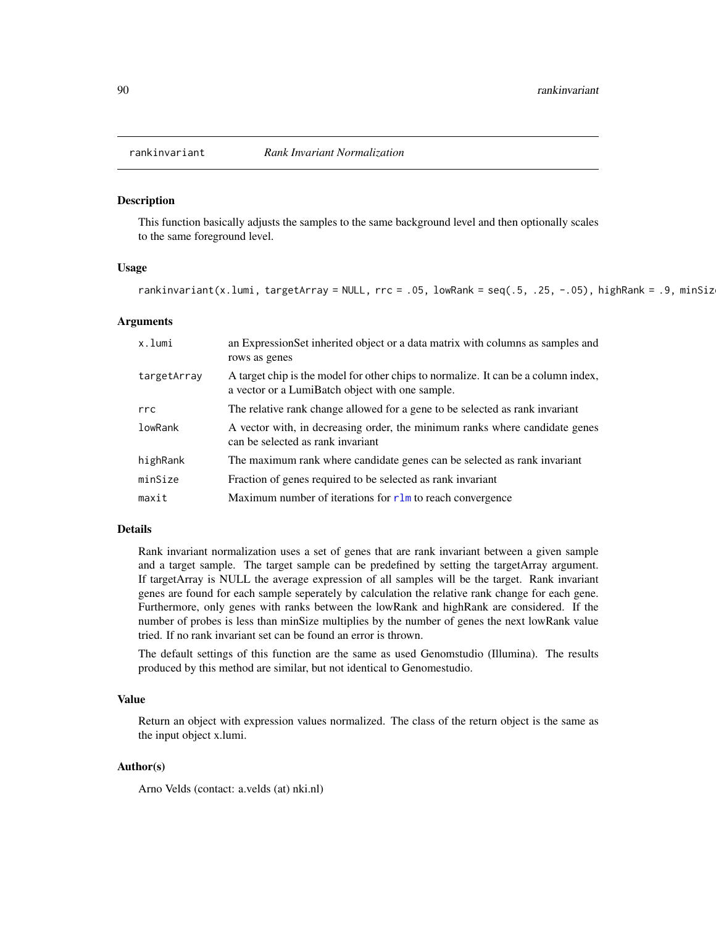<span id="page-89-0"></span>

#### Description

This function basically adjusts the samples to the same background level and then optionally scales to the same foreground level.

#### Usage

rankinvariant(x.lumi, targetArray = NULL, rrc = .05, lowRank = seq(.5, .25, -.05), highRank = .9, minSiz

#### Arguments

| x.lumi      | an ExpressionSet inherited object or a data matrix with columns as samples and<br>rows as genes                                       |
|-------------|---------------------------------------------------------------------------------------------------------------------------------------|
| targetArray | A target chip is the model for other chips to normalize. It can be a column index,<br>a vector or a LumiBatch object with one sample. |
| rrc         | The relative rank change allowed for a gene to be selected as rank invariant                                                          |
| lowRank     | A vector with, in decreasing order, the minimum ranks where candidate genes<br>can be selected as rank invariant                      |
| highRank    | The maximum rank where candidate genes can be selected as rank invariant                                                              |
| minSize     | Fraction of genes required to be selected as rank invariant                                                                           |
| maxit       | Maximum number of iterations for $r \ln$ to reach convergence                                                                         |

#### Details

Rank invariant normalization uses a set of genes that are rank invariant between a given sample and a target sample. The target sample can be predefined by setting the targetArray argument. If targetArray is NULL the average expression of all samples will be the target. Rank invariant genes are found for each sample seperately by calculation the relative rank change for each gene. Furthermore, only genes with ranks between the lowRank and highRank are considered. If the number of probes is less than minSize multiplies by the number of genes the next lowRank value tried. If no rank invariant set can be found an error is thrown.

The default settings of this function are the same as used Genomstudio (Illumina). The results produced by this method are similar, but not identical to Genomestudio.

# Value

Return an object with expression values normalized. The class of the return object is the same as the input object x.lumi.

#### Author(s)

Arno Velds (contact: a.velds (at) nki.nl)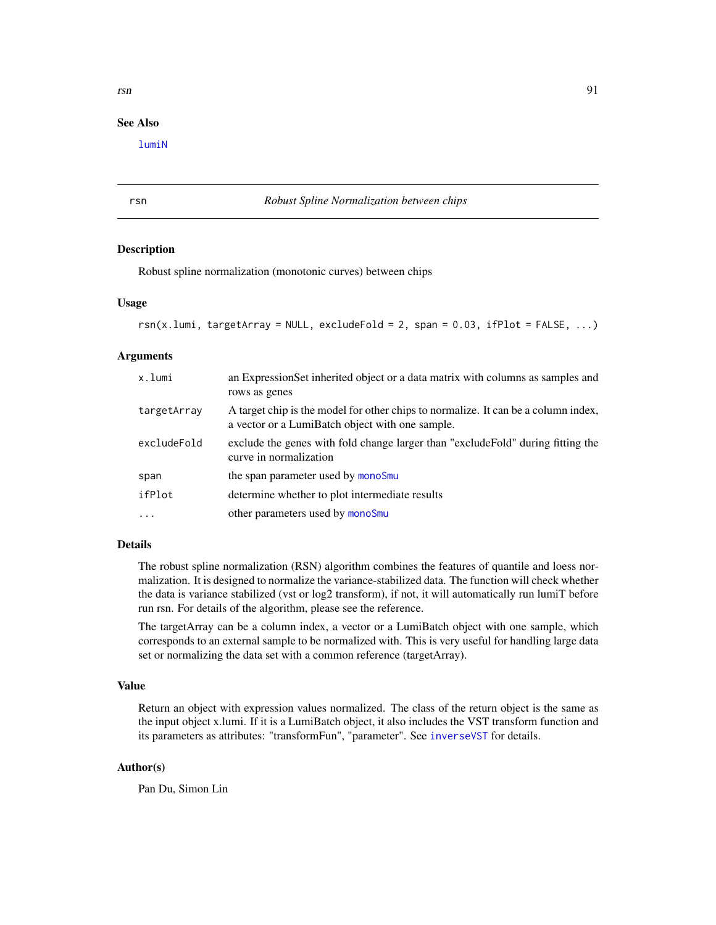# See Also

[lumiN](#page-51-0)

#### rsn *Robust Spline Normalization between chips*

#### **Description**

Robust spline normalization (monotonic curves) between chips

#### Usage

```
rsn(x.lumi, targetArray = NULL, excludedFold = 2, span = 0.03, ifPlot = FALSE, ...)
```
#### Arguments

| x.lumi      | an ExpressionSet inherited object or a data matrix with columns as samples and<br>rows as genes                                       |
|-------------|---------------------------------------------------------------------------------------------------------------------------------------|
| targetArray | A target chip is the model for other chips to normalize. It can be a column index,<br>a vector or a LumiBatch object with one sample. |
| excludeFold | exclude the genes with fold change larger than "exclude Fold" during fitting the<br>curve in normalization                            |
| span        | the span parameter used by monoSmu                                                                                                    |
| ifPlot      | determine whether to plot intermediate results                                                                                        |
| $\cdots$    | other parameters used by monoSmu                                                                                                      |

# Details

The robust spline normalization (RSN) algorithm combines the features of quantile and loess normalization. It is designed to normalize the variance-stabilized data. The function will check whether the data is variance stabilized (vst or log2 transform), if not, it will automatically run lumiT before run rsn. For details of the algorithm, please see the reference.

The targetArray can be a column index, a vector or a LumiBatch object with one sample, which corresponds to an external sample to be normalized with. This is very useful for handling large data set or normalizing the data set with a common reference (targetArray).

#### Value

Return an object with expression values normalized. The class of the return object is the same as the input object x.lumi. If it is a LumiBatch object, it also includes the VST transform function and its parameters as attributes: "transformFun", "parameter". See [inverseVST](#page-39-0) for details.

#### Author(s)

Pan Du, Simon Lin

<span id="page-90-0"></span>rsn 91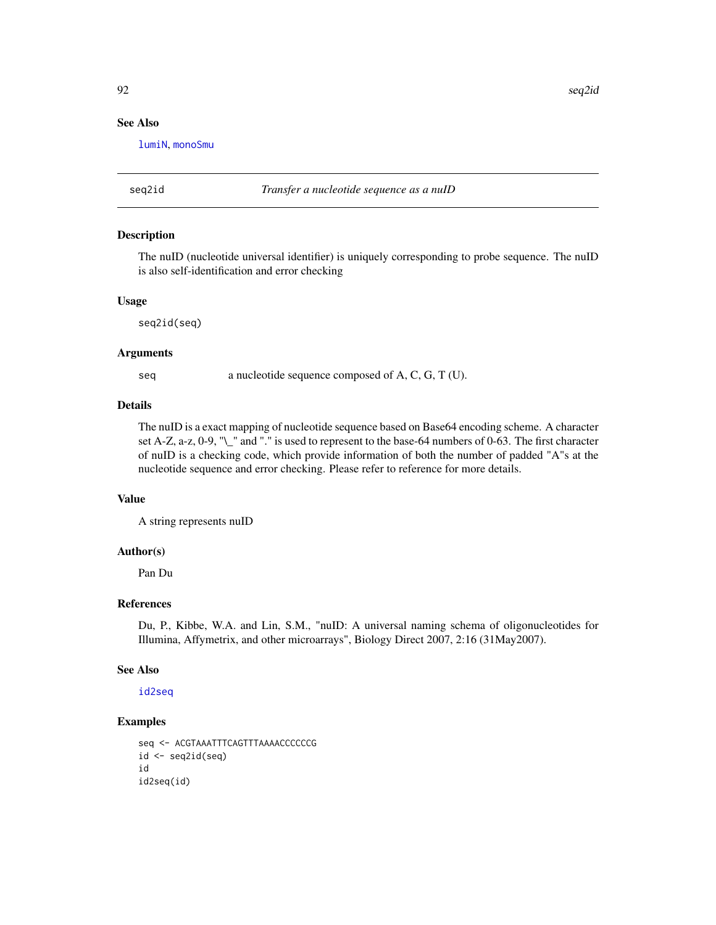# <span id="page-91-0"></span>See Also

[lumiN](#page-51-0), [monoSmu](#page-61-0)

seq2id *Transfer a nucleotide sequence as a nuID*

# Description

The nuID (nucleotide universal identifier) is uniquely corresponding to probe sequence. The nuID is also self-identification and error checking

#### Usage

seq2id(seq)

#### Arguments

seq a nucleotide sequence composed of A, C, G, T (U).

# Details

The nuID is a exact mapping of nucleotide sequence based on Base64 encoding scheme. A character set A-Z, a-z, 0-9, "\\_" and "." is used to represent to the base-64 numbers of 0-63. The first character of nuID is a checking code, which provide information of both the number of padded "A"s at the nucleotide sequence and error checking. Please refer to reference for more details.

#### Value

A string represents nuID

# Author(s)

Pan Du

# References

Du, P., Kibbe, W.A. and Lin, S.M., "nuID: A universal naming schema of oligonucleotides for Illumina, Affymetrix, and other microarrays", Biology Direct 2007, 2:16 (31May2007).

#### See Also

[id2seq](#page-36-1)

#### Examples

```
seq <- ACGTAAATTTCAGTTTAAAACCCCCCG
id \leftarrow seq2id(seq)id
id2seq(id)
```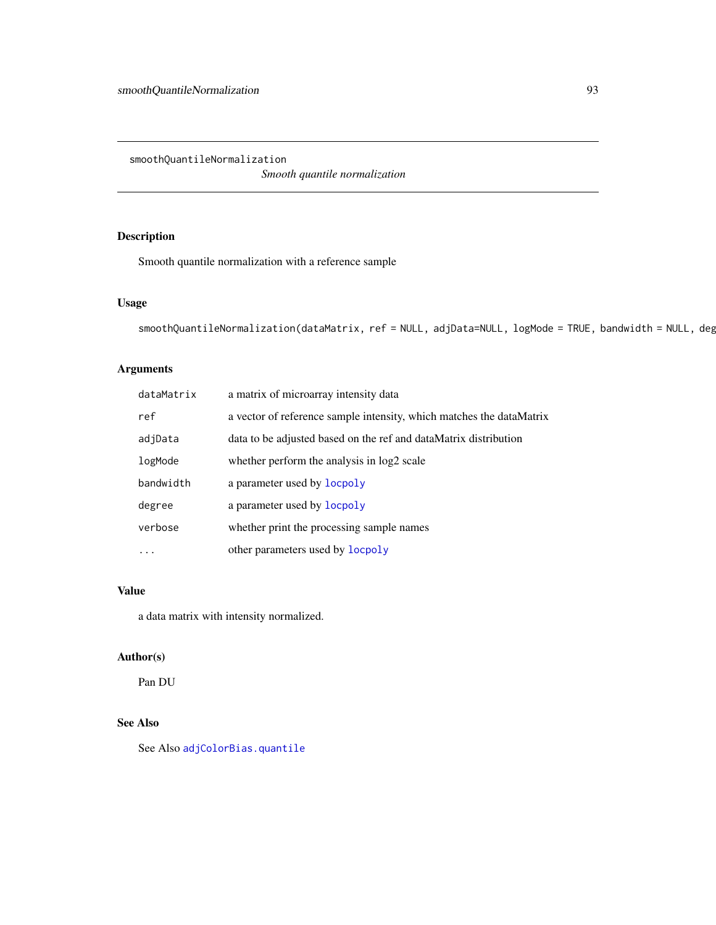<span id="page-92-0"></span>smoothQuantileNormalization

*Smooth quantile normalization*

# Description

Smooth quantile normalization with a reference sample

# Usage

```
smoothQuantileNormalization(dataMatrix, ref = NULL, adjData=NULL, logMode = TRUE, bandwidth = NULL, deg
```
# Arguments

| dataMatrix | a matrix of microarray intensity data                                |
|------------|----------------------------------------------------------------------|
| ref        | a vector of reference sample intensity, which matches the dataMatrix |
| adjData    | data to be adjusted based on the ref and dataMatrix distribution     |
| logMode    | whether perform the analysis in log2 scale                           |
| bandwidth  | a parameter used by locpoly                                          |
| degree     | a parameter used by locpoly                                          |
| verbose    | whether print the processing sample names                            |
|            | other parameters used by <b>locpoly</b>                              |

# Value

a data matrix with intensity normalized.

# Author(s)

Pan DU

# See Also

See Also [adjColorBias.quantile](#page-7-0)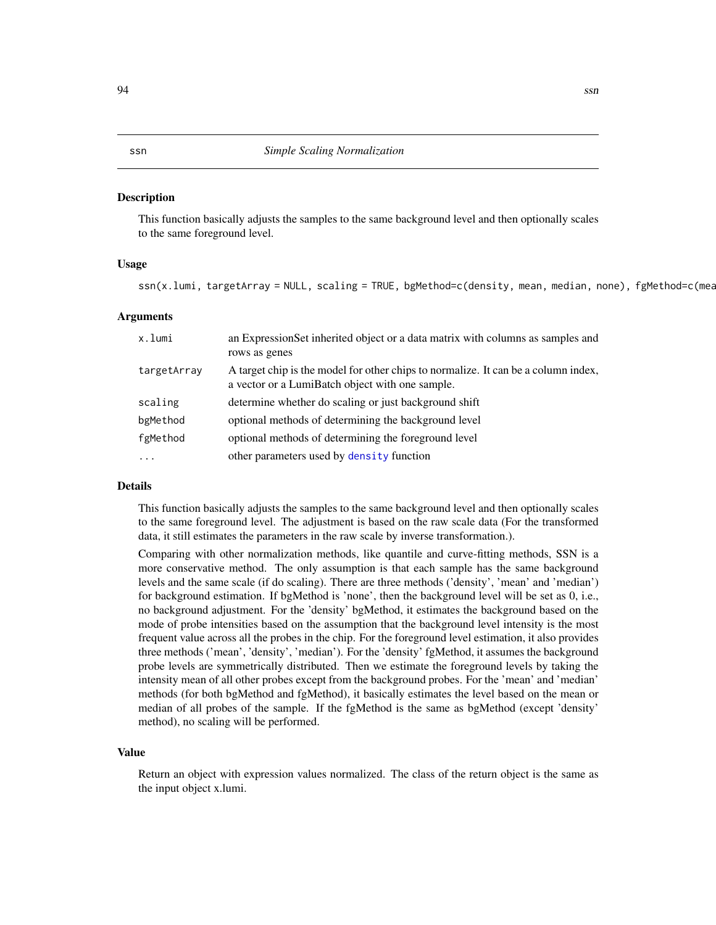#### <span id="page-93-0"></span>Description

This function basically adjusts the samples to the same background level and then optionally scales to the same foreground level.

#### Usage

ssn(x.lumi, targetArray = NULL, scaling = TRUE, bgMethod=c(density, mean, median, none), fgMethod=c(mea

#### Arguments

| x.lumi                  | an Expression Set inherited object or a data matrix with columns as samples and<br>rows as genes                                      |
|-------------------------|---------------------------------------------------------------------------------------------------------------------------------------|
| targetArray             | A target chip is the model for other chips to normalize. It can be a column index,<br>a vector or a LumiBatch object with one sample. |
| scaling                 | determine whether do scaling or just background shift                                                                                 |
| bgMethod                | optional methods of determining the background level                                                                                  |
| fgMethod                | optional methods of determining the foreground level                                                                                  |
| $\cdot$ $\cdot$ $\cdot$ | other parameters used by density function                                                                                             |

#### Details

This function basically adjusts the samples to the same background level and then optionally scales to the same foreground level. The adjustment is based on the raw scale data (For the transformed data, it still estimates the parameters in the raw scale by inverse transformation.).

Comparing with other normalization methods, like quantile and curve-fitting methods, SSN is a more conservative method. The only assumption is that each sample has the same background levels and the same scale (if do scaling). There are three methods ('density', 'mean' and 'median') for background estimation. If bgMethod is 'none', then the background level will be set as 0, i.e., no background adjustment. For the 'density' bgMethod, it estimates the background based on the mode of probe intensities based on the assumption that the background level intensity is the most frequent value across all the probes in the chip. For the foreground level estimation, it also provides three methods ('mean', 'density', 'median'). For the 'density' fgMethod, it assumes the background probe levels are symmetrically distributed. Then we estimate the foreground levels by taking the intensity mean of all other probes except from the background probes. For the 'mean' and 'median' methods (for both bgMethod and fgMethod), it basically estimates the level based on the mean or median of all probes of the sample. If the fgMethod is the same as bgMethod (except 'density' method), no scaling will be performed.

#### Value

Return an object with expression values normalized. The class of the return object is the same as the input object x.lumi.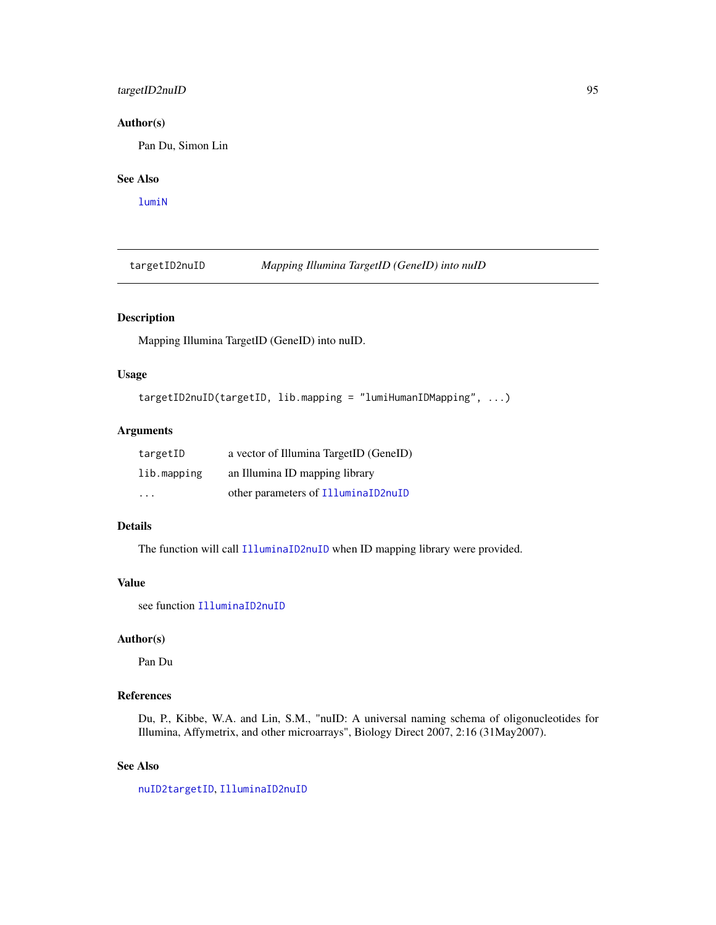# <span id="page-94-0"></span>targetID2nuID 95

# Author(s)

Pan Du, Simon Lin

# See Also

[lumiN](#page-51-0)

targetID2nuID *Mapping Illumina TargetID (GeneID) into nuID*

# Description

Mapping Illumina TargetID (GeneID) into nuID.

# Usage

```
targetID2nuID(targetID, lib.mapping = "lumiHumanIDMapping", ...)
```
# Arguments

| targetID    | a vector of Illumina TargetID (GeneID) |
|-------------|----------------------------------------|
| lib.mapping | an Illumina ID mapping library         |
| .           | other parameters of IlluminaID2nuID    |

# Details

The function will call [IlluminaID2nuID](#page-37-0) when ID mapping library were provided.

#### Value

see function [IlluminaID2nuID](#page-37-0)

# Author(s)

Pan Du

# References

Du, P., Kibbe, W.A. and Lin, S.M., "nuID: A universal naming schema of oligonucleotides for Illumina, Affymetrix, and other microarrays", Biology Direct 2007, 2:16 (31May2007).

# See Also

[nuID2targetID](#page-69-0), [IlluminaID2nuID](#page-37-0)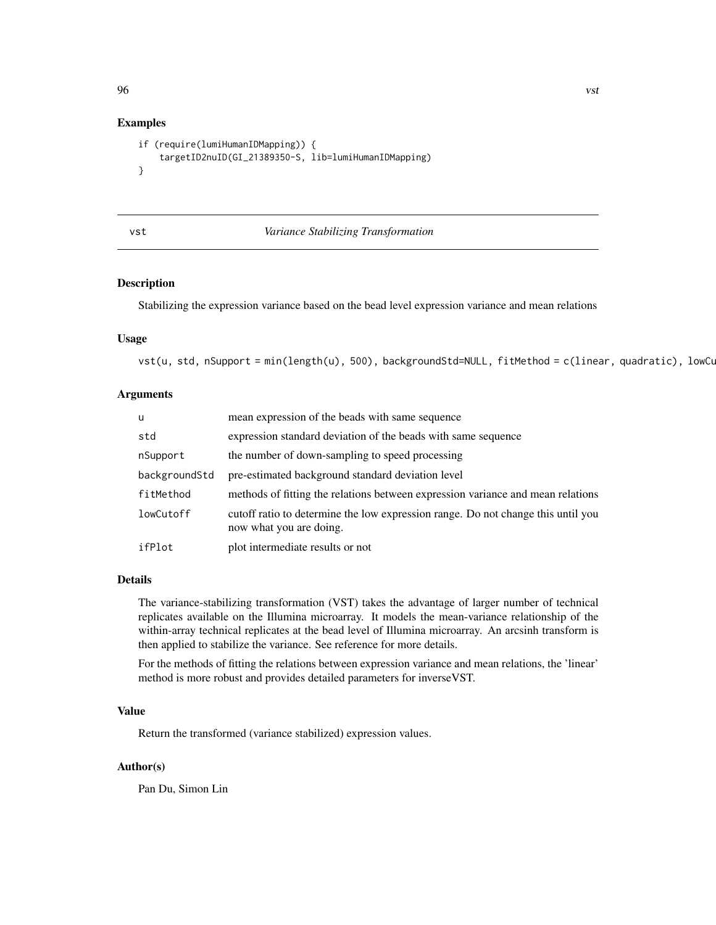# Examples

```
if (require(lumiHumanIDMapping)) {
    targetID2nuID(GI_21389350-S, lib=lumiHumanIDMapping)
}
```
<span id="page-95-0"></span>

# vst *Variance Stabilizing Transformation*

# Description

Stabilizing the expression variance based on the bead level expression variance and mean relations

#### Usage

```
vst(u, std, nSupport = min(length(u), 500), backgroundStd=NULL, fitMethod = c(linear, quadratic), lowCu
```
#### Arguments

| u             | mean expression of the beads with same sequence                                                             |
|---------------|-------------------------------------------------------------------------------------------------------------|
| std           | expression standard deviation of the beads with same sequence                                               |
| nSupport      | the number of down-sampling to speed processing                                                             |
| backgroundStd | pre-estimated background standard deviation level                                                           |
| fitMethod     | methods of fitting the relations between expression variance and mean relations                             |
| lowCutoff     | cutoff ratio to determine the low expression range. Do not change this until you<br>now what you are doing. |
| ifPlot        | plot intermediate results or not                                                                            |

# Details

The variance-stabilizing transformation (VST) takes the advantage of larger number of technical replicates available on the Illumina microarray. It models the mean-variance relationship of the within-array technical replicates at the bead level of Illumina microarray. An arcsinh transform is then applied to stabilize the variance. See reference for more details.

For the methods of fitting the relations between expression variance and mean relations, the 'linear' method is more robust and provides detailed parameters for inverseVST.

#### Value

Return the transformed (variance stabilized) expression values.

#### Author(s)

Pan Du, Simon Lin

<span id="page-95-1"></span>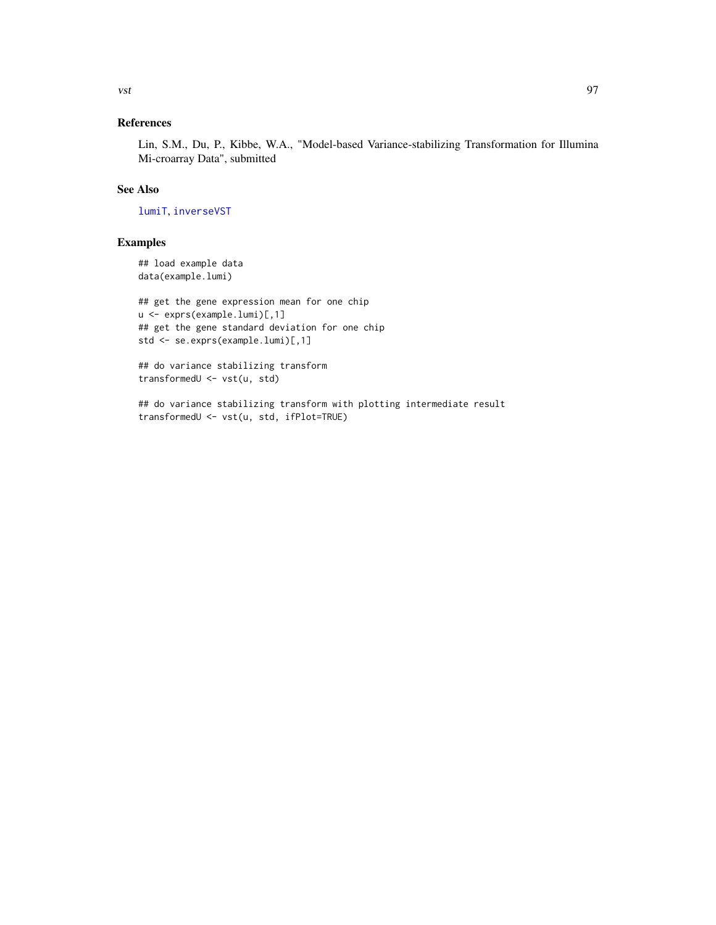# References

Lin, S.M., Du, P., Kibbe, W.A., "Model-based Variance-stabilizing Transformation for Illumina Mi-croarray Data", submitted

# See Also

[lumiT](#page-57-0), [inverseVST](#page-39-0)

# Examples

## load example data data(example.lumi)

```
## get the gene expression mean for one chip
u <- exprs(example.lumi)[,1]
## get the gene standard deviation for one chip
std <- se.exprs(example.lumi)[,1]
```
## do variance stabilizing transform transformedU <- vst(u, std)

## do variance stabilizing transform with plotting intermediate result transformedU <- vst(u, std, ifPlot=TRUE)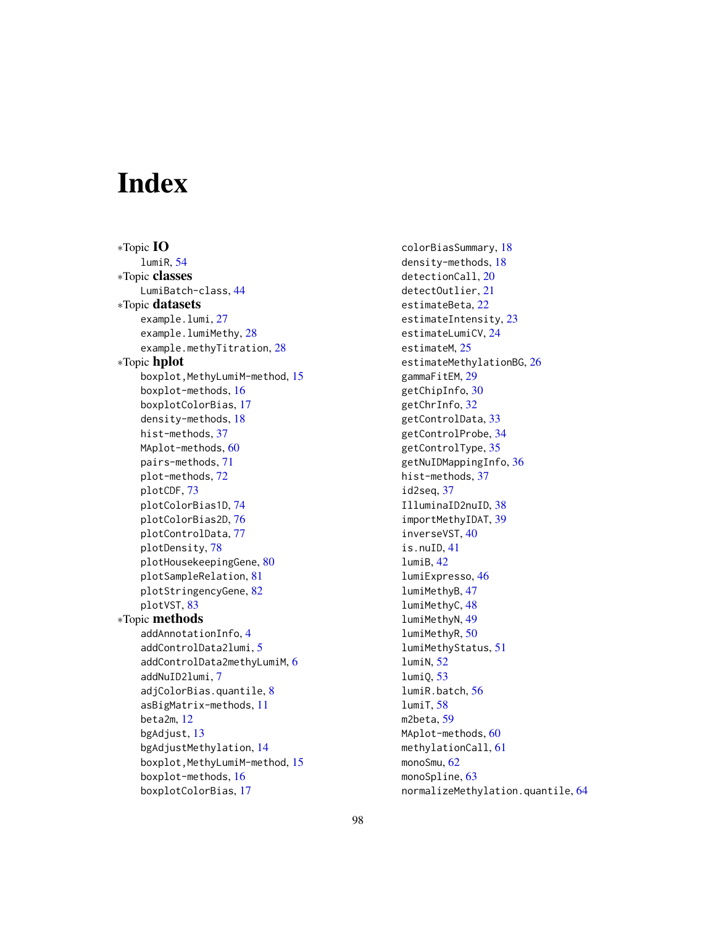# **Index**

∗Topic IO lumiR, [54](#page-53-1) ∗Topic classes LumiBatch-class, [44](#page-43-2) ∗Topic datasets example.lumi, [27](#page-26-0) example.lumiMethy, [28](#page-27-0) example.methyTitration, [28](#page-27-0) ∗Topic hplot boxplot,MethyLumiM-method, [15](#page-14-0) boxplot-methods, [16](#page-15-1) boxplotColorBias, [17](#page-16-1) density-methods, [18](#page-17-0) hist-methods, [37](#page-36-2) MAplot-methods, [60](#page-59-1) pairs-methods, [71](#page-70-1) plot-methods, [72](#page-71-0) plotCDF, [73](#page-72-0) plotColorBias1D, [74](#page-73-1) plotColorBias2D, [76](#page-75-1) plotControlData, [77](#page-76-1) plotDensity, [78](#page-77-0) plotHousekeepingGene, [80](#page-79-0) plotSampleRelation, [81](#page-80-1) plotStringencyGene, [82](#page-81-0) plotVST, [83](#page-82-0) ∗Topic methods addAnnotationInfo, [4](#page-3-0) addControlData2lumi, [5](#page-4-1) addControlData2methyLumiM, [6](#page-5-1) addNuID2lumi, [7](#page-6-0) adjColorBias.quantile, [8](#page-7-1) asBigMatrix-methods, [11](#page-10-0) beta2m, [12](#page-11-0) bgAdjust, [13](#page-12-0) bgAdjustMethylation, [14](#page-13-0) boxplot,MethyLumiM-method, [15](#page-14-0) boxplot-methods, [16](#page-15-1) boxplotColorBias, [17](#page-16-1)

colorBiasSummary, [18](#page-17-0) density-methods, [18](#page-17-0) detectionCall, [20](#page-19-0) detectOutlier, [21](#page-20-1) estimateBeta, [22](#page-21-0) estimateIntensity, [23](#page-22-0) estimateLumiCV, [24](#page-23-1) estimateM, [25](#page-24-0) estimateMethylationBG, [26](#page-25-0) gammaFitEM, [29](#page-28-1) getChipInfo, [30](#page-29-0) getChrInfo, [32](#page-31-0) getControlData, [33](#page-32-0) getControlProbe, [34](#page-33-0) getControlType, [35](#page-34-0) getNuIDMappingInfo, [36](#page-35-0) hist-methods, [37](#page-36-2) id2seq, [37](#page-36-2) IlluminaID2nuID, [38](#page-37-1) importMethyIDAT, [39](#page-38-0) inverseVST, [40](#page-39-1) is.nuID, [41](#page-40-0) lumiB, [42](#page-41-0) lumiExpresso, [46](#page-45-0) lumiMethyB, [47](#page-46-0) lumiMethyC, [48](#page-47-0) lumiMethyN, [49](#page-48-0) lumiMethyR, [50](#page-49-0) lumiMethyStatus, [51](#page-50-0) lumiN, [52](#page-51-1) lumiQ, [53](#page-52-1) lumiR.batch, [56](#page-55-0) lumiT, [58](#page-57-1) m2beta, [59](#page-58-0) MAplot-methods, [60](#page-59-1) methylationCall, [61](#page-60-0) monoSmu, [62](#page-61-1) monoSpline, [63](#page-62-0) normalizeMethylation.quantile, [64](#page-63-0)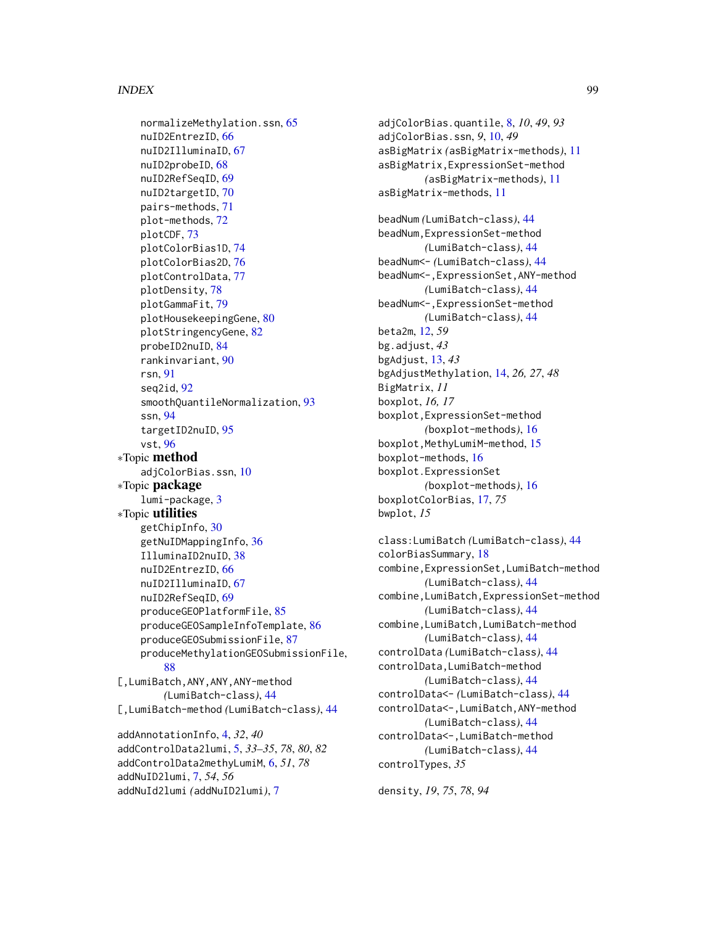#### INDEX 99

normalizeMethylation.ssn, [65](#page-64-0) nuID2EntrezID, [66](#page-65-0) nuID2IlluminaID, [67](#page-66-1) nuID2probeID, [68](#page-67-1) nuID2RefSeqID, [69](#page-68-0) nuID2targetID, [70](#page-69-1) pairs-methods, [71](#page-70-1) plot-methods, [72](#page-71-0) plotCDF, [73](#page-72-0) plotColorBias1D, [74](#page-73-1) plotColorBias2D, [76](#page-75-1) plotControlData, [77](#page-76-1) plotDensity, [78](#page-77-0) plotGammaFit, [79](#page-78-0) plotHousekeepingGene, [80](#page-79-0) plotStringencyGene, [82](#page-81-0) probeID2nuID, [84](#page-83-0) rankinvariant, [90](#page-89-0) rsn, [91](#page-90-0) seq2id, [92](#page-91-0) smoothQuantileNormalization, [93](#page-92-0) ssn, [94](#page-93-0) targetID2nuID, [95](#page-94-0) vst, [96](#page-95-1) ∗Topic method adjColorBias.ssn, [10](#page-9-0) ∗Topic package lumi-package, [3](#page-2-0) ∗Topic utilities getChipInfo, [30](#page-29-0) getNuIDMappingInfo, [36](#page-35-0) IlluminaID2nuID, [38](#page-37-1) nuID2EntrezID, [66](#page-65-0) nuID2IlluminaID, [67](#page-66-1) nuID2RefSeqID, [69](#page-68-0) produceGEOPlatformFile, [85](#page-84-1) produceGEOSampleInfoTemplate, [86](#page-85-1) produceGEOSubmissionFile, [87](#page-86-1) produceMethylationGEOSubmissionFile, [88](#page-87-0) [,LumiBatch,ANY,ANY,ANY-method *(*LumiBatch-class*)*, [44](#page-43-2) [,LumiBatch-method *(*LumiBatch-class*)*, [44](#page-43-2) addAnnotationInfo, [4,](#page-3-0) *32*, *40* addControlData2lumi, [5,](#page-4-1) *33–35*, *78*, *80*, *82* addControlData2methyLumiM, [6,](#page-5-1) *51*, *78*

addNuID2lumi, [7,](#page-6-0) *54*, *56* addNuId2lumi *(*addNuID2lumi*)*, [7](#page-6-0)

adjColorBias.quantile, [8,](#page-7-1) *10*, *49*, *93* adjColorBias.ssn, *9*, [10,](#page-9-0) *49* asBigMatrix *(*asBigMatrix-methods*)*, [11](#page-10-0) asBigMatrix,ExpressionSet-method *(*asBigMatrix-methods*)*, [11](#page-10-0) asBigMatrix-methods, [11](#page-10-0) beadNum *(*LumiBatch-class*)*, [44](#page-43-2) beadNum,ExpressionSet-method *(*LumiBatch-class*)*, [44](#page-43-2) beadNum<- *(*LumiBatch-class*)*, [44](#page-43-2) beadNum<-,ExpressionSet,ANY-method *(*LumiBatch-class*)*, [44](#page-43-2) beadNum<-,ExpressionSet-method *(*LumiBatch-class*)*, [44](#page-43-2) beta2m, [12,](#page-11-0) *59* bg.adjust, *43* bgAdjust, [13,](#page-12-0) *43* bgAdjustMethylation, [14,](#page-13-0) *26, 27*, *48* BigMatrix, *11* boxplot, *16, 17* boxplot,ExpressionSet-method *(*boxplot-methods*)*, [16](#page-15-1) boxplot,MethyLumiM-method, [15](#page-14-0) boxplot-methods, [16](#page-15-1) boxplot.ExpressionSet *(*boxplot-methods*)*, [16](#page-15-1) boxplotColorBias, [17,](#page-16-1) *75* bwplot, *15*

class:LumiBatch *(*LumiBatch-class*)*, [44](#page-43-2) colorBiasSummary, [18](#page-17-0) combine,ExpressionSet,LumiBatch-method *(*LumiBatch-class*)*, [44](#page-43-2) combine,LumiBatch,ExpressionSet-method *(*LumiBatch-class*)*, [44](#page-43-2) combine,LumiBatch,LumiBatch-method *(*LumiBatch-class*)*, [44](#page-43-2) controlData *(*LumiBatch-class*)*, [44](#page-43-2) controlData,LumiBatch-method *(*LumiBatch-class*)*, [44](#page-43-2) controlData<- *(*LumiBatch-class*)*, [44](#page-43-2) controlData<-,LumiBatch,ANY-method *(*LumiBatch-class*)*, [44](#page-43-2) controlData<-,LumiBatch-method *(*LumiBatch-class*)*, [44](#page-43-2) controlTypes, *35*

density, *19*, *75*, *78*, *94*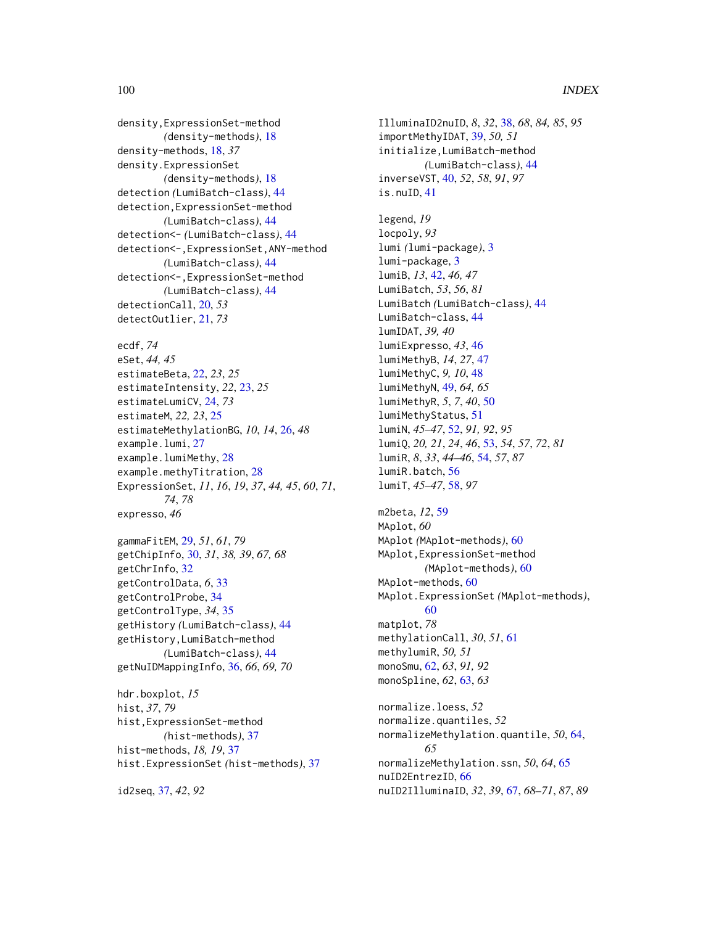# 100 INDEX

density,ExpressionSet-method *(*density-methods*)*, [18](#page-17-0) density-methods, [18,](#page-17-0) *37* density.ExpressionSet *(*density-methods*)*, [18](#page-17-0) detection *(*LumiBatch-class*)*, [44](#page-43-2) detection,ExpressionSet-method *(*LumiBatch-class*)*, [44](#page-43-2) detection<- *(*LumiBatch-class*)*, [44](#page-43-2) detection<-,ExpressionSet,ANY-method *(*LumiBatch-class*)*, [44](#page-43-2) detection<-,ExpressionSet-method *(*LumiBatch-class*)*, [44](#page-43-2) detectionCall, [20,](#page-19-0) *53* detectOutlier, [21,](#page-20-1) *73*

```
ecdf, 74
eSet, 44, 45
estimateBeta, 22, 23, 25
estimateIntensity, 22, 23, 25
estimateLumiCV, 24, 73
estimateM, 22, 23, 25
estimateMethylationBG, 10, 14, 26, 48
example.lumi, 27
example.lumiMethy, 28
example.methyTitration, 28
ExpressionSet, 11, 16, 19, 37, 44, 45, 60, 71,
         74, 78
expresso, 46
```

```
gammaFitEM, 29, 51, 61, 79
getChipInfo, 30, 31, 38, 39, 67, 68
getChrInfo, 32
getControlData, 6, 33
getControlProbe, 34
getControlType, 34, 35
getHistory (LumiBatch-class), 44
getHistory,LumiBatch-method
        (LumiBatch-class), 44
getNuIDMappingInfo, 36, 66, 69, 70
```
hdr.boxplot, *15* hist, *37*, *79* hist,ExpressionSet-method *(*hist-methods*)*, [37](#page-36-2) hist-methods, *18, 19*, [37](#page-36-2) hist.ExpressionSet *(*hist-methods*)*, [37](#page-36-2)

id2seq, [37,](#page-36-2) *42*, *92*

IlluminaID2nuID, *8*, *32*, [38,](#page-37-1) *68*, *84, 85*, *95* importMethyIDAT, [39,](#page-38-0) *50, 51* initialize,LumiBatch-method *(*LumiBatch-class*)*, [44](#page-43-2) inverseVST, [40,](#page-39-1) *52*, *58*, *91*, *97* is.nuID, [41](#page-40-0) legend, *19* locpoly, *93* lumi *(*lumi-package*)*, [3](#page-2-0) lumi-package, [3](#page-2-0) lumiB, *13*, [42,](#page-41-0) *46, 47* LumiBatch, *53*, *56*, *81* LumiBatch *(*LumiBatch-class*)*, [44](#page-43-2) LumiBatch-class, [44](#page-43-2) lumIDAT, *39, 40* lumiExpresso, *43*, [46](#page-45-0) lumiMethyB, *14*, *27*, [47](#page-46-0) lumiMethyC, *9, 10*, [48](#page-47-0) lumiMethyN, [49,](#page-48-0) *64, 65* lumiMethyR, *5*, *7*, *40*, [50](#page-49-0) lumiMethyStatus, [51](#page-50-0) lumiN, *45–47*, [52,](#page-51-1) *91, 92*, *95* lumiQ, *20, 21*, *24*, *46*, [53,](#page-52-1) *54*, *57*, *72*, *81* lumiR, *8*, *33*, *44–46*, [54,](#page-53-1) *57*, *87* lumiR.batch, [56](#page-55-0) lumiT, *45–47*, [58,](#page-57-1) *97*

m2beta, *12*, [59](#page-58-0) MAplot, *60* MAplot *(*MAplot-methods*)*, [60](#page-59-1) MAplot,ExpressionSet-method *(*MAplot-methods*)*, [60](#page-59-1) MAplot-methods, [60](#page-59-1) MAplot.ExpressionSet *(*MAplot-methods*)*, [60](#page-59-1) matplot, *78* methylationCall, *30*, *51*, [61](#page-60-0) methylumiR, *50, 51* monoSmu, [62,](#page-61-1) *63*, *91, 92* monoSpline, *62*, [63,](#page-62-0) *63* normalize.loess, *52* normalize.quantiles, *52* normalizeMethylation.quantile, *50*, [64,](#page-63-0) *65* normalizeMethylation.ssn, *50*, *64*, [65](#page-64-0) nuID2EntrezID, [66](#page-65-0) nuID2IlluminaID, *32*, *39*, [67,](#page-66-1) *68–71*, *87*, *89*